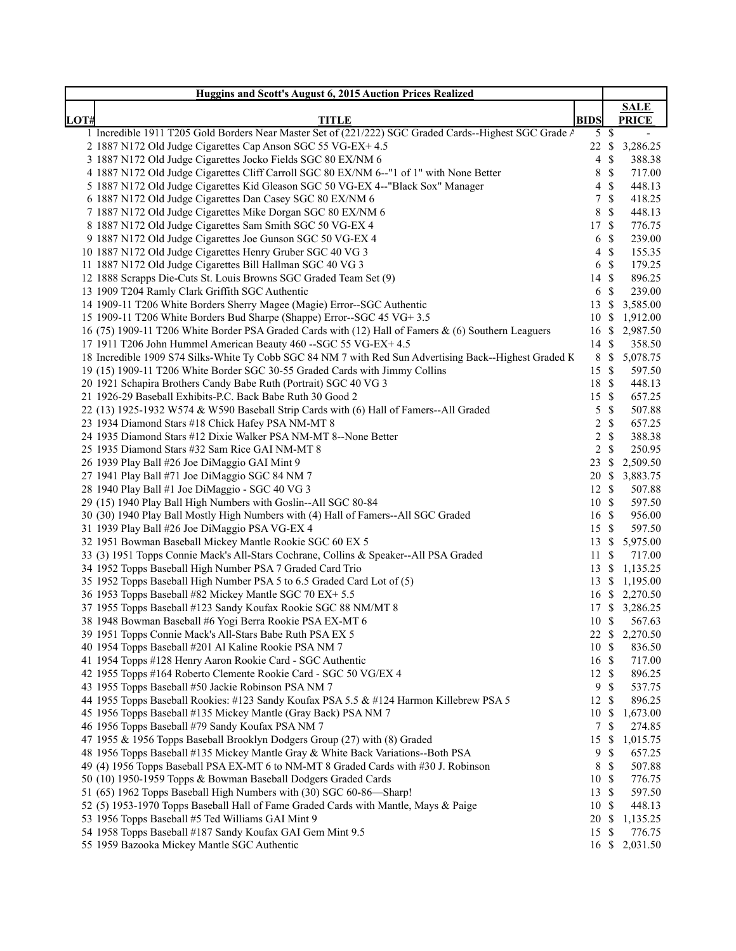| Huggins and Scott's August 6, 2015 Auction Prices Realized                                             |                 |               |                |
|--------------------------------------------------------------------------------------------------------|-----------------|---------------|----------------|
|                                                                                                        |                 |               | <b>SALE</b>    |
| LOT#<br><b>TITLE</b>                                                                                   | <b>BIDS</b>     |               | <b>PRICE</b>   |
| 1 Incredible 1911 T205 Gold Borders Near Master Set of (221/222) SGC Graded Cards--Highest SGC Grade A | $5 \text{ }$ \$ |               | $\mathbf{r}$   |
| 2 1887 N172 Old Judge Cigarettes Cap Anson SGC 55 VG-EX+ 4.5                                           | 22 \$           |               | 3,286.25       |
| 3 1887 N172 Old Judge Cigarettes Jocko Fields SGC 80 EX/NM 6                                           | 4               | S             | 388.38         |
| 4 1887 N172 Old Judge Cigarettes Cliff Carroll SGC 80 EX/NM 6--"1 of 1" with None Better               | 8               | $\mathbb{S}$  | 717.00         |
| 5 1887 N172 Old Judge Cigarettes Kid Gleason SGC 50 VG-EX 4--"Black Sox" Manager                       | 4               | \$            | 448.13         |
| 6 1887 N172 Old Judge Cigarettes Dan Casey SGC 80 EX/NM 6                                              | 7               | \$            | 418.25         |
| 7 1887 N172 Old Judge Cigarettes Mike Dorgan SGC 80 EX/NM 6                                            | 8               | \$            | 448.13         |
| 8 1887 N172 Old Judge Cigarettes Sam Smith SGC 50 VG-EX 4                                              | 17              | -\$           | 776.75         |
| 9 1887 N172 Old Judge Cigarettes Joe Gunson SGC 50 VG-EX 4                                             | 6               | -\$           | 239.00         |
| 10 1887 N172 Old Judge Cigarettes Henry Gruber SGC 40 VG 3                                             | 4               | -\$           | 155.35         |
| 11 1887 N172 Old Judge Cigarettes Bill Hallman SGC 40 VG 3                                             | 6 <sup>°</sup>  |               | 179.25         |
| 12 1888 Scrapps Die-Cuts St. Louis Browns SGC Graded Team Set (9)                                      | 14S             |               | 896.25         |
| 13 1909 T204 Ramly Clark Griffith SGC Authentic                                                        | 6               | -\$           | 239.00         |
| 14 1909-11 T206 White Borders Sherry Magee (Magie) Error--SGC Authentic                                | 13S             |               | 3,585.00       |
| 15 1909-11 T206 White Borders Bud Sharpe (Shappe) Error--SGC 45 VG+ 3.5                                | 10 \$           |               | 1,912.00       |
| 16 (75) 1909-11 T206 White Border PSA Graded Cards with (12) Hall of Famers & (6) Southern Leaguers    | 16S             |               | 2,987.50       |
| 17 1911 T206 John Hummel American Beauty 460 -- SGC 55 VG-EX+ 4.5                                      | 14 \$           |               | 358.50         |
| 18 Incredible 1909 S74 Silks-White Ty Cobb SGC 84 NM 7 with Red Sun Advertising Back--Highest Graded K | 8               | $\mathcal{S}$ | 5,078.75       |
| 19 (15) 1909-11 T206 White Border SGC 30-55 Graded Cards with Jimmy Collins                            | 15S             |               | 597.50         |
| 20 1921 Schapira Brothers Candy Babe Ruth (Portrait) SGC 40 VG 3                                       | 18 \$           |               | 448.13         |
| 21 1926-29 Baseball Exhibits-P.C. Back Babe Ruth 30 Good 2                                             | 15 \$           |               | 657.25         |
| 22 (13) 1925-1932 W574 & W590 Baseball Strip Cards with (6) Hall of Famers--All Graded                 | 5               | $\mathbb{S}$  | 507.88         |
| 23 1934 Diamond Stars #18 Chick Hafey PSA NM-MT 8                                                      | $\overline{c}$  | -S            | 657.25         |
| 24 1935 Diamond Stars #12 Dixie Walker PSA NM-MT 8--None Better                                        | $\overline{c}$  | -S            | 388.38         |
| 25 1935 Diamond Stars #32 Sam Rice GAI NM-MT 8                                                         | $\sqrt{2}$      | <sup>\$</sup> | 250.95         |
| 26 1939 Play Ball #26 Joe DiMaggio GAI Mint 9                                                          | 23              | - S           | 2,509.50       |
| 27 1941 Play Ball #71 Joe DiMaggio SGC 84 NM 7                                                         | 20 \$           |               | 3,883.75       |
| 28 1940 Play Ball #1 Joe DiMaggio - SGC 40 VG 3                                                        | 12 \$           |               | 507.88         |
| 29 (15) 1940 Play Ball High Numbers with Goslin--All SGC 80-84                                         | 10 \$           |               | 597.50         |
| 30 (30) 1940 Play Ball Mostly High Numbers with (4) Hall of Famers--All SGC Graded                     | 16 \$           |               | 956.00         |
| 31 1939 Play Ball #26 Joe DiMaggio PSA VG-EX 4                                                         | 15 \$           |               | 597.50         |
| 32 1951 Bowman Baseball Mickey Mantle Rookie SGC 60 EX 5                                               | 13S             |               | 5,975.00       |
| 33 (3) 1951 Topps Connie Mack's All-Stars Cochrane, Collins & Speaker--All PSA Graded                  | 11S             |               | 717.00         |
| 34 1952 Topps Baseball High Number PSA 7 Graded Card Trio                                              | 13S             |               | 1,135.25       |
| 35 1952 Topps Baseball High Number PSA 5 to 6.5 Graded Card Lot of (5)                                 |                 |               | 13 \$ 1,195.00 |
| 36 1953 Topps Baseball #82 Mickey Mantle SGC 70 EX+ 5.5                                                |                 |               | 16 \$ 2,270.50 |
| 37 1955 Topps Baseball #123 Sandy Koufax Rookie SGC 88 NM/MT 8                                         |                 |               | 17 \$ 3,286.25 |
| 38 1948 Bowman Baseball #6 Yogi Berra Rookie PSA EX-MT 6                                               | 10 \$           |               | 567.63         |
| 39 1951 Topps Connie Mack's All-Stars Babe Ruth PSA EX 5                                               | 22S             |               | 2,270.50       |
| 40 1954 Topps Baseball #201 Al Kaline Rookie PSA NM 7                                                  | 10 \$           |               | 836.50         |
| 41 1954 Topps #128 Henry Aaron Rookie Card - SGC Authentic                                             | 16 \$           |               | 717.00         |
| 42 1955 Topps #164 Roberto Clemente Rookie Card - SGC 50 VG/EX 4                                       | 12S             |               | 896.25         |
| 43 1955 Topps Baseball #50 Jackie Robinson PSA NM 7                                                    | 9               | \$            | 537.75         |
| 44 1955 Topps Baseball Rookies: #123 Sandy Koufax PSA 5.5 & #124 Harmon Killebrew PSA 5                | 12              | - \$          | 896.25         |
| 45 1956 Topps Baseball #135 Mickey Mantle (Gray Back) PSA NM 7                                         | 10S             |               | 1,673.00       |
| 46 1956 Topps Baseball #79 Sandy Koufax PSA NM 7                                                       | 7               | <sup>\$</sup> | 274.85         |
| 47 1955 & 1956 Topps Baseball Brooklyn Dodgers Group (27) with (8) Graded                              | 15S             |               | 1,015.75       |
| 48 1956 Topps Baseball #135 Mickey Mantle Gray & White Back Variations--Both PSA                       | 9               | $\mathbb{S}$  | 657.25         |
| 49 (4) 1956 Topps Baseball PSA EX-MT 6 to NM-MT 8 Graded Cards with #30 J. Robinson                    | 8               | \$            | 507.88         |
| 50 (10) 1950-1959 Topps & Bowman Baseball Dodgers Graded Cards                                         | 10 \$           |               | 776.75         |
| 51 (65) 1962 Topps Baseball High Numbers with (30) SGC 60-86-Sharp!                                    | 13S             |               | 597.50         |
| 52 (5) 1953-1970 Topps Baseball Hall of Fame Graded Cards with Mantle, Mays & Paige                    | 10 \$           |               | 448.13         |
| 53 1956 Topps Baseball #5 Ted Williams GAI Mint 9                                                      | 20 \$           |               | 1,135.25       |
| 54 1958 Topps Baseball #187 Sandy Koufax GAI Gem Mint 9.5                                              | 15              | -\$           | 776.75         |
| 55 1959 Bazooka Mickey Mantle SGC Authentic                                                            |                 |               | 16 \$ 2,031.50 |
|                                                                                                        |                 |               |                |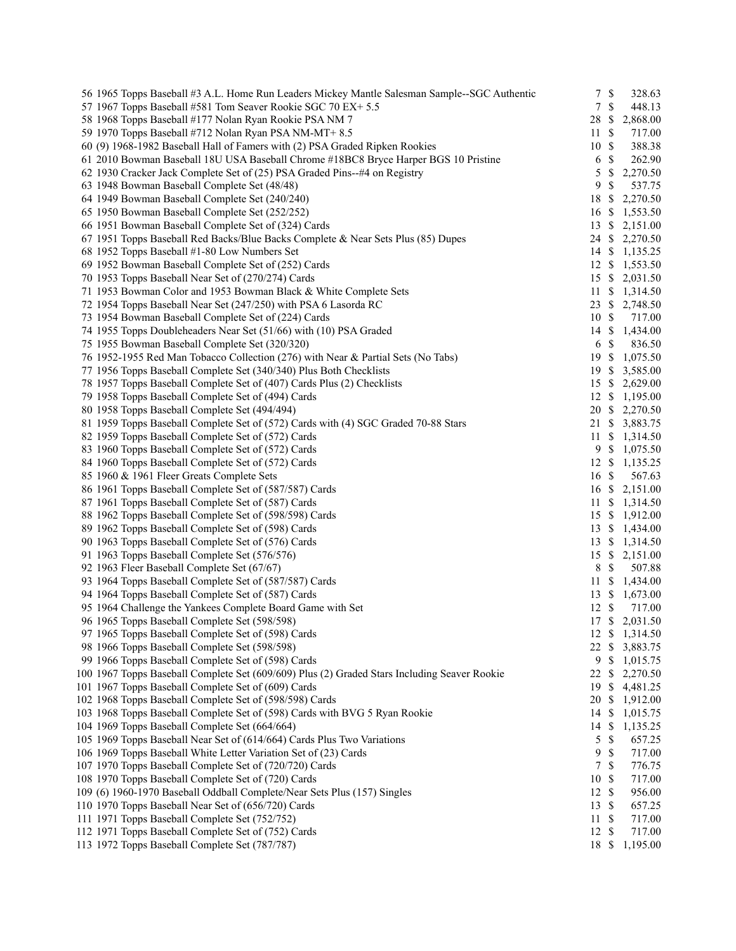| 56 1965 Topps Baseball #3 A.L. Home Run Leaders Mickey Mantle Salesman Sample-SGC Authentic  | 7                         | $\mathbb{S}$              | 328.63                   |
|----------------------------------------------------------------------------------------------|---------------------------|---------------------------|--------------------------|
| 57 1967 Topps Baseball #581 Tom Seaver Rookie SGC 70 EX+ 5.5                                 | $7\phantom{.0}$           | $\mathbb{S}$              | 448.13                   |
| 58 1968 Topps Baseball #177 Nolan Ryan Rookie PSA NM 7                                       | 28                        | $\boldsymbol{\mathsf{S}}$ | 2,868.00                 |
| 59 1970 Topps Baseball #712 Nolan Ryan PSA NM-MT+8.5                                         | 11                        | $\mathbb{S}$              | 717.00                   |
| 60 (9) 1968-1982 Baseball Hall of Famers with (2) PSA Graded Ripken Rookies                  | 10                        | $\mathbb{S}$              | 388.38                   |
| 61 2010 Bowman Baseball 18U USA Baseball Chrome #18BC8 Bryce Harper BGS 10 Pristine          | 6                         | $\mathcal{S}$             | 262.90                   |
| 62 1930 Cracker Jack Complete Set of (25) PSA Graded Pins--#4 on Registry                    | 5                         | $\mathbb{S}$              | 2,270.50                 |
| 63 1948 Bowman Baseball Complete Set (48/48)                                                 | 9                         | $\mathbb{S}$              | 537.75                   |
| 64 1949 Bowman Baseball Complete Set (240/240)                                               | 18                        | $\boldsymbol{\mathsf{S}}$ | 2,270.50                 |
| 65 1950 Bowman Baseball Complete Set (252/252)                                               | 16                        | \$                        | 1,553.50                 |
| 66 1951 Bowman Baseball Complete Set of (324) Cards                                          | 13                        | \$                        | 2,151.00                 |
| 67 1951 Topps Baseball Red Backs/Blue Backs Complete & Near Sets Plus (85) Dupes             |                           |                           | 24 \$ 2,270.50           |
| 68 1952 Topps Baseball #1-80 Low Numbers Set                                                 |                           |                           | 14 \$ 1,135.25           |
| 69 1952 Bowman Baseball Complete Set of (252) Cards                                          |                           |                           | 12 \$ 1,553.50           |
| 70 1953 Topps Baseball Near Set of (270/274) Cards                                           |                           |                           | 15 \$ 2,031.50           |
| 71 1953 Bowman Color and 1953 Bowman Black & White Complete Sets                             | 11                        |                           | \$1,314.50               |
| 72 1954 Topps Baseball Near Set (247/250) with PSA 6 Lasorda RC                              |                           |                           | 23 \$ 2,748.50           |
| 73 1954 Bowman Baseball Complete Set of (224) Cards                                          | 10 \$                     |                           | 717.00                   |
| 74 1955 Topps Doubleheaders Near Set (51/66) with (10) PSA Graded                            | $14 \text{ }$ \$          |                           | 1,434.00                 |
| 75 1955 Bowman Baseball Complete Set (320/320)                                               | 6 \$                      |                           | 836.50                   |
| 76 1952-1955 Red Man Tobacco Collection (276) with Near & Partial Sets (No Tabs)             | 19                        | \$                        | 1,075.50                 |
| 77 1956 Topps Baseball Complete Set (340/340) Plus Both Checklists                           | 19                        | -S                        | 3,585.00                 |
| 78 1957 Topps Baseball Complete Set of (407) Cards Plus (2) Checklists                       |                           |                           | 15 \$ 2,629.00           |
| 79 1958 Topps Baseball Complete Set of (494) Cards                                           |                           |                           | 12 \$ 1,195.00           |
| 80 1958 Topps Baseball Complete Set (494/494)                                                |                           |                           | 20 \$ 2,270.50           |
| 81 1959 Topps Baseball Complete Set of (572) Cards with (4) SGC Graded 70-88 Stars           |                           |                           | 21 \$ 3,883.75           |
| 82 1959 Topps Baseball Complete Set of (572) Cards                                           |                           |                           | 11 \$ 1,314.50           |
| 83 1960 Topps Baseball Complete Set of (572) Cards                                           |                           |                           |                          |
|                                                                                              |                           | 9\$                       | 1,075.50                 |
| 84 1960 Topps Baseball Complete Set of (572) Cards                                           | $12 \text{ }$ \$<br>16 \$ |                           | 1,135.25                 |
| 85 1960 & 1961 Fleer Greats Complete Sets                                                    |                           |                           | 567.63<br>16 \$ 2,151.00 |
| 86 1961 Topps Baseball Complete Set of (587/587) Cards                                       |                           |                           |                          |
| 87 1961 Topps Baseball Complete Set of (587) Cards                                           | 11                        |                           | \$1,314.50               |
| 88 1962 Topps Baseball Complete Set of (598/598) Cards                                       |                           |                           | 15 \$ 1,912.00           |
| 89 1962 Topps Baseball Complete Set of (598) Cards                                           |                           |                           | 13 \$ 1,434.00           |
| 90 1963 Topps Baseball Complete Set of (576) Cards                                           |                           |                           | 13 \$ 1,314.50           |
| 91 1963 Topps Baseball Complete Set (576/576)                                                | 15S                       |                           | 2,151.00                 |
| 92 1963 Fleer Baseball Complete Set (67/67)                                                  | 8                         | $\mathbb{S}$              | 507.88                   |
| 93 1964 Topps Baseball Complete Set of (587/587) Cards                                       | 11                        | \$                        | 1,434.00                 |
| 94 1964 Topps Baseball Complete Set of (587) Cards                                           | 13 \$                     |                           | 1,673.00                 |
| 95 1964 Challenge the Yankees Complete Board Game with Set                                   | 12                        | $\mathbb{S}$              | 717.00                   |
| 96 1965 Topps Baseball Complete Set (598/598)                                                |                           |                           | 17 \$ 2,031.50           |
| 97 1965 Topps Baseball Complete Set of (598) Cards                                           |                           |                           | 12 \$ 1,314.50           |
| 98 1966 Topps Baseball Complete Set (598/598)                                                | 22S                       |                           | 3,883.75                 |
| 99 1966 Topps Baseball Complete Set of (598) Cards                                           |                           | 9\$                       | 1,015.75                 |
| 100 1967 Topps Baseball Complete Set (609/609) Plus (2) Graded Stars Including Seaver Rookie | 22                        | \$                        | 2,270.50                 |
| 101 1967 Topps Baseball Complete Set of (609) Cards                                          | 19                        | \$                        | 4,481.25                 |
| 102 1968 Topps Baseball Complete Set of (598/598) Cards                                      | 20 \$                     |                           | 1,912.00                 |
| 103 1968 Topps Baseball Complete Set of (598) Cards with BVG 5 Ryan Rookie                   | 14                        | <sup>\$</sup>             | 1,015.75                 |
| 104 1969 Topps Baseball Complete Set (664/664)                                               | 14                        | <sup>\$</sup>             | 1,135.25                 |
| 105 1969 Topps Baseball Near Set of (614/664) Cards Plus Two Variations                      | 5                         | $\mathbb{S}$              | 657.25                   |
| 106 1969 Topps Baseball White Letter Variation Set of (23) Cards                             | 9                         | $\mathbb{S}$              | 717.00                   |
| 107 1970 Topps Baseball Complete Set of (720/720) Cards                                      | $\tau$                    | $\mathcal{S}$             | 776.75                   |
| 108 1970 Topps Baseball Complete Set of (720) Cards                                          | 10 \$                     |                           | 717.00                   |
| 109 (6) 1960-1970 Baseball Oddball Complete/Near Sets Plus (157) Singles                     | 12S                       |                           | 956.00                   |
| 110 1970 Topps Baseball Near Set of (656/720) Cards                                          | 13S                       |                           | 657.25                   |
| 111 1971 Topps Baseball Complete Set (752/752)                                               | 11                        | -S                        | 717.00                   |
| 112 1971 Topps Baseball Complete Set of (752) Cards                                          | 12                        | $\mathbb{S}$              | 717.00                   |
| 113 1972 Topps Baseball Complete Set (787/787)                                               | 18 \$                     |                           | 1,195.00                 |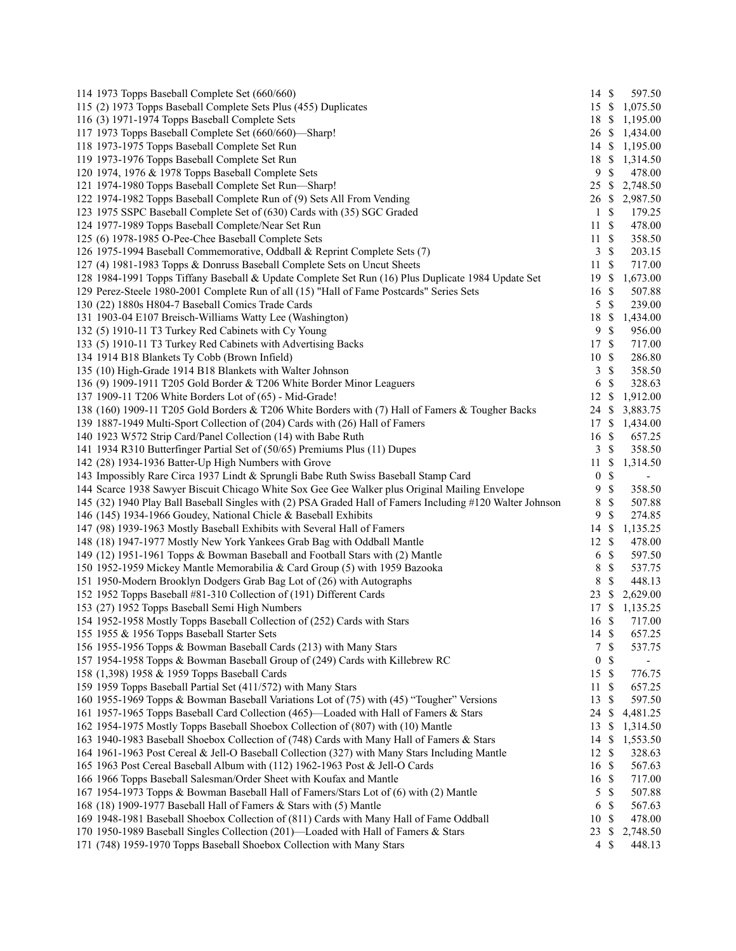| 114 1973 Topps Baseball Complete Set (660/660)                                                            | $14 \text{ }$ \$ |               | 597.50                   |
|-----------------------------------------------------------------------------------------------------------|------------------|---------------|--------------------------|
| 115 (2) 1973 Topps Baseball Complete Sets Plus (455) Duplicates                                           | 15 \$            |               | 1,075.50                 |
| 116 (3) 1971-1974 Topps Baseball Complete Sets                                                            | 18 \$            |               | 1,195.00                 |
| 117 1973 Topps Baseball Complete Set (660/660)—Sharp!                                                     |                  |               | 26 \$ 1,434.00           |
| 118 1973-1975 Topps Baseball Complete Set Run                                                             |                  |               | 14 \$ 1,195.00           |
| 119 1973-1976 Topps Baseball Complete Set Run                                                             |                  |               | 18 \$ 1,314.50           |
| 120 1974, 1976 & 1978 Topps Baseball Complete Sets                                                        | 9S               |               | 478.00                   |
| 121 1974-1980 Topps Baseball Complete Set Run-Sharp!                                                      | $25 \text{ }$ \$ |               | 2,748.50                 |
| 122 1974-1982 Topps Baseball Complete Run of (9) Sets All From Vending                                    |                  |               | 26 \$ 2,987.50           |
| 123 1975 SSPC Baseball Complete Set of (630) Cards with (35) SGC Graded                                   | 1                | \$            | 179.25                   |
| 124 1977-1989 Topps Baseball Complete/Near Set Run                                                        | 11S              |               | 478.00                   |
| 125 (6) 1978-1985 O-Pee-Chee Baseball Complete Sets                                                       | 11               | $\mathbb{S}$  | 358.50                   |
| 126 1975-1994 Baseball Commemorative, Oddball & Reprint Complete Sets (7)                                 | 3                | $\mathbb{S}$  | 203.15                   |
| 127 (4) 1981-1983 Topps & Donruss Baseball Complete Sets on Uncut Sheets                                  | 11               | $\mathbb{S}$  | 717.00                   |
| 128 1984-1991 Topps Tiffany Baseball & Update Complete Set Run (16) Plus Duplicate 1984 Update Set        | 19               | \$            | 1,673.00                 |
| 129 Perez-Steele 1980-2001 Complete Run of all (15) "Hall of Fame Postcards" Series Sets                  | 16               | <sup>\$</sup> | 507.88                   |
| 130 (22) 1880s H804-7 Baseball Comics Trade Cards                                                         | 5                | $\mathbb{S}$  | 239.00                   |
| 131 1903-04 E107 Breisch-Williams Watty Lee (Washington)                                                  | 18               | \$            | 1,434.00                 |
| 132 (5) 1910-11 T3 Turkey Red Cabinets with Cy Young                                                      | 9                | $\mathbb{S}$  | 956.00                   |
| 133 (5) 1910-11 T3 Turkey Red Cabinets with Advertising Backs                                             | 17S              |               | 717.00                   |
| 134 1914 B18 Blankets Ty Cobb (Brown Infield)                                                             | 10               | -S            | 286.80                   |
| 135 (10) High-Grade 1914 B18 Blankets with Walter Johnson                                                 | 3                | $\mathcal{S}$ | 358.50                   |
| 136 (9) 1909-1911 T205 Gold Border & T206 White Border Minor Leaguers                                     | $\sqrt{6}$       | $\mathbb{S}$  | 328.63                   |
| 137 1909-11 T206 White Borders Lot of (65) - Mid-Grade!                                                   | 12               | \$            | 1,912.00                 |
| 138 (160) 1909-11 T205 Gold Borders & T206 White Borders with (7) Hall of Famers & Tougher Backs          | 24               | \$            | 3,883.75                 |
| 139 1887-1949 Multi-Sport Collection of (204) Cards with (26) Hall of Famers                              | 17               | \$            | 1,434.00                 |
| 140 1923 W572 Strip Card/Panel Collection (14) with Babe Ruth                                             | 16               | <sup>\$</sup> | 657.25                   |
| 141 1934 R310 Butterfinger Partial Set of (50/65) Premiums Plus (11) Dupes                                | 3                | \$            | 358.50                   |
|                                                                                                           |                  | <sup>\$</sup> | 1,314.50                 |
| 142 (28) 1934-1936 Batter-Up High Numbers with Grove                                                      | 11               | $\mathbb{S}$  |                          |
| 143 Impossibly Rare Circa 1937 Lindt & Sprungli Babe Ruth Swiss Baseball Stamp Card                       | $\boldsymbol{0}$ | $\mathcal{S}$ | $\overline{\phantom{a}}$ |
| 144 Scarce 1938 Sawyer Biscuit Chicago White Sox Gee Gee Walker plus Original Mailing Envelope            | 9                |               | 358.50                   |
| 145 (32) 1940 Play Ball Baseball Singles with (2) PSA Graded Hall of Famers Including #120 Walter Johnson | 8                | $\mathbb{S}$  | 507.88                   |
| 146 (145) 1934-1966 Goudey, National Chicle & Baseball Exhibits                                           | 9                | $\mathcal{S}$ | 274.85                   |
| 147 (98) 1939-1963 Mostly Baseball Exhibits with Several Hall of Famers                                   | 14               | <sup>\$</sup> | 1,135.25                 |
| 148 (18) 1947-1977 Mostly New York Yankees Grab Bag with Oddball Mantle                                   | 12               | $\mathbb{S}$  | 478.00                   |
| 149 (12) 1951-1961 Topps & Bowman Baseball and Football Stars with (2) Mantle                             | 6                | $\mathcal{S}$ | 597.50                   |
| 150 1952-1959 Mickey Mantle Memorabilia & Card Group (5) with 1959 Bazooka                                | 8                | $\mathbb{S}$  | 537.75                   |
| 151 1950-Modern Brooklyn Dodgers Grab Bag Lot of (26) with Autographs                                     | 8                | $\mathbb{S}$  | 448.13                   |
| 152 1952 Topps Baseball #81-310 Collection of (191) Different Cards                                       | 23               | \$            | 2,629.00                 |
| 153 (27) 1952 Topps Baseball Semi High Numbers                                                            | 17               | $\mathbb{S}$  | 1,135.25                 |
| 154 1952-1958 Mostly Topps Baseball Collection of (252) Cards with Stars                                  | 16 \$            |               | 717.00                   |
| 155 1955 & 1956 Topps Baseball Starter Sets                                                               | 14 \$            |               | 657.25                   |
| 156 1955-1956 Topps & Bowman Baseball Cards (213) with Many Stars                                         | $\tau$           | $\mathbb{S}$  | 537.75                   |
| 157 1954-1958 Topps & Bowman Baseball Group of (249) Cards with Killebrew RC                              | 0                | \$            |                          |
| 158 (1,398) 1958 & 1959 Topps Baseball Cards                                                              | 15               | $\mathbb{S}$  | 776.75                   |
| 159 1959 Topps Baseball Partial Set (411/572) with Many Stars                                             | 11               | \$            | 657.25                   |
| 160 1955-1969 Topps & Bowman Baseball Variations Lot of (75) with (45) "Tougher" Versions                 | 13               | \$            | 597.50                   |
| 161 1957-1965 Topps Baseball Card Collection (465)—Loaded with Hall of Famers & Stars                     | 24               | \$            | 4,481.25                 |
| 162 1954-1975 Mostly Topps Baseball Shoebox Collection of (807) with (10) Mantle                          | 13               | \$            | 1,314.50                 |
| 163 1940-1983 Baseball Shoebox Collection of (748) Cards with Many Hall of Famers & Stars                 | 14               | \$            | 1,553.50                 |
| 164 1961-1963 Post Cereal & Jell-O Baseball Collection (327) with Many Stars Including Mantle             | 12               | <sup>\$</sup> | 328.63                   |
| 165 1963 Post Cereal Baseball Album with (112) 1962-1963 Post & Jell-O Cards                              | 16               | $\mathcal{S}$ | 567.63                   |
| 166 1966 Topps Baseball Salesman/Order Sheet with Koufax and Mantle                                       | 16 \$            |               | 717.00                   |
| 167 1954-1973 Topps & Bowman Baseball Hall of Famers/Stars Lot of (6) with (2) Mantle                     | 5                | $\mathbb{S}$  | 507.88                   |
| 168 (18) 1909-1977 Baseball Hall of Famers & Stars with (5) Mantle                                        | 6                | $\mathbb{S}$  | 567.63                   |
| 169 1948-1981 Baseball Shoebox Collection of (811) Cards with Many Hall of Fame Oddball                   | 10               | \$            | 478.00                   |
| 170 1950-1989 Baseball Singles Collection (201)—Loaded with Hall of Famers & Stars                        | 23               | \$            | 2,748.50                 |
| 171 (748) 1959-1970 Topps Baseball Shoebox Collection with Many Stars                                     | $\overline{4}$   | $\mathbb{S}$  | 448.13                   |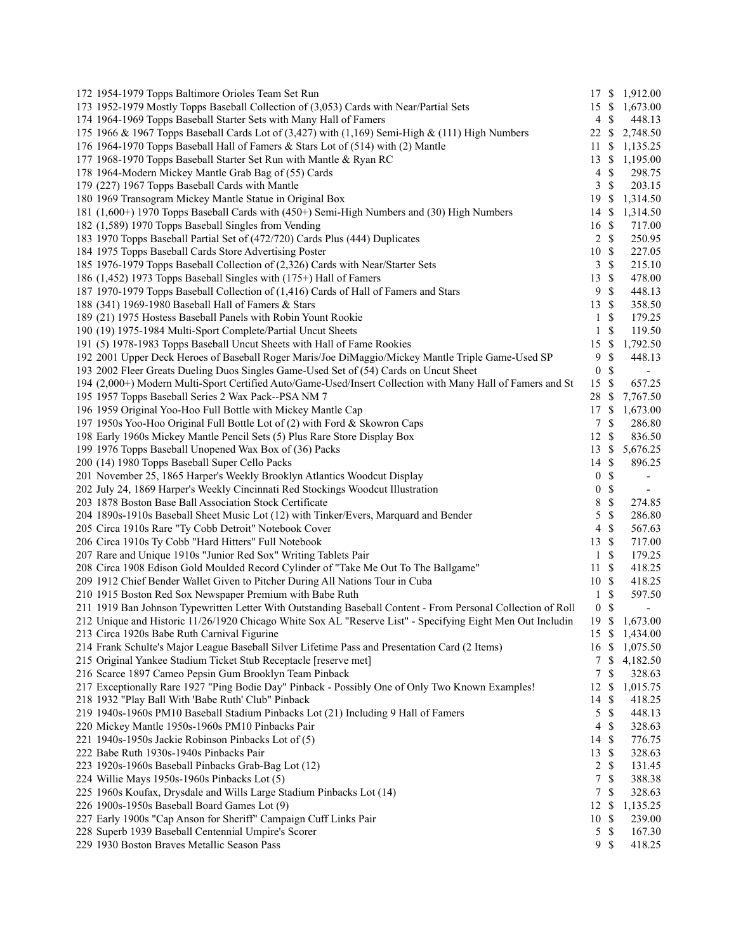| 172 1954-1979 Topps Baltimore Orioles Team Set Run                                                           |                  |                           | 17 \$ 1,912.00           |
|--------------------------------------------------------------------------------------------------------------|------------------|---------------------------|--------------------------|
| 173 1952-1979 Mostly Topps Baseball Collection of (3,053) Cards with Near/Partial Sets                       | 15 \$            |                           | 1,673.00                 |
| 174 1964-1969 Topps Baseball Starter Sets with Many Hall of Famers                                           | 4                | \$                        | 448.13                   |
| 175 1966 & 1967 Topps Baseball Cards Lot of $(3,427)$ with $(1,169)$ Semi-High & $(111)$ High Numbers        | 22               | $\mathbb{S}$              | 2,748.50                 |
| 176 1964-1970 Topps Baseball Hall of Famers & Stars Lot of (514) with (2) Mantle                             | 11               | \$                        | 1,135.25                 |
| 177 1968-1970 Topps Baseball Starter Set Run with Mantle & Ryan RC                                           | 13               | $\mathbb{S}$              | 1,195.00                 |
| 178 1964-Modern Mickey Mantle Grab Bag of (55) Cards                                                         | $\overline{4}$   | $\mathbb{S}$              | 298.75                   |
| 179 (227) 1967 Topps Baseball Cards with Mantle                                                              | 3                | $\mathbb{S}$              | 203.15                   |
| 180 1969 Transogram Mickey Mantle Statue in Original Box                                                     | 19               | <sup>\$</sup>             | 1,314.50                 |
| 181 (1,600+) 1970 Topps Baseball Cards with (450+) Semi-High Numbers and (30) High Numbers                   | 14               | <sup>\$</sup>             | 1,314.50                 |
| 182 (1,589) 1970 Topps Baseball Singles from Vending                                                         | 16               | <sup>\$</sup>             | 717.00                   |
| 183 1970 Topps Baseball Partial Set of (472/720) Cards Plus (444) Duplicates                                 | $\overline{2}$   | $\mathbb{S}$              | 250.95                   |
| 184 1975 Topps Baseball Cards Store Advertising Poster                                                       | 10S              |                           | 227.05                   |
| 185 1976-1979 Topps Baseball Collection of (2,326) Cards with Near/Starter Sets                              | 3                | $\mathbb{S}$              | 215.10                   |
| 186 (1,452) 1973 Topps Baseball Singles with (175+) Hall of Famers                                           | 13               | $\mathbb{S}$              | 478.00                   |
| 187 1970-1979 Topps Baseball Collection of (1,416) Cards of Hall of Famers and Stars                         | 9                | $\mathcal{S}$             | 448.13                   |
| 188 (341) 1969-1980 Baseball Hall of Famers & Stars                                                          | 13               | $\mathbb{S}$              | 358.50                   |
| 189 (21) 1975 Hostess Baseball Panels with Robin Yount Rookie                                                | $\mathbf{1}$     | $\mathbb{S}$              | 179.25                   |
| 190 (19) 1975-1984 Multi-Sport Complete/Partial Uncut Sheets                                                 | $\mathbf{1}$     | $\mathcal{S}$             | 119.50                   |
| 191 (5) 1978-1983 Topps Baseball Uncut Sheets with Hall of Fame Rookies                                      | 15               | \$                        | 1,792.50                 |
| 192 2001 Upper Deck Heroes of Baseball Roger Maris/Joe DiMaggio/Mickey Mantle Triple Game-Used SP            | 9                | $\mathbb{S}$              | 448.13                   |
| 193 2002 Fleer Greats Dueling Duos Singles Game-Used Set of (54) Cards on Uncut Sheet                        | $\boldsymbol{0}$ | $\mathbb{S}$              |                          |
| 194 (2,000+) Modern Multi-Sport Certified Auto/Game-Used/Insert Collection with Many Hall of Famers and St   | 15               | $\mathbb{S}$              | 657.25                   |
| 195 1957 Topps Baseball Series 2 Wax Pack--PSA NM 7                                                          | 28               | \$                        | 7,767.50                 |
| 196 1959 Original Yoo-Hoo Full Bottle with Mickey Mantle Cap                                                 | 17               | $\mathbb{S}$              | 1,673.00                 |
| 197 1950s Yoo-Hoo Original Full Bottle Lot of (2) with Ford & Skowron Caps                                   | $\tau$           | $\mathbb S$               | 286.80                   |
| 198 Early 1960s Mickey Mantle Pencil Sets (5) Plus Rare Store Display Box                                    | 12               | $\mathbb{S}$              | 836.50                   |
| 199 1976 Topps Baseball Unopened Wax Box of (36) Packs                                                       | 13               | \$                        | 5,676.25                 |
| 200 (14) 1980 Topps Baseball Super Cello Packs                                                               | $14 \text{ }$ \$ |                           | 896.25                   |
| 201 November 25, 1865 Harper's Weekly Brooklyn Atlantics Woodcut Display                                     | $\boldsymbol{0}$ | $\mathbb{S}$              |                          |
|                                                                                                              |                  | $\mathbb{S}$              | $\overline{\phantom{a}}$ |
| 202 July 24, 1869 Harper's Weekly Cincinnati Red Stockings Woodcut Illustration                              | $\boldsymbol{0}$ |                           | $\overline{\phantom{a}}$ |
| 203 1878 Boston Base Ball Association Stock Certificate                                                      | 8                | $\mathbb{S}$              | 274.85                   |
| 204 1890s-1910s Baseball Sheet Music Lot (12) with Tinker/Evers, Marquard and Bender                         | 5                | $\mathbb{S}$              | 286.80                   |
| 205 Circa 1910s Rare "Ty Cobb Detroit" Notebook Cover                                                        | $\overline{4}$   | $\mathcal{S}$             | 567.63                   |
| 206 Circa 1910s Ty Cobb "Hard Hitters" Full Notebook                                                         | 13               | $\mathbb{S}$              | 717.00                   |
| 207 Rare and Unique 1910s "Junior Red Sox" Writing Tablets Pair                                              | $\mathbf{1}$     | $\mathcal{S}$             | 179.25                   |
| 208 Circa 1908 Edison Gold Moulded Record Cylinder of "Take Me Out To The Ballgame"                          | 11               | $\mathbb{S}$              | 418.25                   |
| 209 1912 Chief Bender Wallet Given to Pitcher During All Nations Tour in Cuba                                | 10S              |                           | 418.25                   |
| 210 1915 Boston Red Sox Newspaper Premium with Babe Ruth                                                     | $\mathbf{1}$     | $\mathbb{S}$              | 597.50                   |
| 211 1919 Ban Johnson Typewritten Letter With Outstanding Baseball Content - From Personal Collection of Roll | $\boldsymbol{0}$ | $\mathbb{S}$              |                          |
| 212 Unique and Historic 11/26/1920 Chicago White Sox AL "Reserve List" - Specifying Eight Men Out Includin   | 19S              |                           | 1,673.00                 |
| 213 Circa 1920s Babe Ruth Carnival Figurine                                                                  |                  |                           | 15 \$ 1,434.00           |
| 214 Frank Schulte's Major League Baseball Silver Lifetime Pass and Presentation Card (2 Items)               | 16 \$            |                           | 1,075.50                 |
| 215 Original Yankee Stadium Ticket Stub Receptacle [reserve met]                                             | 7                | $\mathbb{S}$              | 4,182.50                 |
| 216 Scarce 1897 Cameo Pepsin Gum Brooklyn Team Pinback                                                       | 7                | \$                        | 328.63                   |
| 217 Exceptionally Rare 1927 "Ping Bodie Day" Pinback - Possibly One of Only Two Known Examples!              | 12               | \$                        | 1,015.75                 |
| 218 1932 "Play Ball With 'Babe Ruth' Club" Pinback                                                           | 14               | -S                        | 418.25                   |
| 219 1940s-1960s PM10 Baseball Stadium Pinbacks Lot (21) Including 9 Hall of Famers                           | 5                | $\mathcal{S}$             | 448.13                   |
| 220 Mickey Mantle 1950s-1960s PM10 Pinbacks Pair                                                             | $\overline{4}$   | <sup>\$</sup>             | 328.63                   |
| 221 1940s-1950s Jackie Robinson Pinbacks Lot of (5)                                                          | 14               | $\boldsymbol{\mathsf{S}}$ | 776.75                   |
| 222 Babe Ruth 1930s-1940s Pinbacks Pair                                                                      | 13               | <sup>\$</sup>             | 328.63                   |
| 223 1920s-1960s Baseball Pinbacks Grab-Bag Lot (12)                                                          | 2                | <sup>\$</sup>             | 131.45                   |
| 224 Willie Mays 1950s-1960s Pinbacks Lot (5)                                                                 | $\boldsymbol{7}$ | $\mathbb{S}$              | 388.38                   |
| 225 1960s Koufax, Drysdale and Wills Large Stadium Pinbacks Lot (14)                                         | $\tau$           | $\mathbb{S}$              | 328.63                   |
| 226 1900s-1950s Baseball Board Games Lot (9)                                                                 | 12               | \$                        | 1,135.25                 |
|                                                                                                              | 10               | -\$                       | 239.00                   |
| 227 Early 1900s "Cap Anson for Sheriff" Campaign Cuff Links Pair                                             |                  |                           |                          |
| 228 Superb 1939 Baseball Centennial Umpire's Scorer<br>229 1930 Boston Braves Metallic Season Pass           | 5<br>9S          | \$                        | 167.30<br>418.25         |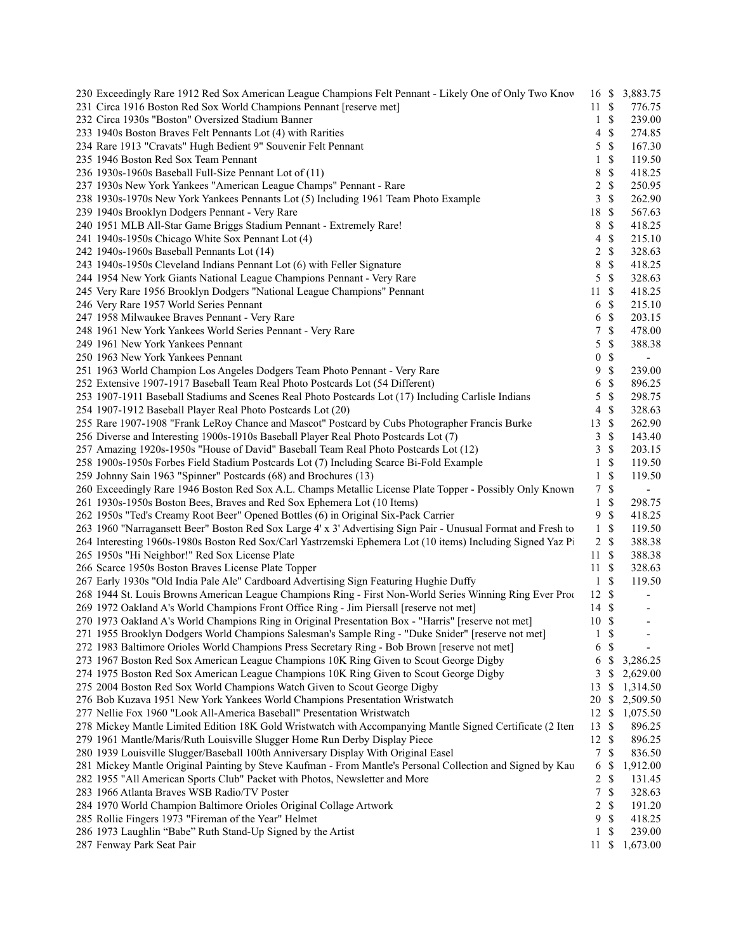| 230 Exceedingly Rare 1912 Red Sox American League Champions Felt Pennant - Likely One of Only Two Knov        |                  |               | 16 \$ 3,883.75               |  |
|---------------------------------------------------------------------------------------------------------------|------------------|---------------|------------------------------|--|
| 231 Circa 1916 Boston Red Sox World Champions Pennant [reserve met]                                           | 11S              |               | 776.75                       |  |
| 232 Circa 1930s "Boston" Oversized Stadium Banner                                                             | $\mathbf{1}$     | \$            | 239.00                       |  |
| 233 1940s Boston Braves Felt Pennants Lot (4) with Rarities                                                   | 4                | $\mathcal{S}$ | 274.85                       |  |
| 234 Rare 1913 "Cravats" Hugh Bedient 9" Souvenir Felt Pennant                                                 | 5                | $\mathcal{S}$ | 167.30                       |  |
| 235 1946 Boston Red Sox Team Pennant                                                                          | $\mathbf{1}$     | \$            | 119.50                       |  |
| 236 1930s-1960s Baseball Full-Size Pennant Lot of (11)                                                        | 8                | \$            | 418.25                       |  |
| 237 1930s New York Yankees "American League Champs" Pennant - Rare                                            | $\overline{c}$   | \$            | 250.95                       |  |
| 238 1930s-1970s New York Yankees Pennants Lot (5) Including 1961 Team Photo Example                           | 3                | \$            | 262.90                       |  |
| 239 1940s Brooklyn Dodgers Pennant - Very Rare                                                                | 18               | $\mathcal{S}$ | 567.63                       |  |
| 240 1951 MLB All-Star Game Briggs Stadium Pennant - Extremely Rare!                                           | 8                | \$            | 418.25                       |  |
| 241 1940s-1950s Chicago White Sox Pennant Lot (4)                                                             | 4                | \$            | 215.10                       |  |
| 242 1940s-1960s Baseball Pennants Lot (14)                                                                    | $\overline{c}$   | \$            | 328.63                       |  |
| 243 1940s-1950s Cleveland Indians Pennant Lot (6) with Feller Signature                                       | 8                | \$            | 418.25                       |  |
| 244 1954 New York Giants National League Champions Pennant - Very Rare                                        | 5                | $\mathbb{S}$  | 328.63                       |  |
| 245 Very Rare 1956 Brooklyn Dodgers "National League Champions" Pennant                                       | 11               | \$            | 418.25                       |  |
| 246 Very Rare 1957 World Series Pennant                                                                       | 6                | $\mathcal{S}$ | 215.10                       |  |
| 247 1958 Milwaukee Braves Pennant - Very Rare                                                                 | 6                | \$            | 203.15                       |  |
| 248 1961 New York Yankees World Series Pennant - Very Rare                                                    | 7                | \$            | 478.00                       |  |
| 249 1961 New York Yankees Pennant                                                                             | 5                | \$            | 388.38                       |  |
| 250 1963 New York Yankees Pennant                                                                             | 0                | \$            | $\overline{\phantom{a}}$     |  |
| 251 1963 World Champion Los Angeles Dodgers Team Photo Pennant - Very Rare                                    | 9                | $\mathbb{S}$  | 239.00                       |  |
| 252 Extensive 1907-1917 Baseball Team Real Photo Postcards Lot (54 Different)                                 | 6                | \$            | 896.25                       |  |
| 253 1907-1911 Baseball Stadiums and Scenes Real Photo Postcards Lot (17) Including Carlisle Indians           | 5                | \$            | 298.75                       |  |
| 254 1907-1912 Baseball Player Real Photo Postcards Lot (20)                                                   | 4                | \$            | 328.63                       |  |
| 255 Rare 1907-1908 "Frank LeRoy Chance and Mascot" Postcard by Cubs Photographer Francis Burke                | 13S              |               | 262.90                       |  |
| 256 Diverse and Interesting 1900s-1910s Baseball Player Real Photo Postcards Lot (7)                          | 3                | \$            | 143.40                       |  |
| 257 Amazing 1920s-1950s "House of David" Baseball Team Real Photo Postcards Lot (12)                          | 3                | \$            | 203.15                       |  |
| 258 1900s-1950s Forbes Field Stadium Postcards Lot (7) Including Scarce Bi-Fold Example                       | $\mathbf{1}$     | \$            | 119.50                       |  |
| 259 Johnny Sain 1963 "Spinner" Postcards (68) and Brochures (13)                                              | $\mathbf{1}$     | \$            | 119.50                       |  |
| 260 Exceedingly Rare 1946 Boston Red Sox A.L. Champs Metallic License Plate Topper - Possibly Only Known      | 7                | \$            | $\blacksquare$               |  |
| 261 1930s-1950s Boston Bees, Braves and Red Sox Ephemera Lot (10 Items)                                       | $\mathbf{1}$     | \$            | 298.75                       |  |
| 262 1950s "Ted's Creamy Root Beer" Opened Bottles (6) in Original Six-Pack Carrier                            | 9                | \$            | 418.25                       |  |
| 263 1960 "Narragansett Beer" Boston Red Sox Large 4' x 3' Advertising Sign Pair - Unusual Format and Fresh to | $\mathbf{1}$     | \$            | 119.50                       |  |
| 264 Interesting 1960s-1980s Boston Red Sox/Carl Yastrzemski Ephemera Lot (10 items) Including Signed Yaz Pi   |                  | 2 S           | 388.38                       |  |
| 265 1950s "Hi Neighbor!" Red Sox License Plate                                                                | 11S              |               | 388.38                       |  |
| 266 Scarce 1950s Boston Braves License Plate Topper                                                           | 11S              |               | 328.63                       |  |
| 267 Early 1930s "Old India Pale Ale" Cardboard Advertising Sign Featuring Hughie Duffy                        | $\mathbf{1}$     | \$            | 119.50                       |  |
| 268 1944 St. Louis Browns American League Champions Ring - First Non-World Series Winning Ring Ever Proc      | $12 \text{ }$ \$ |               | $\qquad \qquad \blacksquare$ |  |
| 269 1972 Oakland A's World Champions Front Office Ring - Jim Piersall [reserve not met]                       | $14 \text{ }$ \$ |               | $\qquad \qquad \blacksquare$ |  |
| 270 1973 Oakland A's World Champions Ring in Original Presentation Box - "Harris" [reserve not met]           | 10S              |               | $\overline{\phantom{a}}$     |  |
| 271 1955 Brooklyn Dodgers World Champions Salesman's Sample Ring - "Duke Snider" [reserve not met]            | $\mathbf{1}$     | \$            |                              |  |
| 272 1983 Baltimore Orioles World Champions Press Secretary Ring - Bob Brown [reserve not met]                 | 6                | \$            |                              |  |
| 273 1967 Boston Red Sox American League Champions 10K Ring Given to Scout George Digby                        | 6                | \$            | 3,286.25                     |  |
| 274 1975 Boston Red Sox American League Champions 10K Ring Given to Scout George Digby                        | 3                | \$            | 2,629.00                     |  |
| 275 2004 Boston Red Sox World Champions Watch Given to Scout George Digby                                     | 13               | \$            | 1,314.50                     |  |
| 276 Bob Kuzava 1951 New York Yankees World Champions Presentation Wristwatch                                  |                  |               | 20 \$ 2,509.50               |  |
| 277 Nellie Fox 1960 "Look All-America Baseball" Presentation Wristwatch                                       | 12S              |               | 1,075.50                     |  |
| 278 Mickey Mantle Limited Edition 18K Gold Wristwatch with Accompanying Mantle Signed Certificate (2 Iten     | $13 \text{ }$ \$ |               | 896.25                       |  |
| 279 1961 Mantle/Maris/Ruth Louisville Slugger Home Run Derby Display Piece                                    | 12S              |               | 896.25                       |  |
| 280 1939 Louisville Slugger/Baseball 100th Anniversary Display With Original Easel                            | $\tau$           | \$            | 836.50                       |  |
| 281 Mickey Mantle Original Painting by Steve Kaufman - From Mantle's Personal Collection and Signed by Kau    | 6                | <sup>\$</sup> | 1,912.00                     |  |
| 282 1955 "All American Sports Club" Packet with Photos, Newsletter and More                                   | 2                | \$            | 131.45                       |  |
| 283 1966 Atlanta Braves WSB Radio/TV Poster                                                                   | 7                | \$            | 328.63                       |  |
| 284 1970 World Champion Baltimore Orioles Original Collage Artwork                                            | 2                | \$            | 191.20                       |  |
| 285 Rollie Fingers 1973 "Fireman of the Year" Helmet                                                          | 9                | \$            | 418.25                       |  |
| 286 1973 Laughlin "Babe" Ruth Stand-Up Signed by the Artist                                                   | 1                | \$            | 239.00                       |  |
| 287 Fenway Park Seat Pair                                                                                     |                  |               | 11 \$ 1,673.00               |  |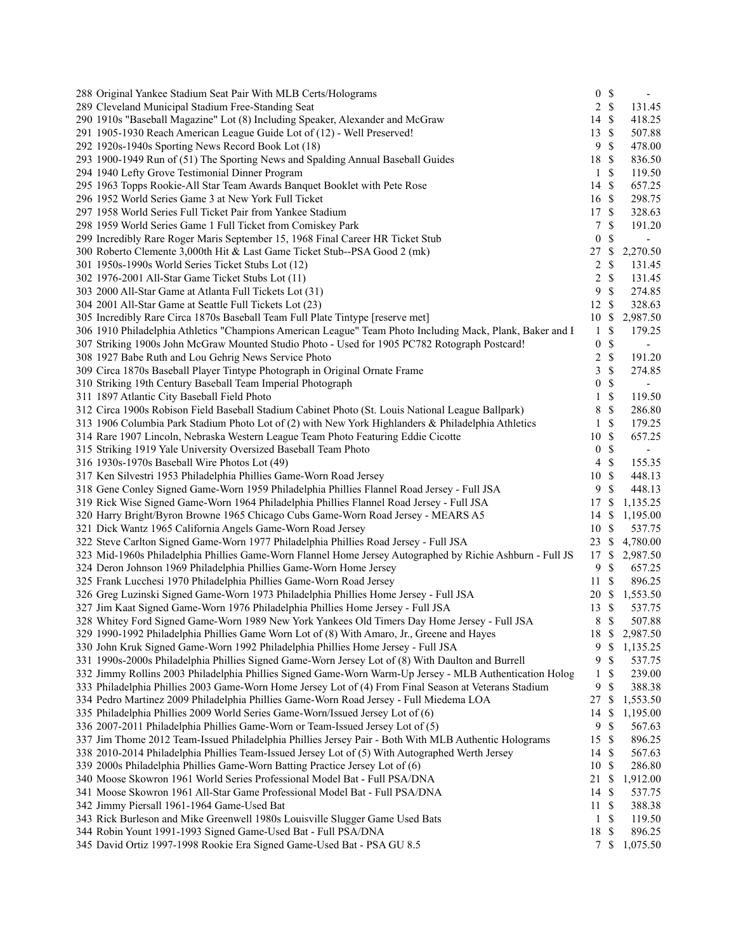| 288 Original Yankee Stadium Seat Pair With MLB Certs/Holograms                                            |                  | 0 S           | $\overline{\phantom{a}}$ |  |
|-----------------------------------------------------------------------------------------------------------|------------------|---------------|--------------------------|--|
| 289 Cleveland Municipal Stadium Free-Standing Seat                                                        |                  | 2 S           | 131.45                   |  |
| 290 1910s "Baseball Magazine" Lot (8) Including Speaker, Alexander and McGraw                             | 14 \$            |               | 418.25                   |  |
| 291 1905-1930 Reach American League Guide Lot of (12) - Well Preserved!                                   | 13S              |               | 507.88                   |  |
| 292 1920s-1940s Sporting News Record Book Lot (18)                                                        | 9                | $\mathcal{S}$ | 478.00                   |  |
| 293 1900-1949 Run of (51) The Sporting News and Spalding Annual Baseball Guides                           | 18 \$            |               | 836.50                   |  |
| 294 1940 Lefty Grove Testimonial Dinner Program                                                           |                  | $1 \text{ }$  | 119.50                   |  |
| 295 1963 Topps Rookie-All Star Team Awards Banquet Booklet with Pete Rose                                 | 14 \$            |               | 657.25                   |  |
| 296 1952 World Series Game 3 at New York Full Ticket                                                      | 16 \$            |               | 298.75                   |  |
| 297 1958 World Series Full Ticket Pair from Yankee Stadium                                                | 17S              |               | 328.63                   |  |
| 298 1959 World Series Game 1 Full Ticket from Comiskey Park                                               | 7                | \$            | 191.20                   |  |
| 299 Incredibly Rare Roger Maris September 15, 1968 Final Career HR Ticket Stub                            | $\boldsymbol{0}$ | \$            | $\blacksquare$           |  |
| 300 Roberto Clemente 3,000th Hit & Last Game Ticket Stub--PSA Good 2 (mk)                                 | 27S              |               | 2,270.50                 |  |
| 301 1950s-1990s World Series Ticket Stubs Lot (12)                                                        | $\overline{2}$   | $\mathbb{S}$  | 131.45                   |  |
| 302 1976-2001 All-Star Game Ticket Stubs Lot (11)                                                         | 2                | \$            | 131.45                   |  |
| 303 2000 All-Star Game at Atlanta Full Tickets Lot (31)                                                   | 9                | $\mathcal{S}$ | 274.85                   |  |
| 304 2001 All-Star Game at Seattle Full Tickets Lot (23)                                                   | 12S              |               | 328.63                   |  |
| 305 Incredibly Rare Circa 1870s Baseball Team Full Plate Tintype [reserve met]                            |                  |               | 10 \$ 2,987.50           |  |
| 306 1910 Philadelphia Athletics "Champions American League" Team Photo Including Mack, Plank, Baker and I | $\mathbf{1}$     | \$            | 179.25                   |  |
| 307 Striking 1900s John McGraw Mounted Studio Photo - Used for 1905 PC782 Rotograph Postcard!             | $\boldsymbol{0}$ | \$            | $\blacksquare$           |  |
| 308 1927 Babe Ruth and Lou Gehrig News Service Photo                                                      | 2                | \$            | 191.20                   |  |
| 309 Circa 1870s Baseball Player Tintype Photograph in Original Ornate Frame                               | 3                | \$            | 274.85                   |  |
| 310 Striking 19th Century Baseball Team Imperial Photograph                                               | $\overline{0}$   | \$            | $\overline{\phantom{a}}$ |  |
| 311 1897 Atlantic City Baseball Field Photo                                                               | 1                | \$            | 119.50                   |  |
| 312 Circa 1900s Robison Field Baseball Stadium Cabinet Photo (St. Louis National League Ballpark)         | 8                | \$            | 286.80                   |  |
| 313 1906 Columbia Park Stadium Photo Lot of (2) with New York Highlanders & Philadelphia Athletics        | 1                | \$            | 179.25                   |  |
| 314 Rare 1907 Lincoln, Nebraska Western League Team Photo Featuring Eddie Cicotte                         | 10               | $\mathcal{S}$ | 657.25                   |  |
| 315 Striking 1919 Yale University Oversized Baseball Team Photo                                           | $\boldsymbol{0}$ | \$            | $\overline{\phantom{a}}$ |  |
| 316 1930s-1970s Baseball Wire Photos Lot (49)                                                             | $\overline{4}$   | $\mathcal{S}$ | 155.35                   |  |
| 317 Ken Silvestri 1953 Philadelphia Phillies Game-Worn Road Jersey                                        | 10               | $\mathcal{S}$ | 448.13                   |  |
| 318 Gene Conley Signed Game-Worn 1959 Philadelphia Phillies Flannel Road Jersey - Full JSA                | 9                | \$            | 448.13                   |  |
|                                                                                                           |                  |               |                          |  |
| 319 Rick Wise Signed Game-Worn 1964 Philadelphia Phillies Flannel Road Jersey - Full JSA                  | 17               | S             | 1,135.25                 |  |
| 320 Harry Bright/Byron Browne 1965 Chicago Cubs Game-Worn Road Jersey - MEARS A5                          | 14 \$            |               | 1,195.00                 |  |
| 321 Dick Wantz 1965 California Angels Game-Worn Road Jersey                                               | 10               | \$            | 537.75                   |  |
| 322 Steve Carlton Signed Game-Worn 1977 Philadelphia Phillies Road Jersey - Full JSA                      |                  |               | 23 \$ 4,780.00           |  |
| 323 Mid-1960s Philadelphia Phillies Game-Worn Flannel Home Jersey Autographed by Richie Ashburn - Full JS |                  |               | 17 \$ 2,987.50           |  |
| 324 Deron Johnson 1969 Philadelphia Phillies Game-Worn Home Jersey                                        | 9                | $\mathbb{S}$  | 657.25                   |  |
| 325 Frank Lucchesi 1970 Philadelphia Phillies Game-Worn Road Jersey                                       | 11S              |               | 896.25                   |  |
| 326 Greg Luzinski Signed Game-Worn 1973 Philadelphia Phillies Home Jersey - Full JSA                      | 20 \$            |               | 1,553.50                 |  |
| 327 Jim Kaat Signed Game-Worn 1976 Philadelphia Phillies Home Jersey - Full JSA                           | 13               | \$            | 537.75                   |  |
| 328 Whitey Ford Signed Game-Worn 1989 New York Yankees Old Timers Day Home Jersey - Full JSA              | 8                | -\$           | 507.88                   |  |
| 329 1990-1992 Philadelphia Phillies Game Worn Lot of (8) With Amaro, Jr., Greene and Hayes                |                  |               | 18 \$ 2,987.50           |  |
| 330 John Kruk Signed Game-Worn 1992 Philadelphia Phillies Home Jersey - Full JSA                          | 9                | $\mathbb S$   | 1,135.25                 |  |
| 331 1990s-2000s Philadelphia Phillies Signed Game-Worn Jersey Lot of (8) With Daulton and Burrell         | 9                | \$            | 537.75                   |  |
| 332 Jimmy Rollins 2003 Philadelphia Phillies Signed Game-Worn Warm-Up Jersey - MLB Authentication Holog   | 1                | \$            | 239.00                   |  |
| 333 Philadelphia Phillies 2003 Game-Worn Home Jersey Lot of (4) From Final Season at Veterans Stadium     | 9                | \$            | 388.38                   |  |
| 334 Pedro Martinez 2009 Philadelphia Phillies Game-Worn Road Jersey - Full Miedema LOA                    | 27               | $\mathbb{S}$  | 1,553.50                 |  |
| 335 Philadelphia Phillies 2009 World Series Game-Worn/Issued Jersey Lot of (6)                            | 14               | \$            | 1,195.00                 |  |
| 336 2007-2011 Philadelphia Phillies Game-Worn or Team-Issued Jersey Lot of (5)                            | 9                | \$            | 567.63                   |  |
| 337 Jim Thome 2012 Team-Issued Philadelphia Phillies Jersey Pair - Both With MLB Authentic Holograms      | 15S              |               | 896.25                   |  |
| 338 2010-2014 Philadelphia Phillies Team-Issued Jersey Lot of (5) With Autographed Werth Jersey           | 14               | \$            | 567.63                   |  |
| 339 2000s Philadelphia Phillies Game-Worn Batting Practice Jersey Lot of (6)                              | 10               | \$            | 286.80                   |  |
| 340 Moose Skowron 1961 World Series Professional Model Bat - Full PSA/DNA                                 | 21 \$            |               | 1,912.00                 |  |
| 341 Moose Skowron 1961 All-Star Game Professional Model Bat - Full PSA/DNA                                | 14               | <sup>\$</sup> | 537.75                   |  |
| 342 Jimmy Piersall 1961-1964 Game-Used Bat                                                                | 11               | <sup>\$</sup> | 388.38                   |  |
| 343 Rick Burleson and Mike Greenwell 1980s Louisville Slugger Game Used Bats                              | $\mathbf{1}$     | \$            | 119.50                   |  |
| 344 Robin Yount 1991-1993 Signed Game-Used Bat - Full PSA/DNA                                             | 18 \$            |               | 896.25                   |  |
| 345 David Ortiz 1997-1998 Rookie Era Signed Game-Used Bat - PSA GU 8.5                                    |                  |               | 7 \$ 1,075.50            |  |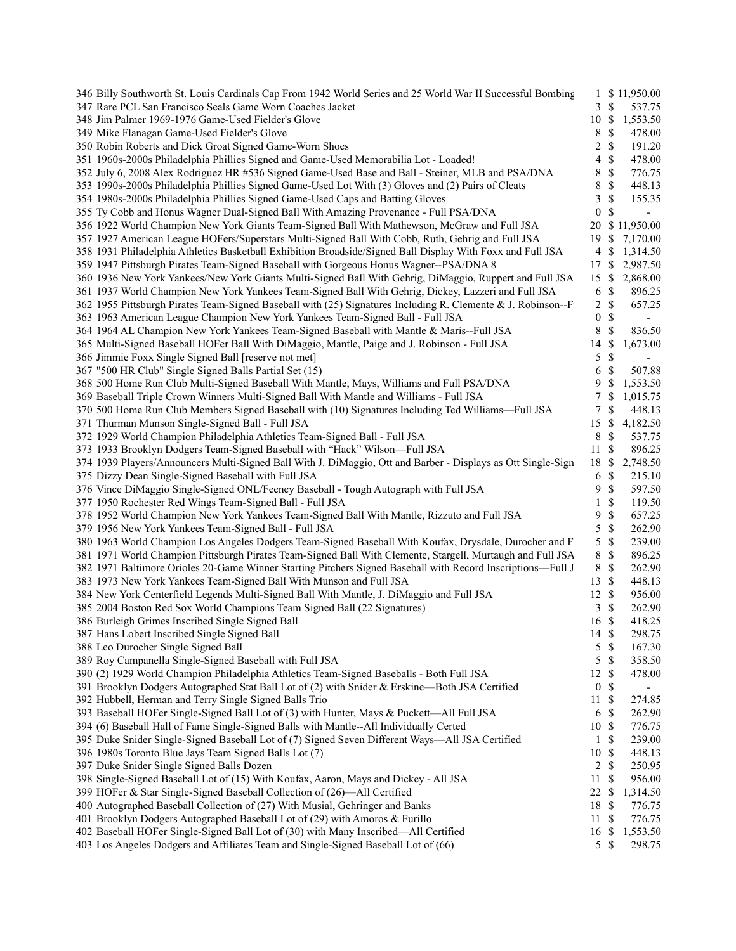| 346 Billy Southworth St. Louis Cardinals Cap From 1942 World Series and 25 World War II Successful Bombing   | $\mathbf{1}$         | \$11,950.00                              |  |
|--------------------------------------------------------------------------------------------------------------|----------------------|------------------------------------------|--|
| 347 Rare PCL San Francisco Seals Game Worn Coaches Jacket                                                    | 3                    | \$<br>537.75                             |  |
| 348 Jim Palmer 1969-1976 Game-Used Fielder's Glove                                                           | 10 \$                | 1,553.50                                 |  |
| 349 Mike Flanagan Game-Used Fielder's Glove                                                                  | 8                    | \$<br>478.00                             |  |
| 350 Robin Roberts and Dick Groat Signed Game-Worn Shoes                                                      | 2                    | $\mathbb{S}$<br>191.20                   |  |
| 351 1960s-2000s Philadelphia Phillies Signed and Game-Used Memorabilia Lot - Loaded!                         | 4                    | \$<br>478.00                             |  |
| 352 July 6, 2008 Alex Rodriguez HR #536 Signed Game-Used Base and Ball - Steiner, MLB and PSA/DNA            | 8                    | \$<br>776.75                             |  |
| 353 1990s-2000s Philadelphia Phillies Signed Game-Used Lot With (3) Gloves and (2) Pairs of Cleats           | 8                    | \$<br>448.13                             |  |
| 354 1980s-2000s Philadelphia Phillies Signed Game-Used Caps and Batting Gloves                               | 3                    | \$<br>155.35                             |  |
| 355 Ty Cobb and Honus Wagner Dual-Signed Ball With Amazing Provenance - Full PSA/DNA                         | $\boldsymbol{0}$     | $\mathbb{S}$<br>$\overline{\phantom{a}}$ |  |
| 356 1922 World Champion New York Giants Team-Signed Ball With Mathewson, McGraw and Full JSA                 |                      | 20 \$ 11,950.00                          |  |
| 357 1927 American League HOFers/Superstars Multi-Signed Ball With Cobb, Ruth, Gehrig and Full JSA            | 19S                  | 7,170.00                                 |  |
| 358 1931 Philadelphia Athletics Basketball Exhibition Broadside/Signed Ball Display With Foxx and Full JSA   | 4 \$                 | 1,314.50                                 |  |
| 359 1947 Pittsburgh Pirates Team-Signed Baseball with Gorgeous Honus Wagner--PSA/DNA 8                       |                      | 17 \$ 2,987.50                           |  |
| 360 1936 New York Yankees/New York Giants Multi-Signed Ball With Gehrig, DiMaggio, Ruppert and Full JSA      |                      | 15 \$ 2,868.00                           |  |
| 361 1937 World Champion New York Yankees Team-Signed Ball With Gehrig, Dickey, Lazzeri and Full JSA          | 6 <sup>°</sup>       | 896.25                                   |  |
| 362 1955 Pittsburgh Pirates Team-Signed Baseball with (25) Signatures Including R. Clemente & J. Robinson--F | $2 \sqrt{s}$         | 657.25                                   |  |
| 363 1963 American League Champion New York Yankees Team-Signed Ball - Full JSA                               | $\bf{0}$             | $\mathcal{S}$                            |  |
| 364 1964 AL Champion New York Yankees Team-Signed Baseball with Mantle & Maris--Full JSA                     |                      | $\overline{\phantom{a}}$                 |  |
|                                                                                                              | 8                    | \$<br>836.50                             |  |
| 365 Multi-Signed Baseball HOFer Ball With DiMaggio, Mantle, Paige and J. Robinson - Full JSA                 | 14 \$                | 1,673.00                                 |  |
| 366 Jimmie Foxx Single Signed Ball [reserve not met]                                                         | 5                    | $\mathbb{S}$<br>$\overline{\phantom{a}}$ |  |
| 367 "500 HR Club" Single Signed Balls Partial Set (15)                                                       | 6                    | \$<br>507.88                             |  |
| 368 500 Home Run Club Multi-Signed Baseball With Mantle, Mays, Williams and Full PSA/DNA                     | 9                    | \$<br>1,553.50                           |  |
| 369 Baseball Triple Crown Winners Multi-Signed Ball With Mantle and Williams - Full JSA                      | 7                    | \$<br>1,015.75                           |  |
| 370 500 Home Run Club Members Signed Baseball with (10) Signatures Including Ted Williams—Full JSA           | 7                    | \$<br>448.13                             |  |
| 371 Thurman Munson Single-Signed Ball - Full JSA                                                             | 15S                  | 4,182.50                                 |  |
| 372 1929 World Champion Philadelphia Athletics Team-Signed Ball - Full JSA                                   | 8                    | \$<br>537.75                             |  |
| 373 1933 Brooklyn Dodgers Team-Signed Baseball with "Hack" Wilson-Full JSA                                   | 11                   | -S<br>896.25                             |  |
| 374 1939 Players/Announcers Multi-Signed Ball With J. DiMaggio, Ott and Barber - Displays as Ott Single-Sign |                      | 18 \$ 2,748.50                           |  |
| 375 Dizzy Dean Single-Signed Baseball with Full JSA                                                          | 6                    | $\mathcal{S}$<br>215.10                  |  |
| 376 Vince DiMaggio Single-Signed ONL/Feeney Baseball - Tough Autograph with Full JSA                         | 9                    | $\mathbb{S}$<br>597.50                   |  |
| 377 1950 Rochester Red Wings Team-Signed Ball - Full JSA                                                     | 1                    | \$<br>119.50                             |  |
| 378 1952 World Champion New York Yankees Team-Signed Ball With Mantle, Rizzuto and Full JSA                  | 9                    | \$<br>657.25                             |  |
| 379 1956 New York Yankees Team-Signed Ball - Full JSA                                                        | 5                    | $\mathbb{S}$<br>262.90                   |  |
| 380 1963 World Champion Los Angeles Dodgers Team-Signed Baseball With Koufax, Drysdale, Durocher and F       | 5                    | $\mathbb{S}$<br>239.00                   |  |
| 381 1971 World Champion Pittsburgh Pirates Team-Signed Ball With Clemente, Stargell, Murtaugh and Full JSA   | 8                    | $\mathbb{S}$<br>896.25                   |  |
| 382 1971 Baltimore Orioles 20-Game Winner Starting Pitchers Signed Baseball with Record Inscriptions—Full J  | $\,$ 8 $\,$          | -\$<br>262.90                            |  |
| 383 1973 New York Yankees Team-Signed Ball With Munson and Full JSA                                          | 13S                  | 448.13                                   |  |
| 384 New York Centerfield Legends Multi-Signed Ball With Mantle, J. DiMaggio and Full JSA                     | 12 \$                | 956.00                                   |  |
| 385 2004 Boston Red Sox World Champions Team Signed Ball (22 Signatures)                                     | 3                    | $\mathbb{S}$<br>262.90                   |  |
| 386 Burleigh Grimes Inscribed Single Signed Ball                                                             | 16 \$                | 418.25                                   |  |
| 387 Hans Lobert Inscribed Single Signed Ball                                                                 | 14 \$                | 298.75                                   |  |
| 388 Leo Durocher Single Signed Ball                                                                          | 5                    | -\$<br>167.30                            |  |
| 389 Roy Campanella Single-Signed Baseball with Full JSA                                                      | 5                    | \$<br>358.50                             |  |
| 390 (2) 1929 World Champion Philadelphia Athletics Team-Signed Baseballs - Both Full JSA                     | 12 \$                | 478.00                                   |  |
| 391 Brooklyn Dodgers Autographed Stat Ball Lot of (2) with Snider & Erskine-Both JSA Certified               | $\boldsymbol{0}$     | $\mathbb{S}$                             |  |
| 392 Hubbell, Herman and Terry Single Signed Balls Trio                                                       |                      | $\overline{\phantom{a}}$                 |  |
|                                                                                                              | 11<br>6 <sup>°</sup> | - \$<br>274.85<br>262.90                 |  |
| 393 Baseball HOFer Single-Signed Ball Lot of (3) with Hunter, Mays & Puckett—All Full JSA                    |                      |                                          |  |
| 394 (6) Baseball Hall of Fame Single-Signed Balls with Mantle--All Individually Certed                       | 10 \$                | 776.75                                   |  |
| 395 Duke Snider Single-Signed Baseball Lot of (7) Signed Seven Different Ways—All JSA Certified              | $\mathbf{1}$         | - \$<br>239.00                           |  |
| 396 1980s Toronto Blue Jays Team Signed Balls Lot (7)                                                        | 10 \$                | 448.13                                   |  |
| 397 Duke Snider Single Signed Balls Dozen                                                                    | $2 \sqrt{s}$         | 250.95                                   |  |
| 398 Single-Signed Baseball Lot of (15) With Koufax, Aaron, Mays and Dickey - All JSA                         | 11                   | - \$<br>956.00                           |  |
| 399 HOFer & Star Single-Signed Baseball Collection of (26)-All Certified                                     | $22 \text{ }$ \$     | 1,314.50                                 |  |
| 400 Autographed Baseball Collection of (27) With Musial, Gehringer and Banks                                 | 18 \$                | 776.75                                   |  |
| 401 Brooklyn Dodgers Autographed Baseball Lot of (29) with Amoros & Furillo                                  | 11S                  | 776.75                                   |  |
| 402 Baseball HOFer Single-Signed Ball Lot of (30) with Many Inscribed-All Certified                          | 16 \$                | 1,553.50                                 |  |
| 403 Los Angeles Dodgers and Affiliates Team and Single-Signed Baseball Lot of (66)                           | $5 \text{ }$ \$      | 298.75                                   |  |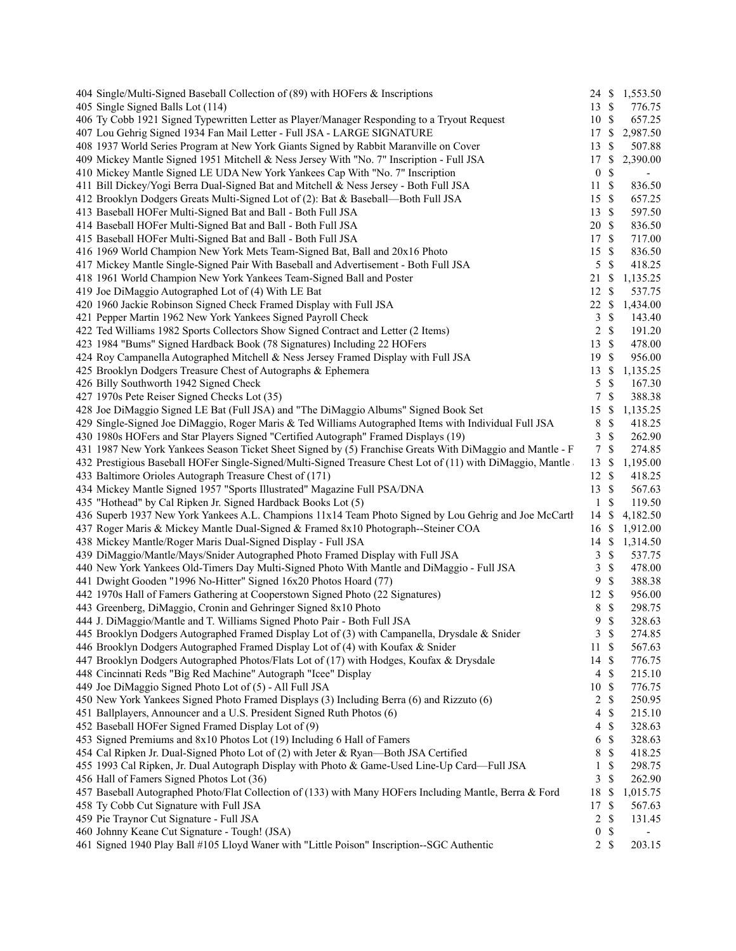| 404 Single/Multi-Signed Baseball Collection of (89) with HOFers & Inscriptions                             |                  |                           | 24 \$ 1,553.50 |
|------------------------------------------------------------------------------------------------------------|------------------|---------------------------|----------------|
| 405 Single Signed Balls Lot (114)                                                                          | 13S              |                           | 776.75         |
| 406 Ty Cobb 1921 Signed Typewritten Letter as Player/Manager Responding to a Tryout Request                | 10S              |                           | 657.25         |
| 407 Lou Gehrig Signed 1934 Fan Mail Letter - Full JSA - LARGE SIGNATURE                                    | 17               | $\mathbb{S}$              | 2,987.50       |
| 408 1937 World Series Program at New York Giants Signed by Rabbit Maranville on Cover                      | 13               | $\mathbb{S}$              | 507.88         |
| 409 Mickey Mantle Signed 1951 Mitchell & Ness Jersey With "No. 7" Inscription - Full JSA                   | 17               | \$                        | 2,390.00       |
| 410 Mickey Mantle Signed LE UDA New York Yankees Cap With "No. 7" Inscription                              | $\boldsymbol{0}$ | $\mathbb{S}$              |                |
| 411 Bill Dickey/Yogi Berra Dual-Signed Bat and Mitchell & Ness Jersey - Both Full JSA                      | 11               | $\mathcal{S}$             | 836.50         |
| 412 Brooklyn Dodgers Greats Multi-Signed Lot of (2): Bat & Baseball-Both Full JSA                          | 15               | $\mathcal{S}$             | 657.25         |
| 413 Baseball HOFer Multi-Signed Bat and Ball - Both Full JSA                                               | 13               | $\mathcal{S}$             | 597.50         |
| 414 Baseball HOFer Multi-Signed Bat and Ball - Both Full JSA                                               | 20               | $\mathcal{S}$             | 836.50         |
| 415 Baseball HOFer Multi-Signed Bat and Ball - Both Full JSA                                               | 17               | -\$                       | 717.00         |
| 416 1969 World Champion New York Mets Team-Signed Bat, Ball and 20x16 Photo                                | 15               | $\mathbb{S}$              | 836.50         |
| 417 Mickey Mantle Single-Signed Pair With Baseball and Advertisement - Both Full JSA                       | 5                | $\mathcal{S}$             | 418.25         |
| 418 1961 World Champion New York Yankees Team-Signed Ball and Poster                                       | 21               | $\mathbb{S}$              | 1,135.25       |
| 419 Joe DiMaggio Autographed Lot of (4) With LE Bat                                                        | 12               | $\mathcal{S}$             | 537.75         |
| 420 1960 Jackie Robinson Signed Check Framed Display with Full JSA                                         | 22               | $\mathbb{S}$              | 1,434.00       |
| 421 Pepper Martin 1962 New York Yankees Signed Payroll Check                                               | 3                | \$                        | 143.40         |
| 422 Ted Williams 1982 Sports Collectors Show Signed Contract and Letter (2 Items)                          | $\overline{c}$   | $\mathbb{S}$              | 191.20         |
| 423 1984 "Bums" Signed Hardback Book (78 Signatures) Including 22 HOFers                                   | 13               | $\mathcal{S}$             | 478.00         |
| 424 Roy Campanella Autographed Mitchell & Ness Jersey Framed Display with Full JSA                         | 19               | $\mathcal{S}$             | 956.00         |
| 425 Brooklyn Dodgers Treasure Chest of Autographs & Ephemera                                               | 13               | $\mathbb{S}$              | 1,135.25       |
| 426 Billy Southworth 1942 Signed Check                                                                     | 5                | \$                        | 167.30         |
| 427 1970s Pete Reiser Signed Checks Lot (35)                                                               | 7                | \$                        | 388.38         |
| 428 Joe DiMaggio Signed LE Bat (Full JSA) and "The DiMaggio Albums" Signed Book Set                        | 15               | $\mathbb{S}$              | 1,135.25       |
| 429 Single-Signed Joe DiMaggio, Roger Maris & Ted Williams Autographed Items with Individual Full JSA      | 8                | \$                        | 418.25         |
| 430 1980s HOFers and Star Players Signed "Certified Autograph" Framed Displays (19)                        | 3                | $\mathcal{S}$             | 262.90         |
| 431 1987 New York Yankees Season Ticket Sheet Signed by (5) Franchise Greats With DiMaggio and Mantle - F  | $\tau$           | $\mathcal{S}$             | 274.85         |
| 432 Prestigious Baseball HOFer Single-Signed/Multi-Signed Treasure Chest Lot of (11) with DiMaggio, Mantle | 13               | \$                        | 1,195.00       |
| 433 Baltimore Orioles Autograph Treasure Chest of (171)                                                    | 12               | -S                        | 418.25         |
| 434 Mickey Mantle Signed 1957 "Sports Illustrated" Magazine Full PSA/DNA                                   | 13               | $\mathcal{S}$             | 567.63         |
| 435 "Hothead" by Cal Ripken Jr. Signed Hardback Books Lot (5)                                              | $\mathbf{1}$     | $\mathbf{\$}$             | 119.50         |
| 436 Superb 1937 New York Yankees A.L. Champions 11x14 Team Photo Signed by Lou Gehrig and Joe McCartl      | 14               | -S                        | 4,182.50       |
| 437 Roger Maris & Mickey Mantle Dual-Signed & Framed 8x10 Photograph--Steiner COA                          | 16               | -S                        | 1,912.00       |
| 438 Mickey Mantle/Roger Maris Dual-Signed Display - Full JSA                                               | 14               | \$                        | 1,314.50       |
| 439 DiMaggio/Mantle/Mays/Snider Autographed Photo Framed Display with Full JSA                             | 3                | \$                        | 537.75         |
| 440 New York Yankees Old-Timers Day Multi-Signed Photo With Mantle and DiMaggio - Full JSA                 | 3                | $\mathbb{S}$              | 478.00         |
| 441 Dwight Gooden "1996 No-Hitter" Signed 16x20 Photos Hoard (77)                                          | 9                | $\mathcal{S}$             | 388.38         |
| 442 1970s Hall of Famers Gathering at Cooperstown Signed Photo (22 Signatures)                             | 12               | $\mathcal{S}$             | 956.00         |
| 443 Greenberg, DiMaggio, Cronin and Gehringer Signed 8x10 Photo                                            | 8                | $\mathbb{S}$              | 298.75         |
| 444 J. DiMaggio/Mantle and T. Williams Signed Photo Pair - Both Full JSA                                   | 9                | \$                        | 328.63         |
| 445 Brooklyn Dodgers Autographed Framed Display Lot of (3) with Campanella, Drysdale & Snider              | 3S               |                           | 274.85         |
| 446 Brooklyn Dodgers Autographed Framed Display Lot of (4) with Koufax & Snider                            | 11               | $\mathcal{S}$             | 567.63         |
| 447 Brooklyn Dodgers Autographed Photos/Flats Lot of (17) with Hodges, Koufax & Drysdale                   | 14               | $\mathbb{S}$              | 776.75         |
| 448 Cincinnati Reds "Big Red Machine" Autograph "Icee" Display                                             | $\overline{4}$   | $\mathcal{S}$             | 215.10         |
| 449 Joe DiMaggio Signed Photo Lot of (5) - All Full JSA                                                    | 10               | $\mathbb{S}$              | 776.75         |
| 450 New York Yankees Signed Photo Framed Displays (3) Including Berra (6) and Rizzuto (6)                  | $\overline{c}$   | \$                        | 250.95         |
| 451 Ballplayers, Announcer and a U.S. President Signed Ruth Photos (6)                                     | $\overline{4}$   | \$                        | 215.10         |
| 452 Baseball HOFer Signed Framed Display Lot of (9)                                                        | $\overline{4}$   | $\mathbb{S}$              | 328.63         |
| 453 Signed Premiums and 8x10 Photos Lot (19) Including 6 Hall of Famers                                    | 6                | \$                        | 328.63         |
| 454 Cal Ripken Jr. Dual-Signed Photo Lot of (2) with Jeter & Ryan-Both JSA Certified                       | 8                | \$                        | 418.25         |
| 455 1993 Cal Ripken, Jr. Dual Autograph Display with Photo & Game-Used Line-Up Card—Full JSA               | 1                | \$                        | 298.75         |
| 456 Hall of Famers Signed Photos Lot (36)                                                                  | 3                | \$                        | 262.90         |
| 457 Baseball Autographed Photo/Flat Collection of (133) with Many HOFers Including Mantle, Berra & Ford    | 18               | $\boldsymbol{\mathsf{S}}$ | 1,015.75       |
| 458 Ty Cobb Cut Signature with Full JSA                                                                    | 17               | \$                        | 567.63         |
| 459 Pie Traynor Cut Signature - Full JSA                                                                   | 2                | \$                        | 131.45         |
| 460 Johnny Keane Cut Signature - Tough! (JSA)                                                              | $\boldsymbol{0}$ | \$                        |                |
| 461 Signed 1940 Play Ball #105 Lloyd Waner with "Little Poison" Inscription--SGC Authentic                 | 2 S              |                           | 203.15         |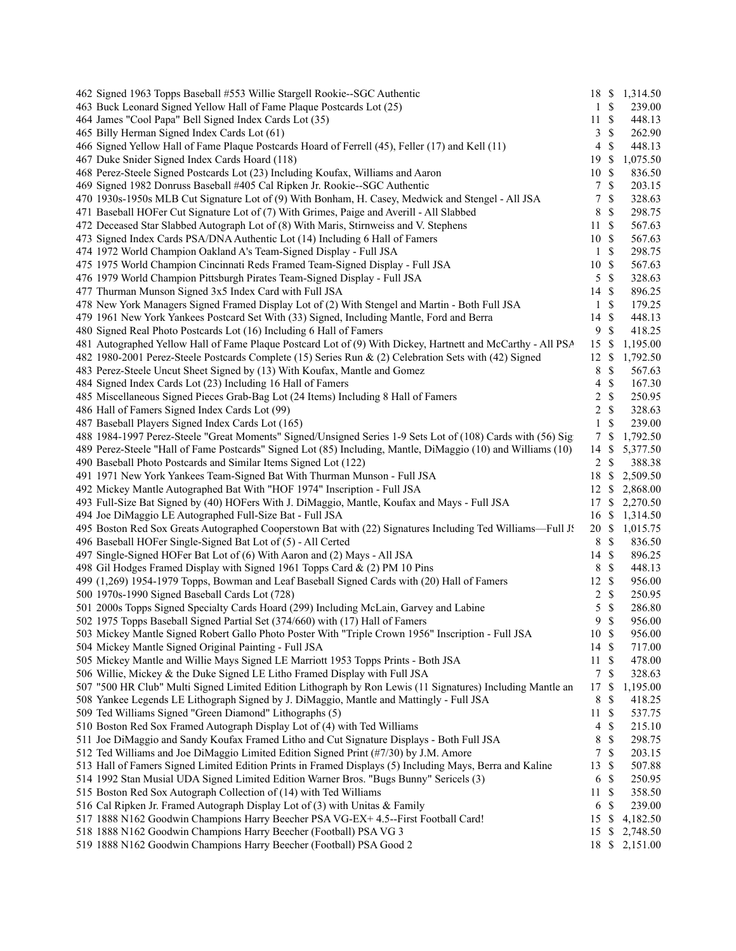| 462 Signed 1963 Topps Baseball #553 Willie Stargell Rookie--SGC Authentic                                      |                  |                   | 18 \$ 1,314.50 |
|----------------------------------------------------------------------------------------------------------------|------------------|-------------------|----------------|
| 463 Buck Leonard Signed Yellow Hall of Fame Plaque Postcards Lot (25)                                          | 1                | $\mathbb{S}$      | 239.00         |
| 464 James "Cool Papa" Bell Signed Index Cards Lot (35)                                                         | 11               | \$                | 448.13         |
| 465 Billy Herman Signed Index Cards Lot (61)                                                                   | 3                | \$                | 262.90         |
| 466 Signed Yellow Hall of Fame Plaque Postcards Hoard of Ferrell (45), Feller (17) and Kell (11)               | $\overline{4}$   | $\mathbb{S}$      | 448.13         |
| 467 Duke Snider Signed Index Cards Hoard (118)                                                                 | 19               | \$                | 1,075.50       |
| 468 Perez-Steele Signed Postcards Lot (23) Including Koufax, Williams and Aaron                                | 10               | \$                | 836.50         |
| 469 Signed 1982 Donruss Baseball #405 Cal Ripken Jr. Rookie--SGC Authentic                                     | 7                | $\mathbb S$       | 203.15         |
| 470 1930s-1950s MLB Cut Signature Lot of (9) With Bonham, H. Casey, Medwick and Stengel - All JSA              | 7                | \$                | 328.63         |
| 471 Baseball HOFer Cut Signature Lot of (7) With Grimes, Paige and Averill - All Slabbed                       | 8                | \$                | 298.75         |
| 472 Deceased Star Slabbed Autograph Lot of (8) With Maris, Stirnweiss and V. Stephens                          | 11               | $\mathbb{S}$      | 567.63         |
| 473 Signed Index Cards PSA/DNA Authentic Lot (14) Including 6 Hall of Famers                                   | 10S              |                   | 567.63         |
| 474 1972 World Champion Oakland A's Team-Signed Display - Full JSA                                             | 1                | \$                | 298.75         |
| 475 1975 World Champion Cincinnati Reds Framed Team-Signed Display - Full JSA                                  | 10               | \$                | 567.63         |
| 476 1979 World Champion Pittsburgh Pirates Team-Signed Display - Full JSA                                      | 5                | \$                | 328.63         |
| 477 Thurman Munson Signed 3x5 Index Card with Full JSA                                                         | 14               | \$                | 896.25         |
| 478 New York Managers Signed Framed Display Lot of (2) With Stengel and Martin - Both Full JSA                 | 1                | $\mathbb{S}$      | 179.25         |
| 479 1961 New York Yankees Postcard Set With (33) Signed, Including Mantle, Ford and Berra                      | 14               | \$                | 448.13         |
| 480 Signed Real Photo Postcards Lot (16) Including 6 Hall of Famers                                            | 9                | \$                | 418.25         |
| 481 Autographed Yellow Hall of Fame Plaque Postcard Lot of (9) With Dickey, Hartnett and McCarthy - All PSA    | 15               | \$                | 1,195.00       |
|                                                                                                                |                  | <sup>\$</sup>     |                |
| 482 1980-2001 Perez-Steele Postcards Complete (15) Series Run & (2) Celebration Sets with (42) Signed          | 12               |                   | 1,792.50       |
| 483 Perez-Steele Uncut Sheet Signed by (13) With Koufax, Mantle and Gomez                                      | 8                | \$<br>$\mathbb S$ | 567.63         |
| 484 Signed Index Cards Lot (23) Including 16 Hall of Famers                                                    | 4                |                   | 167.30         |
| 485 Miscellaneous Signed Pieces Grab-Bag Lot (24 Items) Including 8 Hall of Famers                             | 2                | \$                | 250.95         |
| 486 Hall of Famers Signed Index Cards Lot (99)                                                                 | 2                | \$                | 328.63         |
| 487 Baseball Players Signed Index Cards Lot (165)                                                              | 1                | \$                | 239.00         |
| 488 1984-1997 Perez-Steele "Great Moments" Signed/Unsigned Series 1-9 Sets Lot of (108) Cards with (56) Signed | 7                | S                 | 1,792.50       |
| 489 Perez-Steele "Hall of Fame Postcards" Signed Lot (85) Including, Mantle, DiMaggio (10) and Williams (10)   | 14               | \$                | 5,377.50       |
| 490 Baseball Photo Postcards and Similar Items Signed Lot (122)                                                | 2                | \$                | 388.38         |
| 491 1971 New York Yankees Team-Signed Bat With Thurman Munson - Full JSA                                       | 18               | \$                | 2,509.50       |
| 492 Mickey Mantle Autographed Bat With "HOF 1974" Inscription - Full JSA                                       | 12               | \$                | 2,868.00       |
| 493 Full-Size Bat Signed by (40) HOFers With J. DiMaggio, Mantle, Koufax and Mays - Full JSA                   | 17               | \$                | 2,270.50       |
| 494 Joe DiMaggio LE Autographed Full-Size Bat - Full JSA                                                       | 16               | <sup>S</sup>      | 1,314.50       |
| 495 Boston Red Sox Greats Autographed Cooperstown Bat with (22) Signatures Including Ted Williams-Full J.      | 20 \$            |                   | 1,015.75       |
| 496 Baseball HOFer Single-Signed Bat Lot of (5) - All Certed                                                   | 8                | $\mathbb{S}$      | 836.50         |
| 497 Single-Signed HOFer Bat Lot of (6) With Aaron and (2) Mays - All JSA                                       | $14 \text{ }$ \$ |                   | 896.25         |
| 498 Gil Hodges Framed Display with Signed 1961 Topps Card & (2) PM 10 Pins                                     | 8                | $\mathbb{S}$      | 448.13         |
| 499 (1,269) 1954-1979 Topps, Bowman and Leaf Baseball Signed Cards with (20) Hall of Famers                    | 12               | $\mathbb{S}$      | 956.00         |
| 500 1970s-1990 Signed Baseball Cards Lot (728)                                                                 | 2                | $\mathbb{S}$      | 250.95         |
| 501 2000s Topps Signed Specialty Cards Hoard (299) Including McLain, Garvey and Labine                         | 5                | $\mathbb{S}$      | 286.80         |
| 502 1975 Topps Baseball Signed Partial Set (374/660) with (17) Hall of Famers                                  | 9                | \$                | 956.00         |
| 503 Mickey Mantle Signed Robert Gallo Photo Poster With "Triple Crown 1956" Inscription - Full JSA             | 10S              |                   | 956.00         |
| 504 Mickey Mantle Signed Original Painting - Full JSA                                                          | 14               | \$                | 717.00         |
| 505 Mickey Mantle and Willie Mays Signed LE Marriott 1953 Topps Prints - Both JSA                              | 11               | \$                | 478.00         |
| 506 Willie, Mickey & the Duke Signed LE Litho Framed Display with Full JSA                                     | 7                | \$                | 328.63         |
| 507 "500 HR Club" Multi Signed Limited Edition Lithograph by Ron Lewis (11 Signatures) Including Mantle an     | 17               | \$                | 1,195.00       |
| 508 Yankee Legends LE Lithograph Signed by J. DiMaggio, Mantle and Mattingly - Full JSA                        | 8                | \$                | 418.25         |
| 509 Ted Williams Signed "Green Diamond" Lithographs (5)                                                        | 11               | \$                | 537.75         |
| 510 Boston Red Sox Framed Autograph Display Lot of (4) with Ted Williams                                       | 4                | \$                | 215.10         |
| 511 Joe DiMaggio and Sandy Koufax Framed Litho and Cut Signature Displays - Both Full JSA                      | 8                | \$                | 298.75         |
| 512 Ted Williams and Joe DiMaggio Limited Edition Signed Print (#7/30) by J.M. Amore                           | 7                | \$                | 203.15         |
| 513 Hall of Famers Signed Limited Edition Prints in Framed Displays (5) Including Mays, Berra and Kaline       | 13               | \$                | 507.88         |
| 514 1992 Stan Musial UDA Signed Limited Edition Warner Bros. "Bugs Bunny" Sericels (3)                         | 6                | \$                | 250.95         |
| 515 Boston Red Sox Autograph Collection of (14) with Ted Williams                                              | 11               | \$                | 358.50         |
| 516 Cal Ripken Jr. Framed Autograph Display Lot of (3) with Unitas & Family                                    | 6                | \$                | 239.00         |
| 517 1888 N162 Goodwin Champions Harry Beecher PSA VG-EX+ 4.5--First Football Card!                             | 15               | \$                | 4,182.50       |
| 518 1888 N162 Goodwin Champions Harry Beecher (Football) PSA VG 3                                              | 15               | \$                | 2,748.50       |
| 519 1888 N162 Goodwin Champions Harry Beecher (Football) PSA Good 2                                            | 18               |                   | \$2,151.00     |
|                                                                                                                |                  |                   |                |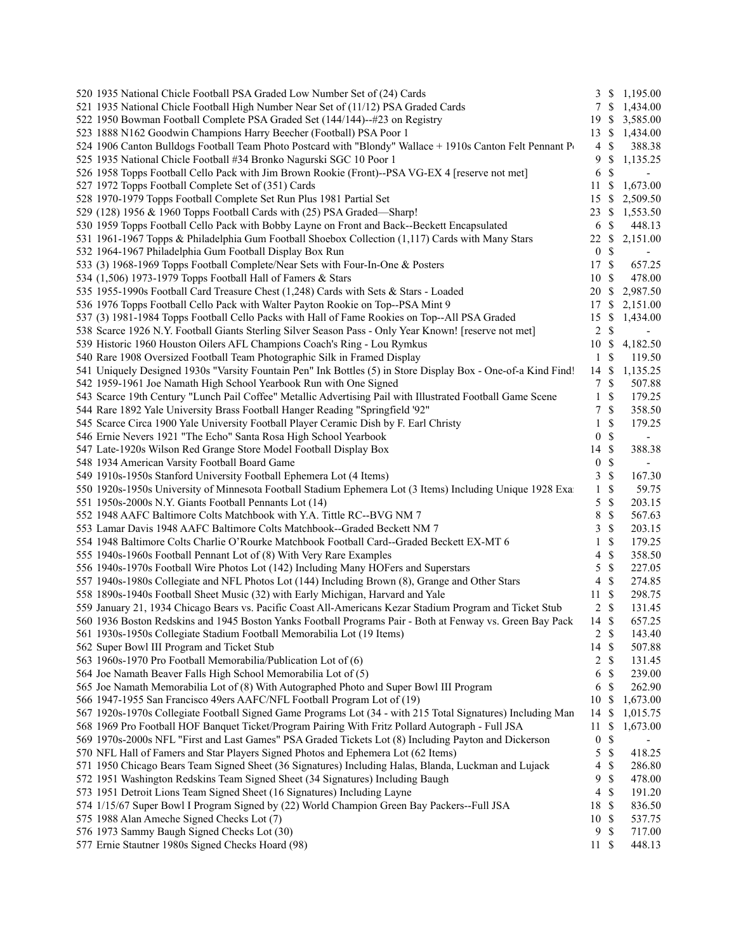| 520 1935 National Chicle Football PSA Graded Low Number Set of (24) Cards                                      |                  | 3S                        | 1,195.00                 |
|----------------------------------------------------------------------------------------------------------------|------------------|---------------------------|--------------------------|
| 521 1935 National Chicle Football High Number Near Set of (11/12) PSA Graded Cards                             |                  | 7 S                       | 1,434.00                 |
| 522 1950 Bowman Football Complete PSA Graded Set (144/144)--#23 on Registry                                    | 19               | -S                        | 3,585.00                 |
| 523 1888 N162 Goodwin Champions Harry Beecher (Football) PSA Poor 1                                            | 13               | -S                        | 1,434.00                 |
| 524 1906 Canton Bulldogs Football Team Photo Postcard with "Blondy" Wallace + 1910s Canton Felt Pennant Poster | 4                | \$                        | 388.38                   |
| 525 1935 National Chicle Football #34 Bronko Nagurski SGC 10 Poor 1                                            | 9                | \$                        | 1,135.25                 |
| 526 1958 Topps Football Cello Pack with Jim Brown Rookie (Front)--PSA VG-EX 4 [reserve not met]                | 6                | <sup>\$</sup>             |                          |
| 527 1972 Topps Football Complete Set of (351) Cards                                                            | 11               | S                         | 1,673.00                 |
| 528 1970-1979 Topps Football Complete Set Run Plus 1981 Partial Set                                            | 15               | -S                        | 2,509.50                 |
| 529 (128) 1956 & 1960 Topps Football Cards with (25) PSA Graded-Sharp!                                         | 23               | \$.                       | 1,553.50                 |
| 530 1959 Topps Football Cello Pack with Bobby Layne on Front and Back--Beckett Encapsulated                    | 6                | \$                        | 448.13                   |
| 531 1961-1967 Topps & Philadelphia Gum Football Shoebox Collection (1,117) Cards with Many Stars               | 22               | \$                        | 2,151.00                 |
| 532 1964-1967 Philadelphia Gum Football Display Box Run                                                        | $\boldsymbol{0}$ | \$                        | $\overline{\phantom{a}}$ |
| 533 (3) 1968-1969 Topps Football Complete/Near Sets with Four-In-One & Posters                                 | 17               | $\mathbb{S}$              | 657.25                   |
| 534 (1,506) 1973-1979 Topps Football Hall of Famers & Stars                                                    | 10               | \$                        | 478.00                   |
| 535 1955-1990s Football Card Treasure Chest (1,248) Cards with Sets & Stars - Loaded                           | 20               | \$                        | 2,987.50                 |
| 536 1976 Topps Football Cello Pack with Walter Payton Rookie on Top--PSA Mint 9                                | 17               | \$                        | 2,151.00                 |
| 537 (3) 1981-1984 Topps Football Cello Packs with Hall of Fame Rookies on Top--All PSA Graded                  | 15               | \$                        | 1,434.00                 |
| 538 Scarce 1926 N.Y. Football Giants Sterling Silver Season Pass - Only Year Known! [reserve not met]          | $\overline{c}$   | \$                        | $\overline{\phantom{a}}$ |
| 539 Historic 1960 Houston Oilers AFL Champions Coach's Ring - Lou Rymkus                                       | 10               | \$                        | 4,182.50                 |
| 540 Rare 1908 Oversized Football Team Photographic Silk in Framed Display                                      | 1                | \$                        | 119.50                   |
| 541 Uniquely Designed 1930s "Varsity Fountain Pen" Ink Bottles (5) in Store Display Box - One-of-a Kind Find!  | 14               | S                         | 1,135.25                 |
| 542 1959-1961 Joe Namath High School Yearbook Run with One Signed                                              | 7                | \$                        | 507.88                   |
| 543 Scarce 19th Century "Lunch Pail Coffee" Metallic Advertising Pail with Illustrated Football Game Scene     | 1                | \$                        | 179.25                   |
|                                                                                                                |                  |                           |                          |
| 544 Rare 1892 Yale University Brass Football Hanger Reading "Springfield '92"                                  | 7                | \$                        | 358.50                   |
| 545 Scarce Circa 1900 Yale University Football Player Ceramic Dish by F. Earl Christy                          | 1                | \$                        | 179.25                   |
| 546 Ernie Nevers 1921 "The Echo" Santa Rosa High School Yearbook                                               | $\boldsymbol{0}$ | \$                        | $\overline{\phantom{a}}$ |
| 547 Late-1920s Wilson Red Grange Store Model Football Display Box                                              | 14               | \$                        | 388.38                   |
| 548 1934 American Varsity Football Board Game                                                                  | $\boldsymbol{0}$ | $\boldsymbol{\mathsf{S}}$ | $\overline{\phantom{a}}$ |
| 549 1910s-1950s Stanford University Football Ephemera Lot (4 Items)                                            | 3                | \$                        | 167.30                   |
| 550 1920s-1950s University of Minnesota Football Stadium Ephemera Lot (3 Items) Including Unique 1928 Exa      | 1                | \$                        | 59.75                    |
| 551 1950s-2000s N.Y. Giants Football Pennants Lot (14)                                                         | 5                | \$                        | 203.15                   |
| 552 1948 AAFC Baltimore Colts Matchbook with Y.A. Tittle RC--BVG NM 7                                          | 8                | \$                        | 567.63                   |
| 553 Lamar Davis 1948 AAFC Baltimore Colts Matchbook--Graded Beckett NM 7                                       | 3                | \$                        | 203.15                   |
| 554 1948 Baltimore Colts Charlie O'Rourke Matchbook Football Card--Graded Beckett EX-MT 6                      | 1                | \$                        | 179.25                   |
| 555 1940s-1960s Football Pennant Lot of (8) With Very Rare Examples                                            | 4                | \$                        | 358.50                   |
| 556 1940s-1970s Football Wire Photos Lot (142) Including Many HOFers and Superstars                            | 5                | \$                        | 227.05                   |
| 557 1940s-1980s Collegiate and NFL Photos Lot (144) Including Brown (8), Grange and Other Stars                | 4                | \$                        | 274.85                   |
| 558 1890s-1940s Football Sheet Music (32) with Early Michigan, Harvard and Yale                                | 11               | \$                        | 298.75                   |
| 559 January 21, 1934 Chicago Bears vs. Pacific Coast All-Americans Kezar Stadium Program and Ticket Stub       | $\overline{c}$   | \$                        | 131.45                   |
| 560 1936 Boston Redskins and 1945 Boston Yanks Football Programs Pair - Both at Fenway vs. Green Bay Pack      | 14S              |                           | 657.25                   |
| 561 1930s-1950s Collegiate Stadium Football Memorabilia Lot (19 Items)                                         |                  | $2 \sqrt{s}$              | 143.40                   |
| 562 Super Bowl III Program and Ticket Stub                                                                     | 14 \$            |                           | 507.88                   |
| 563 1960s-1970 Pro Football Memorabilia/Publication Lot of (6)                                                 | $\overline{c}$   | $\mathbb{S}$              | 131.45                   |
| 564 Joe Namath Beaver Falls High School Memorabilia Lot of (5)                                                 | 6                | \$                        | 239.00                   |
| 565 Joe Namath Memorabilia Lot of (8) With Autographed Photo and Super Bowl III Program                        | 6                | \$                        | 262.90                   |
| 566 1947-1955 San Francisco 49ers AAFC/NFL Football Program Lot of (19)                                        | 10               | -S                        | 1,673.00                 |
| 567 1920s-1970s Collegiate Football Signed Game Programs Lot (34 - with 215 Total Signatures) Including Man    | 14               | \$                        | 1,015.75                 |
| 568 1969 Pro Football HOF Banquet Ticket/Program Pairing With Fritz Pollard Autograph - Full JSA               | 11               | \$                        | 1,673.00                 |
| 569 1970s-2000s NFL "First and Last Games" PSA Graded Tickets Lot (8) Including Payton and Dickerson           | $\boldsymbol{0}$ | \$                        |                          |
| 570 NFL Hall of Famers and Star Players Signed Photos and Ephemera Lot (62 Items)                              | 5                | \$                        | 418.25                   |
| 571 1950 Chicago Bears Team Signed Sheet (36 Signatures) Including Halas, Blanda, Luckman and Lujack           | 4                | $\mathbb{S}$              | 286.80                   |
| 572 1951 Washington Redskins Team Signed Sheet (34 Signatures) Including Baugh                                 | 9                | \$                        | 478.00                   |
| 573 1951 Detroit Lions Team Signed Sheet (16 Signatures) Including Layne                                       | 4                | \$                        | 191.20                   |
| 574 1/15/67 Super Bowl I Program Signed by (22) World Champion Green Bay Packers--Full JSA                     | 18               | \$                        | 836.50                   |
| 575 1988 Alan Ameche Signed Checks Lot (7)                                                                     | 10               | \$                        | 537.75                   |
| 576 1973 Sammy Baugh Signed Checks Lot (30)                                                                    | 9                | <sup>\$</sup>             | 717.00                   |
| 577 Ernie Stautner 1980s Signed Checks Hoard (98)                                                              | $11 \text{ }$ \$ |                           | 448.13                   |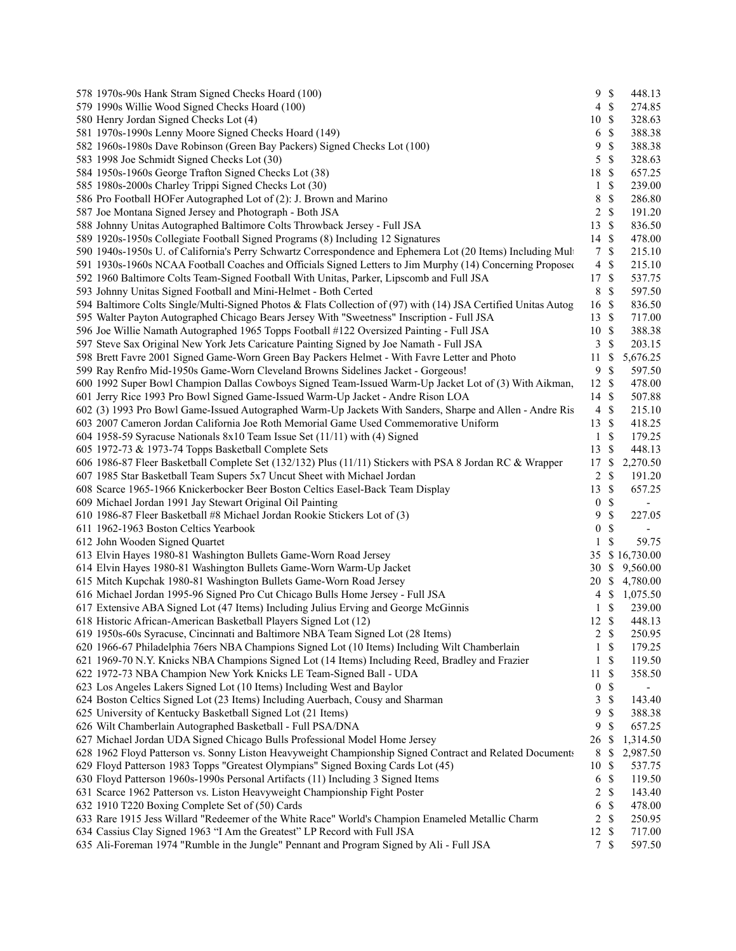| 578 1970s-90s Hank Stram Signed Checks Hoard (100)                                                             | 9S               | 448.13                                   |  |
|----------------------------------------------------------------------------------------------------------------|------------------|------------------------------------------|--|
| 579 1990s Willie Wood Signed Checks Hoard (100)                                                                | $4 \text{ }$ \$  | 274.85                                   |  |
| 580 Henry Jordan Signed Checks Lot (4)                                                                         | 10 \$            | 328.63                                   |  |
| 581 1970s-1990s Lenny Moore Signed Checks Hoard (149)                                                          | 6                | $\mathbb{S}$<br>388.38                   |  |
| 582 1960s-1980s Dave Robinson (Green Bay Packers) Signed Checks Lot (100)                                      | 9                | \$<br>388.38                             |  |
| 583 1998 Joe Schmidt Signed Checks Lot (30)                                                                    | $5 \text{ }$ \$  | 328.63                                   |  |
| 584 1950s-1960s George Trafton Signed Checks Lot (38)                                                          | 18 \$            | 657.25                                   |  |
| 585 1980s-2000s Charley Trippi Signed Checks Lot (30)                                                          | $1 \text{ }$     | 239.00                                   |  |
| 586 Pro Football HOFer Autographed Lot of (2): J. Brown and Marino                                             | 8                | $\mathbb{S}$<br>286.80                   |  |
| 587 Joe Montana Signed Jersey and Photograph - Both JSA                                                        | $2 \sqrt{s}$     | 191.20                                   |  |
| 588 Johnny Unitas Autographed Baltimore Colts Throwback Jersey - Full JSA                                      | 13 \$            | 836.50                                   |  |
| 589 1920s-1950s Collegiate Football Signed Programs (8) Including 12 Signatures                                | 14 \$            | 478.00                                   |  |
| 590 1940s-1950s U. of California's Perry Schwartz Correspondence and Ephemera Lot (20 Items) Including Mult    | 7 \$             | 215.10                                   |  |
| 591 1930s-1960s NCAA Football Coaches and Officials Signed Letters to Jim Murphy (14) Concerning Proposed      | $4 \text{ } $$   | 215.10                                   |  |
| 592 1960 Baltimore Colts Team-Signed Football With Unitas, Parker, Lipscomb and Full JSA                       | 17 \$            | 537.75                                   |  |
| 593 Johnny Unitas Signed Football and Mini-Helmet - Both Certed                                                | 8 \$             | 597.50                                   |  |
| 594 Baltimore Colts Single/Multi-Signed Photos & Flats Collection of (97) with (14) JSA Certified Unitas Autog | 16 \$            | 836.50                                   |  |
| 595 Walter Payton Autographed Chicago Bears Jersey With "Sweetness" Inscription - Full JSA                     | 13S              | 717.00                                   |  |
| 596 Joe Willie Namath Autographed 1965 Topps Football #122 Oversized Painting - Full JSA                       | 10 \$            | 388.38                                   |  |
| 597 Steve Sax Original New York Jets Caricature Painting Signed by Joe Namath - Full JSA                       | 3S               | 203.15                                   |  |
| 598 Brett Favre 2001 Signed Game-Worn Green Bay Packers Helmet - With Favre Letter and Photo                   | 11S              | 5,676.25                                 |  |
| 599 Ray Renfro Mid-1950s Game-Worn Cleveland Browns Sidelines Jacket - Gorgeous!                               | 9S               | 597.50                                   |  |
| 600 1992 Super Bowl Champion Dallas Cowboys Signed Team-Issued Warm-Up Jacket Lot of (3) With Aikman,          | 12S              | 478.00                                   |  |
| 601 Jerry Rice 1993 Pro Bowl Signed Game-Issued Warm-Up Jacket - Andre Rison LOA                               | 14 \$            | 507.88                                   |  |
| 602 (3) 1993 Pro Bowl Game-Issued Autographed Warm-Up Jackets With Sanders, Sharpe and Allen - Andre Ris       | $4 \text{ } $$   | 215.10                                   |  |
| 603 2007 Cameron Jordan California Joe Roth Memorial Game Used Commemorative Uniform                           | 13 \$            | 418.25                                   |  |
| 604 1958-59 Syracuse Nationals 8x10 Team Issue Set (11/11) with (4) Signed                                     | $1 \text{ } s$   | 179.25                                   |  |
| 605 1972-73 & 1973-74 Topps Basketball Complete Sets                                                           | 13S              | 448.13                                   |  |
| 606 1986-87 Fleer Basketball Complete Set (132/132) Plus (11/11) Stickers with PSA 8 Jordan RC & Wrapper       | 17S              | 2,270.50                                 |  |
| 607 1985 Star Basketball Team Supers 5x7 Uncut Sheet with Michael Jordan                                       | $\overline{2}$   | $\mathbb{S}$<br>191.20                   |  |
| 608 Scarce 1965-1966 Knickerbocker Beer Boston Celtics Easel-Back Team Display                                 | 13               | $\mathbb{S}$<br>657.25                   |  |
| 609 Michael Jordan 1991 Jay Stewart Original Oil Painting                                                      | $\boldsymbol{0}$ | $\mathbb{S}$<br>$\overline{\phantom{a}}$ |  |
| 610 1986-87 Fleer Basketball #8 Michael Jordan Rookie Stickers Lot of (3)                                      | 9                | \$<br>227.05                             |  |
| 611 1962-1963 Boston Celtics Yearbook                                                                          | $\boldsymbol{0}$ | \$                                       |  |
| 612 John Wooden Signed Quartet                                                                                 | $\mathbf{1}$     | $\mathbb{S}$<br>59.75                    |  |
| 613 Elvin Hayes 1980-81 Washington Bullets Game-Worn Road Jersey                                               |                  | 35 \$16,730.00                           |  |
| 614 Elvin Hayes 1980-81 Washington Bullets Game-Worn Warm-Up Jacket                                            | 30               | \$9,560.00                               |  |
| 615 Mitch Kupchak 1980-81 Washington Bullets Game-Worn Road Jersey                                             |                  | 20 \$ 4,780.00                           |  |
| 616 Michael Jordan 1995-96 Signed Pro Cut Chicago Bulls Home Jersey - Full JSA                                 |                  | 4 \$ 1,075.50                            |  |
| 617 Extensive ABA Signed Lot (47 Items) Including Julius Erving and George McGinnis                            | 1                | -\$<br>239.00                            |  |
| 618 Historic African-American Basketball Players Signed Lot (12)                                               | $12 \text{ }$ \$ | 448.13                                   |  |
| 619 1950s-60s Syracuse, Cincinnati and Baltimore NBA Team Signed Lot (28 Items)                                | $2 \sqrt{s}$     | 250.95                                   |  |
| 620 1966-67 Philadelphia 76ers NBA Champions Signed Lot (10 Items) Including Wilt Chamberlain                  | $\mathbf{1}$     | $\mathbb{S}$<br>179.25                   |  |
| 621 1969-70 N.Y. Knicks NBA Champions Signed Lot (14 Items) Including Reed, Bradley and Frazier                | $1 \quad$        | 119.50                                   |  |
| 622 1972-73 NBA Champion New York Knicks LE Team-Signed Ball - UDA                                             | 11S              | 358.50                                   |  |
| 623 Los Angeles Lakers Signed Lot (10 Items) Including West and Baylor                                         | $\boldsymbol{0}$ | $\mathbb{S}$                             |  |
| 624 Boston Celtics Signed Lot (23 Items) Including Auerbach, Cousy and Sharman                                 | 3                | $\boldsymbol{\mathsf{S}}$<br>143.40      |  |
| 625 University of Kentucky Basketball Signed Lot (21 Items)                                                    | 9                | \$<br>388.38                             |  |
| 626 Wilt Chamberlain Autographed Basketball - Full PSA/DNA                                                     | 9                | \$<br>657.25                             |  |
| 627 Michael Jordan UDA Signed Chicago Bulls Professional Model Home Jersey                                     | 26               | -\$<br>1,314.50                          |  |
| 628 1962 Floyd Patterson vs. Sonny Liston Heavyweight Championship Signed Contract and Related Documents       | 8                | -S<br>2,987.50                           |  |
| 629 Floyd Patterson 1983 Topps "Greatest Olympians" Signed Boxing Cards Lot (45)                               | 10               | $\mathcal{S}$<br>537.75                  |  |
| 630 Floyd Patterson 1960s-1990s Personal Artifacts (11) Including 3 Signed Items                               | 6 <sup>°</sup>   | 119.50                                   |  |
| 631 Scarce 1962 Patterson vs. Liston Heavyweight Championship Fight Poster                                     | 2                | $\mathcal{S}$<br>143.40                  |  |
| 632 1910 T220 Boxing Complete Set of (50) Cards                                                                | 6                | $\boldsymbol{\mathsf{S}}$<br>478.00      |  |
| 633 Rare 1915 Jess Willard "Redeemer of the White Race" World's Champion Enameled Metallic Charm               | 2 S              | 250.95                                   |  |
| 634 Cassius Clay Signed 1963 "I Am the Greatest" LP Record with Full JSA                                       | 12 \$            | 717.00                                   |  |
| 635 Ali-Foreman 1974 "Rumble in the Jungle" Pennant and Program Signed by Ali - Full JSA                       | 7S               | 597.50                                   |  |
|                                                                                                                |                  |                                          |  |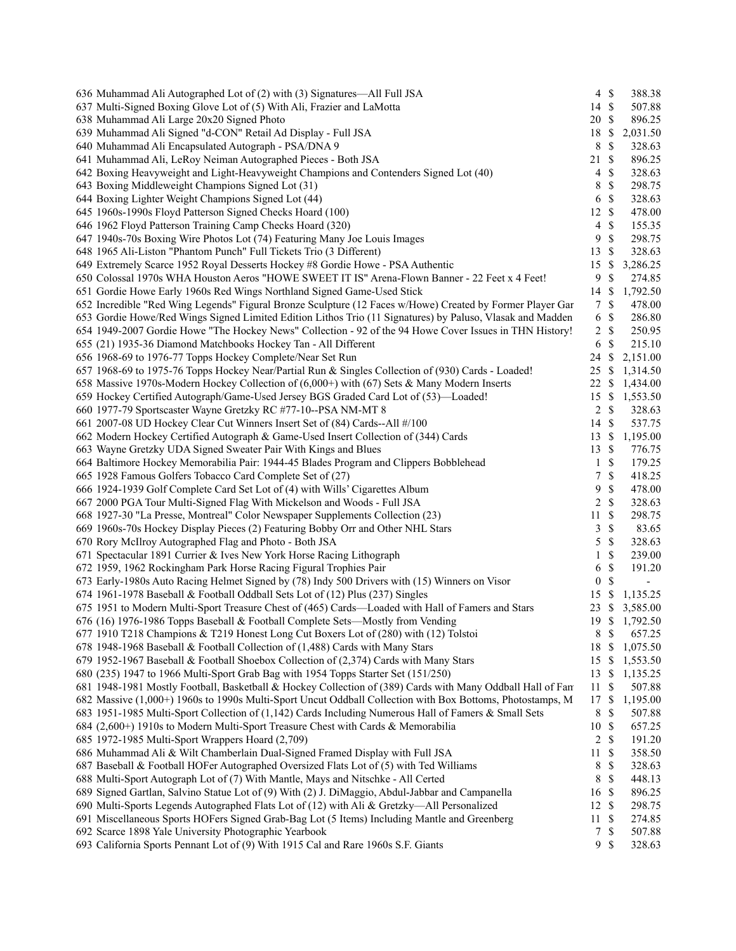| 636 Muhammad Ali Autographed Lot of (2) with (3) Signatures—All Full JSA                                   | $4 \text{ }$    |              | 388.38                   |  |
|------------------------------------------------------------------------------------------------------------|-----------------|--------------|--------------------------|--|
| 637 Multi-Signed Boxing Glove Lot of (5) With Ali, Frazier and LaMotta                                     | 14 \$           |              | 507.88                   |  |
| 638 Muhammad Ali Large 20x20 Signed Photo                                                                  | 20 \$           |              | 896.25                   |  |
| 639 Muhammad Ali Signed "d-CON" Retail Ad Display - Full JSA                                               | 18 \$           |              | 2,031.50                 |  |
| 640 Muhammad Ali Encapsulated Autograph - PSA/DNA 9                                                        | 8               | $\mathbb{S}$ | 328.63                   |  |
| 641 Muhammad Ali, LeRoy Neiman Autographed Pieces - Both JSA                                               | 21 \$           |              | 896.25                   |  |
| 642 Boxing Heavyweight and Light-Heavyweight Champions and Contenders Signed Lot (40)                      | $\overline{4}$  | \$           | 328.63                   |  |
| 643 Boxing Middleweight Champions Signed Lot (31)                                                          | 8               | \$           | 298.75                   |  |
| 644 Boxing Lighter Weight Champions Signed Lot (44)                                                        | 6 <sup>°</sup>  |              | 328.63                   |  |
| 645 1960s-1990s Floyd Patterson Signed Checks Hoard (100)                                                  | 12 \$           |              | 478.00                   |  |
| 646 1962 Floyd Patterson Training Camp Checks Hoard (320)                                                  | $4 \text{ }$ \$ |              | 155.35                   |  |
| 647 1940s-70s Boxing Wire Photos Lot (74) Featuring Many Joe Louis Images                                  | 9               | $\mathbb{S}$ | 298.75                   |  |
| 648 1965 Ali-Liston "Phantom Punch" Full Tickets Trio (3 Different)                                        | 13              | \$           | 328.63                   |  |
| 649 Extremely Scarce 1952 Royal Desserts Hockey #8 Gordie Howe - PSA Authentic                             | 15S             |              | 3,286.25                 |  |
| 650 Colossal 1970s WHA Houston Aeros "HOWE SWEET IT IS" Arena-Flown Banner - 22 Feet x 4 Feet!             | 9               | $\mathbb{S}$ | 274.85                   |  |
| 651 Gordie Howe Early 1960s Red Wings Northland Signed Game-Used Stick                                     | 14S             |              | 1,792.50                 |  |
| 652 Incredible "Red Wing Legends" Figural Bronze Sculpture (12 Faces w/Howe) Created by Former Player Gar  | 7S              |              | 478.00                   |  |
| 653 Gordie Howe/Red Wings Signed Limited Edition Lithos Trio (11 Signatures) by Paluso, Vlasak and Madden  | 6 <sup>°</sup>  |              | 286.80                   |  |
| 654 1949-2007 Gordie Howe "The Hockey News" Collection - 92 of the 94 Howe Cover Issues in THN History!    | $2 \sqrt{s}$    |              | 250.95                   |  |
| 655 (21) 1935-36 Diamond Matchbooks Hockey Tan - All Different                                             | 6 <sup>°</sup>  |              | 215.10                   |  |
| 656 1968-69 to 1976-77 Topps Hockey Complete/Near Set Run                                                  | 24 \$           |              | 2,151.00                 |  |
| 657 1968-69 to 1975-76 Topps Hockey Near/Partial Run & Singles Collection of (930) Cards - Loaded!         |                 |              |                          |  |
|                                                                                                            |                 |              | 25 \$ 1,314.50           |  |
| 658 Massive 1970s-Modern Hockey Collection of (6,000+) with (67) Sets & Many Modern Inserts                |                 |              | 22 \$ 1,434.00           |  |
| 659 Hockey Certified Autograph/Game-Used Jersey BGS Graded Card Lot of (53)-Loaded!                        | 15S             |              | 1,553.50                 |  |
| 660 1977-79 Sportscaster Wayne Gretzky RC #77-10--PSA NM-MT 8                                              | $2 \sqrt{s}$    |              | 328.63                   |  |
| 661 2007-08 UD Hockey Clear Cut Winners Insert Set of (84) Cards--All #/100                                | 14 \$           |              | 537.75                   |  |
| 662 Modern Hockey Certified Autograph & Game-Used Insert Collection of (344) Cards                         | 13S             |              | 1,195.00                 |  |
| 663 Wayne Gretzky UDA Signed Sweater Pair With Kings and Blues                                             | 13 \$           |              | 776.75                   |  |
| 664 Baltimore Hockey Memorabilia Pair: 1944-45 Blades Program and Clippers Bobblehead                      | $\mathbf{1}$    | \$           | 179.25                   |  |
| 665 1928 Famous Golfers Tobacco Card Complete Set of (27)                                                  | $\tau$          | \$           | 418.25                   |  |
| 666 1924-1939 Golf Complete Card Set Lot of (4) with Wills' Cigarettes Album                               | 9               | \$           | 478.00                   |  |
| 667 2000 PGA Tour Multi-Signed Flag With Mickelson and Woods - Full JSA                                    | $2 \sqrt{s}$    |              | 328.63                   |  |
| 668 1927-30 "La Presse, Montreal" Color Newspaper Supplements Collection (23)                              | 11S             |              | 298.75                   |  |
| 669 1960s-70s Hockey Display Pieces (2) Featuring Bobby Orr and Other NHL Stars                            | 3               | $\mathbb{S}$ | 83.65                    |  |
| 670 Rory McIlroy Autographed Flag and Photo - Both JSA                                                     | 5               | \$           | 328.63                   |  |
| 671 Spectacular 1891 Currier & Ives New York Horse Racing Lithograph                                       | $\mathbf{1}$    | \$           | 239.00                   |  |
| 672 1959, 1962 Rockingham Park Horse Racing Figural Trophies Pair                                          | 6               | $\mathbb{S}$ | 191.20                   |  |
| 673 Early-1980s Auto Racing Helmet Signed by (78) Indy 500 Drivers with (15) Winners on Visor              | 0S              |              | $\overline{\phantom{a}}$ |  |
| 674 1961-1978 Baseball & Football Oddball Sets Lot of (12) Plus (237) Singles                              | 15 \$           |              | 1,135.25                 |  |
| 675 1951 to Modern Multi-Sport Treasure Chest of (465) Cards—Loaded with Hall of Famers and Stars          |                 |              | 23 \$ 3,585.00           |  |
| 676 (16) 1976-1986 Topps Baseball & Football Complete Sets—Mostly from Vending                             |                 |              | 19 \$ 1,792.50           |  |
| 677 1910 T218 Champions & T219 Honest Long Cut Boxers Lot of (280) with (12) Tolstoi                       | 8 \$            |              | 657.25                   |  |
| 678 1948-1968 Baseball & Football Collection of (1,488) Cards with Many Stars                              | 18 \$           |              | 1,075.50                 |  |
| 679 1952-1967 Baseball & Football Shoebox Collection of (2,374) Cards with Many Stars                      | 15 \$           |              | 1,553.50                 |  |
| 680 (235) 1947 to 1966 Multi-Sport Grab Bag with 1954 Topps Starter Set (151/250)                          | 13 \$           |              | 1,135.25                 |  |
| 681 1948-1981 Mostly Football, Basketball & Hockey Collection of (389) Cards with Many Oddball Hall of Fan | 11S             |              | 507.88                   |  |
| 682 Massive (1,000+) 1960s to 1990s Multi-Sport Uncut Oddball Collection with Box Bottoms, Photostamps, M. | 17 \$           |              | 1,195.00                 |  |
| 683 1951-1985 Multi-Sport Collection of (1,142) Cards Including Numerous Hall of Famers & Small Sets       | 8 \$            |              | 507.88                   |  |
| 684 (2,600+) 1910s to Modern Multi-Sport Treasure Chest with Cards & Memorabilia                           | 10 \$           |              | 657.25                   |  |
| 685 1972-1985 Multi-Sport Wrappers Hoard (2,709)                                                           | 2S              |              | 191.20                   |  |
| 686 Muhammad Ali & Wilt Chamberlain Dual-Signed Framed Display with Full JSA                               | 11              | - \$         | 358.50                   |  |
| 687 Baseball & Football HOFer Autographed Oversized Flats Lot of (5) with Ted Williams                     | 8               | \$           | 328.63                   |  |
| 688 Multi-Sport Autograph Lot of (7) With Mantle, Mays and Nitschke - All Certed                           | 8               | \$           | 448.13                   |  |
| 689 Signed Gartlan, Salvino Statue Lot of (9) With (2) J. DiMaggio, Abdul-Jabbar and Campanella            | 16 \$           |              | 896.25                   |  |
| 690 Multi-Sports Legends Autographed Flats Lot of (12) with Ali & Gretzky—All Personalized                 | 12 \$           |              | 298.75                   |  |
| 691 Miscellaneous Sports HOFers Signed Grab-Bag Lot (5 Items) Including Mantle and Greenberg               | 11S             |              | 274.85                   |  |
| 692 Scarce 1898 Yale University Photographic Yearbook                                                      | $\tau$          | \$           | 507.88                   |  |
| 693 California Sports Pennant Lot of (9) With 1915 Cal and Rare 1960s S.F. Giants                          | 9S              |              | 328.63                   |  |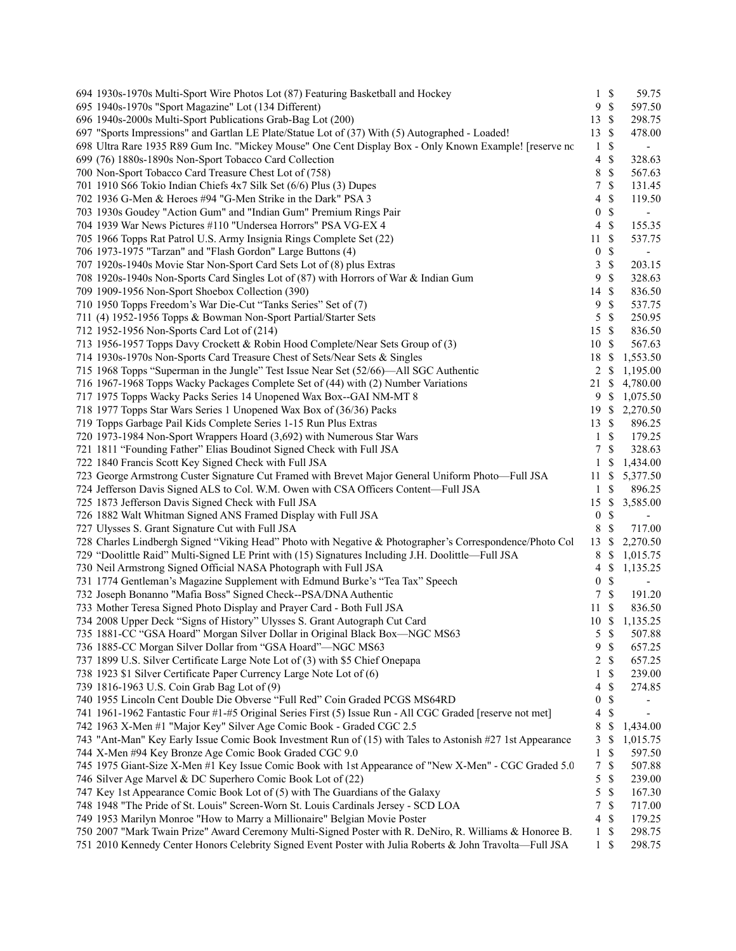| 694 1930s-1970s Multi-Sport Wire Photos Lot (87) Featuring Basketball and Hockey                                                                                    | $\mathbf{1}$     | $\mathbb{S}$ | 59.75                    |
|---------------------------------------------------------------------------------------------------------------------------------------------------------------------|------------------|--------------|--------------------------|
| 695 1940s-1970s "Sport Magazine" Lot (134 Different)                                                                                                                | 9                | $\mathbb S$  | 597.50                   |
| 696 1940s-2000s Multi-Sport Publications Grab-Bag Lot (200)                                                                                                         | 13               | \$           | 298.75                   |
| 697 "Sports Impressions" and Gartlan LE Plate/Statue Lot of (37) With (5) Autographed - Loaded!                                                                     | 13               | \$           | 478.00                   |
| 698 Ultra Rare 1935 R89 Gum Inc. "Mickey Mouse" One Cent Display Box - Only Known Example! [reserve no                                                              | $\mathbf{1}$     | \$           | $\overline{\phantom{a}}$ |
| 699 (76) 1880s-1890s Non-Sport Tobacco Card Collection                                                                                                              | 4                | \$           | 328.63                   |
| 700 Non-Sport Tobacco Card Treasure Chest Lot of (758)                                                                                                              | 8                | \$           | 567.63                   |
| 701 1910 S66 Tokio Indian Chiefs 4x7 Silk Set (6/6) Plus (3) Dupes                                                                                                  | 7                | \$           | 131.45                   |
| 702 1936 G-Men & Heroes #94 "G-Men Strike in the Dark" PSA 3                                                                                                        | 4                | \$           | 119.50                   |
| 703 1930s Goudey "Action Gum" and "Indian Gum" Premium Rings Pair                                                                                                   | $\boldsymbol{0}$ | \$           | $\blacksquare$           |
| 704 1939 War News Pictures #110 "Undersea Horrors" PSA VG-EX 4                                                                                                      | 4                | \$           | 155.35                   |
| 705 1966 Topps Rat Patrol U.S. Army Insignia Rings Complete Set (22)                                                                                                | 11               | \$           | 537.75                   |
| 706 1973-1975 "Tarzan" and "Flash Gordon" Large Buttons (4)                                                                                                         | $\boldsymbol{0}$ | \$           | $\blacksquare$           |
| 707 1920s-1940s Movie Star Non-Sport Card Sets Lot of (8) plus Extras                                                                                               | 3                | $\mathbb{S}$ | 203.15                   |
| 708 1920s-1940s Non-Sports Card Singles Lot of (87) with Horrors of War & Indian Gum                                                                                | 9                | \$           | 328.63                   |
| 709 1909-1956 Non-Sport Shoebox Collection (390)                                                                                                                    | 14               | \$           | 836.50                   |
| 710 1950 Topps Freedom's War Die-Cut "Tanks Series" Set of (7)                                                                                                      | 9                | \$           | 537.75                   |
| 711 (4) 1952-1956 Topps & Bowman Non-Sport Partial/Starter Sets                                                                                                     | 5                | \$           | 250.95                   |
| 712 1952-1956 Non-Sports Card Lot of (214)                                                                                                                          | 15               | $\mathbb{S}$ | 836.50                   |
| 713 1956-1957 Topps Davy Crockett & Robin Hood Complete/Near Sets Group of (3)                                                                                      | 10               | \$           | 567.63                   |
| 714 1930s-1970s Non-Sports Card Treasure Chest of Sets/Near Sets & Singles                                                                                          | 18               | \$           | 1,553.50                 |
| 715 1968 Topps "Superman in the Jungle" Test Issue Near Set (52/66)—All SGC Authentic                                                                               | 2                | \$           | 1,195.00                 |
| 716 1967-1968 Topps Wacky Packages Complete Set of (44) with (2) Number Variations                                                                                  | 21               | \$           | 4,780.00                 |
| 717 1975 Topps Wacky Packs Series 14 Unopened Wax Box--GAI NM-MT 8                                                                                                  | 9                | \$           | 1,075.50                 |
| 718 1977 Topps Star Wars Series 1 Unopened Wax Box of (36/36) Packs                                                                                                 | 19S              |              | 2,270.50                 |
| 719 Topps Garbage Pail Kids Complete Series 1-15 Run Plus Extras                                                                                                    | 13               | $\mathbb S$  | 896.25                   |
| 720 1973-1984 Non-Sport Wrappers Hoard (3,692) with Numerous Star Wars                                                                                              | $\mathbf{1}$     | $\mathbb{S}$ | 179.25                   |
| 721 1811 "Founding Father" Elias Boudinot Signed Check with Full JSA                                                                                                | 7                | \$           | 328.63                   |
| 722 1840 Francis Scott Key Signed Check with Full JSA                                                                                                               | 1                | S            | 1,434.00                 |
| 723 George Armstrong Custer Signature Cut Framed with Brevet Major General Uniform Photo—Full JSA                                                                   | 11               | S            | 5,377.50                 |
| 724 Jefferson Davis Signed ALS to Col. W.M. Owen with CSA Officers Content-Full JSA                                                                                 | 1                | \$           | 896.25                   |
| 725 1873 Jefferson Davis Signed Check with Full JSA                                                                                                                 | 15               | \$           | 3,585.00                 |
| 726 1882 Walt Whitman Signed ANS Framed Display with Full JSA                                                                                                       | $\boldsymbol{0}$ | \$           | $\overline{\phantom{a}}$ |
| 727 Ulysses S. Grant Signature Cut with Full JSA                                                                                                                    | $\,8\,$          | \$           | 717.00                   |
| 728 Charles Lindbergh Signed "Viking Head" Photo with Negative & Photographer's Correspondence/Photo Col                                                            | 13               | \$           | 2,270.50                 |
| 729 "Doolittle Raid" Multi-Signed LE Print with (15) Signatures Including J.H. Doolittle—Full JSA                                                                   | 8                | \$           | 1,015.75                 |
| 730 Neil Armstrong Signed Official NASA Photograph with Full JSA                                                                                                    | 4                | \$           | 1,135.25                 |
| 731 1774 Gentleman's Magazine Supplement with Edmund Burke's "Tea Tax" Speech                                                                                       | $\boldsymbol{0}$ | \$           | $\overline{\phantom{a}}$ |
| 732 Joseph Bonanno "Mafia Boss" Signed Check--PSA/DNA Authentic                                                                                                     | 7                | \$           | 191.20                   |
| 733 Mother Teresa Signed Photo Display and Prayer Card - Both Full JSA                                                                                              | 11               | \$           | 836.50                   |
| 734 2008 Upper Deck "Signs of History" Ulysses S. Grant Autograph Cut Card                                                                                          | 10S              |              | 1,135.25                 |
| 735 1881-CC "GSA Hoard" Morgan Silver Dollar in Original Black Box-NGC MS63                                                                                         | 5                | $\mathbb{S}$ | 507.88                   |
| 736 1885-CC Morgan Silver Dollar from "GSA Hoard"-NGC MS63                                                                                                          | 9                | $\mathbb{S}$ | 657.25                   |
| 737 1899 U.S. Silver Certificate Large Note Lot of (3) with \$5 Chief Onepapa                                                                                       | 2                | \$           | 657.25                   |
| 738 1923 \$1 Silver Certificate Paper Currency Large Note Lot of (6)                                                                                                | 1                | \$           | 239.00                   |
| 739 1816-1963 U.S. Coin Grab Bag Lot of (9)                                                                                                                         | 4                | \$           | 274.85                   |
| 740 1955 Lincoln Cent Double Die Obverse "Full Red" Coin Graded PCGS MS64RD                                                                                         | 0                | \$           |                          |
| 741 1961-1962 Fantastic Four #1-#5 Original Series First (5) Issue Run - All CGC Graded [reserve not met]                                                           | 4                | \$           |                          |
| 742 1963 X-Men #1 "Major Key" Silver Age Comic Book - Graded CGC 2.5                                                                                                | 8                | \$           | 1,434.00                 |
| 743 "Ant-Man" Key Early Issue Comic Book Investment Run of (15) with Tales to Astonish #27 1st Appearance                                                           | 3                | \$           | 1,015.75                 |
| 744 X-Men #94 Key Bronze Age Comic Book Graded CGC 9.0                                                                                                              | 1                | \$           | 597.50                   |
| 745 1975 Giant-Size X-Men #1 Key Issue Comic Book with 1st Appearance of "New X-Men" - CGC Graded 5.0                                                               | 7                | \$           | 507.88                   |
| 746 Silver Age Marvel & DC Superhero Comic Book Lot of (22)                                                                                                         | 5                | \$           | 239.00                   |
| 747 Key 1st Appearance Comic Book Lot of (5) with The Guardians of the Galaxy<br>748 1948 "The Pride of St. Louis" Screen-Worn St. Louis Cardinals Jersey - SCD LOA | 5<br>7           | \$<br>\$     | 167.30<br>717.00         |
| 749 1953 Marilyn Monroe "How to Marry a Millionaire" Belgian Movie Poster                                                                                           | 4                | \$           | 179.25                   |
| 750 2007 "Mark Twain Prize" Award Ceremony Multi-Signed Poster with R. DeNiro, R. Williams & Honoree B.                                                             | 1                | \$           | 298.75                   |
| 751 2010 Kennedy Center Honors Celebrity Signed Event Poster with Julia Roberts & John Travolta-Full JSA                                                            | 1                | S            | 298.75                   |
|                                                                                                                                                                     |                  |              |                          |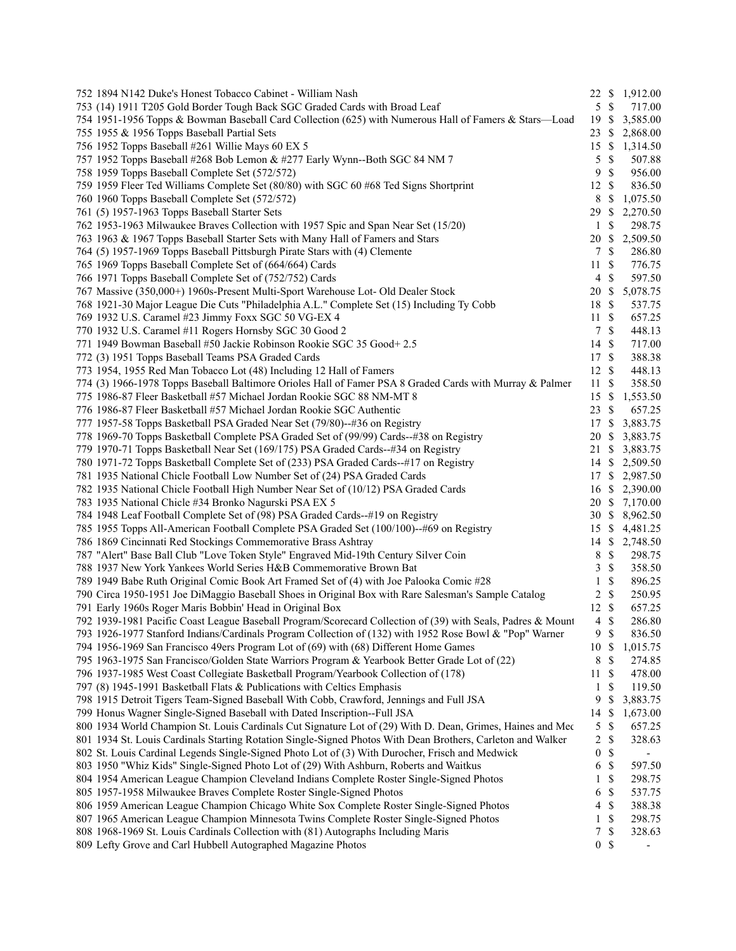| 752 1894 N142 Duke's Honest Tobacco Cabinet - William Nash                                                  |                  |               | 22 \$ 1,912.00           |
|-------------------------------------------------------------------------------------------------------------|------------------|---------------|--------------------------|
| 753 (14) 1911 T205 Gold Border Tough Back SGC Graded Cards with Broad Leaf                                  | 5S               |               | 717.00                   |
| 754 1951-1956 Topps & Bowman Baseball Card Collection (625) with Numerous Hall of Famers & Stars-Load       | 19S              |               | 3,585.00                 |
| 755 1955 & 1956 Topps Baseball Partial Sets                                                                 | 23S              |               | 2,868.00                 |
| 756 1952 Topps Baseball #261 Willie Mays 60 EX 5                                                            | 15S              |               | 1,314.50                 |
| 757 1952 Topps Baseball #268 Bob Lemon & #277 Early Wynn--Both SGC 84 NM 7                                  | 5                | $\mathbb{S}$  | 507.88                   |
| 758 1959 Topps Baseball Complete Set (572/572)                                                              | 9                | $\mathbb{S}$  | 956.00                   |
| 759 1959 Fleer Ted Williams Complete Set (80/80) with SGC 60 #68 Ted Signs Shortprint                       | $12 \text{ }$ \$ |               | 836.50                   |
| 760 1960 Topps Baseball Complete Set (572/572)                                                              | 8                | -S            | 1,075.50                 |
| 761 (5) 1957-1963 Topps Baseball Starter Sets                                                               | 29               | \$            | 2,270.50                 |
| 762 1953-1963 Milwaukee Braves Collection with 1957 Spic and Span Near Set (15/20)                          | 1                | $\mathbb{S}$  | 298.75                   |
| 763 1963 & 1967 Topps Baseball Starter Sets with Many Hall of Famers and Stars                              | 20               | $\mathbb{S}$  | 2,509.50                 |
| 764 (5) 1957-1969 Topps Baseball Pittsburgh Pirate Stars with (4) Clemente                                  | $\tau$           | $\mathbb{S}$  | 286.80                   |
| 765 1969 Topps Baseball Complete Set of (664/664) Cards                                                     | 11               | $\mathbb{S}$  | 776.75                   |
| 766 1971 Topps Baseball Complete Set of (752/752) Cards                                                     | $\overline{4}$   | $\mathcal{S}$ | 597.50                   |
| 767 Massive (350,000+) 1960s-Present Multi-Sport Warehouse Lot- Old Dealer Stock                            | 20 \$            |               | 5,078.75                 |
| 768 1921-30 Major League Die Cuts "Philadelphia A.L." Complete Set (15) Including Ty Cobb                   | 18 \$            |               | 537.75                   |
| 769 1932 U.S. Caramel #23 Jimmy Foxx SGC 50 VG-EX 4                                                         | $11 \text{ }$ \$ |               | 657.25                   |
| 770 1932 U.S. Caramel #11 Rogers Hornsby SGC 30 Good 2                                                      | 7S               |               | 448.13                   |
| 771 1949 Bowman Baseball #50 Jackie Robinson Rookie SGC 35 Good+ 2.5                                        | $14 \text{ }$ \$ |               | 717.00                   |
| 772 (3) 1951 Topps Baseball Teams PSA Graded Cards                                                          | 17 \$            |               | 388.38                   |
| 773 1954, 1955 Red Man Tobacco Lot (48) Including 12 Hall of Famers                                         | 12S              |               | 448.13                   |
| 774 (3) 1966-1978 Topps Baseball Baltimore Orioles Hall of Famer PSA 8 Graded Cards with Murray & Palmer    | 11S              |               | 358.50                   |
| 775 1986-87 Fleer Basketball #57 Michael Jordan Rookie SGC 88 NM-MT 8                                       | 15S              |               | 1,553.50                 |
| 776 1986-87 Fleer Basketball #57 Michael Jordan Rookie SGC Authentic                                        | $23 \text{ }$ \$ |               | 657.25                   |
| 777 1957-58 Topps Basketball PSA Graded Near Set (79/80)--#36 on Registry                                   | 17S              |               | 3,883.75                 |
| 778 1969-70 Topps Basketball Complete PSA Graded Set of (99/99) Cards--#38 on Registry                      | 20               | <sup>\$</sup> | 3,883.75                 |
| 779 1970-71 Topps Basketball Near Set (169/175) PSA Graded Cards--#34 on Registry                           | 21 \$            |               | 3,883.75                 |
| 780 1971-72 Topps Basketball Complete Set of (233) PSA Graded Cards--#17 on Registry                        | 14S              |               | 2,509.50                 |
| 781 1935 National Chicle Football Low Number Set of (24) PSA Graded Cards                                   |                  |               | 17 \$ 2,987.50           |
| 782 1935 National Chicle Football High Number Near Set of (10/12) PSA Graded Cards                          | 16S              |               | 2,390.00                 |
| 783 1935 National Chicle #34 Bronko Nagurski PSA EX 5                                                       |                  |               | 20 \$ 7,170.00           |
| 784 1948 Leaf Football Complete Set of (98) PSA Graded Cards--#19 on Registry                               | 30S              |               | 8,962.50                 |
| 785 1955 Topps All-American Football Complete PSA Graded Set (100/100)--#69 on Registry                     | 15 \$            |               | 4,481.25                 |
| 786 1869 Cincinnati Red Stockings Commemorative Brass Ashtray                                               |                  |               | 14 \$ 2,748.50           |
| 787 "Alert" Base Ball Club "Love Token Style" Engraved Mid-19th Century Silver Coin                         | 8                | $\mathcal{S}$ | 298.75                   |
| 788 1937 New York Yankees World Series H&B Commemorative Brown Bat                                          | 3                | $\mathbb{S}$  | 358.50                   |
| 789 1949 Babe Ruth Original Comic Book Art Framed Set of (4) with Joe Palooka Comic #28                     | $\mathbf{1}$     | $\mathbb{S}$  | 896.25                   |
| 790 Circa 1950-1951 Joe DiMaggio Baseball Shoes in Original Box with Rare Salesman's Sample Catalog         | $2 \sqrt{s}$     |               | 250.95                   |
| 791 Early 1960s Roger Maris Bobbin' Head in Original Box                                                    | $12 \text{ }$ \$ |               | 657.25                   |
| 792 1939-1981 Pacific Coast League Baseball Program/Scorecard Collection of (39) with Seals, Padres & Mount | $\overline{4}$   | -S            | 286.80                   |
| 793 1926-1977 Stanford Indians/Cardinals Program Collection of (132) with 1952 Rose Bowl & "Pop" Warner     | 9S               |               | 836.50                   |
| 794 1956-1969 San Francisco 49ers Program Lot of (69) with (68) Different Home Games                        | 10               | $\mathcal{S}$ | 1,015.75                 |
| 795 1963-1975 San Francisco/Golden State Warriors Program & Yearbook Better Grade Lot of (22)               | 8                | \$            | 274.85                   |
| 796 1937-1985 West Coast Collegiate Basketball Program/Yearbook Collection of (178)                         | 11               | -\$           | 478.00                   |
| 797 (8) 1945-1991 Basketball Flats & Publications with Celtics Emphasis                                     | 1                | \$            | 119.50                   |
| 798 1915 Detroit Tigers Team-Signed Baseball With Cobb, Crawford, Jennings and Full JSA                     | 9                | \$            | 3,883.75                 |
| 799 Honus Wagner Single-Signed Baseball with Dated Inscription--Full JSA                                    | 14               | $\mathbb{S}$  | 1,673.00                 |
| 800 1934 World Champion St. Louis Cardinals Cut Signature Lot of (29) With D. Dean, Grimes, Haines and Mec  | 5                | $\mathbb{S}$  | 657.25                   |
| 801 1934 St. Louis Cardinals Starting Rotation Single-Signed Photos With Dean Brothers, Carleton and Walker | 2                | \$            | 328.63                   |
| 802 St. Louis Cardinal Legends Single-Signed Photo Lot of (3) With Durocher, Frisch and Medwick             | 0                | \$            | $\overline{\phantom{a}}$ |
| 803 1950 "Whiz Kids" Single-Signed Photo Lot of (29) With Ashburn, Roberts and Waitkus                      | 6                | $\mathbb{S}$  | 597.50                   |
| 804 1954 American League Champion Cleveland Indians Complete Roster Single-Signed Photos                    | 1                | \$            | 298.75                   |
| 805 1957-1958 Milwaukee Braves Complete Roster Single-Signed Photos                                         | 6                | $\mathcal{S}$ | 537.75                   |
| 806 1959 American League Champion Chicago White Sox Complete Roster Single-Signed Photos                    | $\overline{4}$   | $\mathbb{S}$  | 388.38                   |
| 807 1965 American League Champion Minnesota Twins Complete Roster Single-Signed Photos                      | 1                | \$            | 298.75                   |
| 808 1968-1969 St. Louis Cardinals Collection with (81) Autographs Including Maris                           |                  | 7S            | 328.63                   |
| 809 Lefty Grove and Carl Hubbell Autographed Magazine Photos                                                | 0S               |               |                          |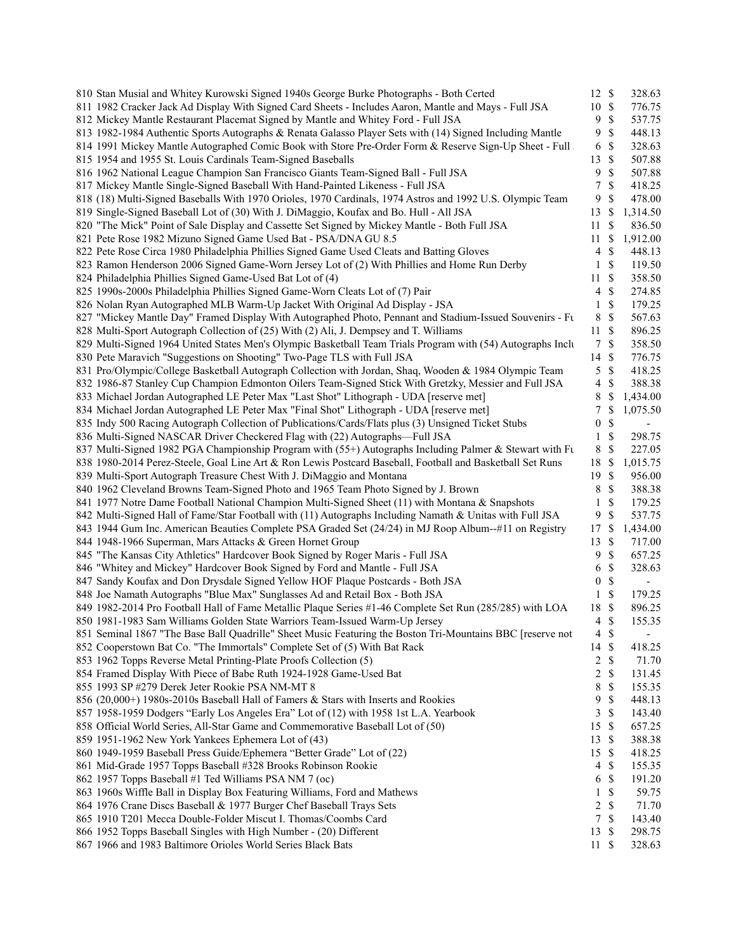| 810 Stan Musial and Whitey Kurowski Signed 1940s George Burke Photographs - Both Certed                     | 12 \$            |                           | 328.63                   |  |
|-------------------------------------------------------------------------------------------------------------|------------------|---------------------------|--------------------------|--|
| 811 1982 Cracker Jack Ad Display With Signed Card Sheets - Includes Aaron, Mantle and Mays - Full JSA       | 10 \$            |                           | 776.75                   |  |
| 812 Mickey Mantle Restaurant Placemat Signed by Mantle and Whitey Ford - Full JSA                           |                  | 9 <sup>°</sup>            | 537.75                   |  |
| 813 1982-1984 Authentic Sports Autographs & Renata Galasso Player Sets with (14) Signed Including Mantle    |                  | 9S                        | 448.13                   |  |
| 814 1991 Mickey Mantle Autographed Comic Book with Store Pre-Order Form & Reserve Sign-Up Sheet - Full.     |                  | 6 \$                      | 328.63                   |  |
| 815 1954 and 1955 St. Louis Cardinals Team-Signed Baseballs                                                 | 13S              |                           | 507.88                   |  |
| 816 1962 National League Champion San Francisco Giants Team-Signed Ball - Full JSA                          | 9                | - \$                      | 507.88                   |  |
| 817 Mickey Mantle Single-Signed Baseball With Hand-Painted Likeness - Full JSA                              | 7                | <sup>\$</sup>             | 418.25                   |  |
| 818 (18) Multi-Signed Baseballs With 1970 Orioles, 1970 Cardinals, 1974 Astros and 1992 U.S. Olympic Team   | 9                | <sup>\$</sup>             | 478.00                   |  |
| 819 Single-Signed Baseball Lot of (30) With J. DiMaggio, Koufax and Bo. Hull - All JSA                      | 13 S             |                           | 1,314.50                 |  |
| 820 "The Mick" Point of Sale Display and Cassette Set Signed by Mickey Mantle - Both Full JSA               | 11S              |                           | 836.50                   |  |
| 821 Pete Rose 1982 Mizuno Signed Game Used Bat - PSA/DNA GU 8.5                                             |                  | 11S                       | 1,912.00                 |  |
| 822 Pete Rose Circa 1980 Philadelphia Phillies Signed Game Used Cleats and Batting Gloves                   |                  | $4 \text{ }$              | 448.13                   |  |
| 823 Ramon Henderson 2006 Signed Game-Worn Jersey Lot of (2) With Phillies and Home Run Derby                |                  | $1 \text{ }$              | 119.50                   |  |
| 824 Philadelphia Phillies Signed Game-Used Bat Lot of (4)                                                   | 11S              |                           | 358.50                   |  |
| 825 1990s-2000s Philadelphia Phillies Signed Game-Worn Cleats Lot of (7) Pair                               |                  | 4S                        | 274.85                   |  |
| 826 Nolan Ryan Autographed MLB Warm-Up Jacket With Original Ad Display - JSA                                |                  | $1 \text{ }$ \$           | 179.25                   |  |
| 827 "Mickey Mantle Day" Framed Display With Autographed Photo, Pennant and Stadium-Issued Souvenirs - Ft    |                  | 8 \$                      | 567.63                   |  |
| 828 Multi-Sport Autograph Collection of (25) With (2) Ali, J. Dempsey and T. Williams                       | 11S              |                           | 896.25                   |  |
|                                                                                                             |                  | 7S                        | 358.50                   |  |
| 829 Multi-Signed 1964 United States Men's Olympic Basketball Team Trials Program with (54) Autographs Inclu |                  |                           |                          |  |
| 830 Pete Maravich "Suggestions on Shooting" Two-Page TLS with Full JSA                                      | 14 \$            |                           | 776.75                   |  |
| 831 Pro/Olympic/College Basketball Autograph Collection with Jordan, Shaq, Wooden & 1984 Olympic Team       |                  | $5 \text{ }$ \$           | 418.25                   |  |
| 832 1986-87 Stanley Cup Champion Edmonton Oilers Team-Signed Stick With Gretzky, Messier and Full JSA       |                  | 4S                        | 388.38                   |  |
| 833 Michael Jordan Autographed LE Peter Max "Last Shot" Lithograph - UDA [reserve met]                      |                  |                           | 8 \$ 1,434.00            |  |
| 834 Michael Jordan Autographed LE Peter Max "Final Shot" Lithograph - UDA [reserve met]                     |                  | 7 \$                      | 1,075.50                 |  |
| 835 Indy 500 Racing Autograph Collection of Publications/Cards/Flats plus (3) Unsigned Ticket Stubs         | $\boldsymbol{0}$ | \$                        | $\blacksquare$           |  |
| 836 Multi-Signed NASCAR Driver Checkered Flag with (22) Autographs-Full JSA                                 |                  | $1 \text{ }$ \$           | 298.75                   |  |
| 837 Multi-Signed 1982 PGA Championship Program with (55+) Autographs Including Palmer & Stewart with Fu     |                  | 8 \$                      | 227.05                   |  |
| 838 1980-2014 Perez-Steele, Goal Line Art & Ron Lewis Postcard Baseball, Football and Basketball Set Runs   |                  |                           | 18 \$ 1,015.75           |  |
| 839 Multi-Sport Autograph Treasure Chest With J. DiMaggio and Montana                                       | 19S              |                           | 956.00                   |  |
| 840 1962 Cleveland Browns Team-Signed Photo and 1965 Team Photo Signed by J. Brown                          |                  | 8 \$                      | 388.38                   |  |
| 841 1977 Notre Dame Football National Champion Multi-Signed Sheet (11) with Montana & Snapshots             |                  | $1 \text{ }$ \$           | 179.25                   |  |
| 842 Multi-Signed Hall of Fame/Star Football with (11) Autographs Including Namath & Unitas with Full JSA    |                  | 9 \$                      | 537.75                   |  |
| 843 1944 Gum Inc. American Beauties Complete PSA Graded Set (24/24) in MJ Roop Album--#11 on Registry       | 17S              |                           | 1,434.00                 |  |
| 844 1948-1966 Superman, Mars Attacks & Green Hornet Group                                                   | 13S              |                           | 717.00                   |  |
| 845 "The Kansas City Athletics" Hardcover Book Signed by Roger Maris - Full JSA                             |                  | 9S                        | 657.25                   |  |
| 846 "Whitey and Mickey" Hardcover Book Signed by Ford and Mantle - Full JSA                                 | 6                | -S                        | 328.63                   |  |
| 847 Sandy Koufax and Don Drysdale Signed Yellow HOF Plaque Postcards - Both JSA                             | $\boldsymbol{0}$ | \$                        | $\overline{\phantom{a}}$ |  |
| 848 Joe Namath Autographs "Blue Max" Sunglasses Ad and Retail Box - Both JSA                                |                  | 1 \$                      | 179.25                   |  |
| 849 1982-2014 Pro Football Hall of Fame Metallic Plaque Series #1-46 Complete Set Run (285/285) with LOA    | 18 \$            |                           | 896.25                   |  |
| 850 1981-1983 Sam Williams Golden State Warriors Team-Issued Warm-Up Jersey                                 | $\overline{4}$   | -\$                       | 155.35                   |  |
| 851 Seminal 1867 "The Base Ball Quadrille" Sheet Music Featuring the Boston Tri-Mountains BBC [reserve not  |                  | $4 \text{ } $$            | $\overline{\phantom{a}}$ |  |
| 852 Cooperstown Bat Co. "The Immortals" Complete Set of (5) With Bat Rack                                   | 14 \$            |                           | 418.25                   |  |
| 853 1962 Topps Reverse Metal Printing-Plate Proofs Collection (5)                                           |                  | $2 \sqrt{s}$              | 71.70                    |  |
| 854 Framed Display With Piece of Babe Ruth 1924-1928 Game-Used Bat                                          | $\overline{2}$   | \$                        | 131.45                   |  |
| 855 1993 SP #279 Derek Jeter Rookie PSA NM-MT 8                                                             | 8                | \$                        | 155.35                   |  |
| 856 (20,000+) 1980s-2010s Baseball Hall of Famers & Stars with Inserts and Rookies                          | 9                | \$                        | 448.13                   |  |
| 857 1958-1959 Dodgers "Early Los Angeles Era" Lot of (12) with 1958 1st L.A. Yearbook                       | 3                | \$                        | 143.40                   |  |
| 858 Official World Series, All-Star Game and Commemorative Baseball Lot of (50)                             | 15               | - \$                      | 657.25                   |  |
| 859 1951-1962 New York Yankees Ephemera Lot of (43)                                                         | $13 \text{ }$ \$ |                           | 388.38                   |  |
| 860 1949-1959 Baseball Press Guide/Ephemera "Better Grade" Lot of (22)                                      | 15S              |                           | 418.25                   |  |
| 861 Mid-Grade 1957 Topps Baseball #328 Brooks Robinson Rookie                                               | $\overline{4}$   | -S                        | 155.35                   |  |
| 862 1957 Topps Baseball #1 Ted Williams PSA NM 7 (oc)                                                       | 6                | - \$                      | 191.20                   |  |
|                                                                                                             |                  |                           |                          |  |
| 863 1960s Wiffle Ball in Display Box Featuring Williams, Ford and Mathews                                   | 1                | \$                        | 59.75                    |  |
| 864 1976 Crane Discs Baseball & 1977 Burger Chef Baseball Trays Sets                                        | 2                | \$                        | 71.70                    |  |
| 865 1910 T201 Mecca Double-Folder Miscut I. Thomas/Coombs Card                                              | $7\overline{ }$  | $\boldsymbol{\mathsf{S}}$ | 143.40                   |  |
| 866 1952 Topps Baseball Singles with High Number - (20) Different                                           | 13               | - \$                      | 298.75                   |  |
| 867 1966 and 1983 Baltimore Orioles World Series Black Bats                                                 | 11S              |                           | 328.63                   |  |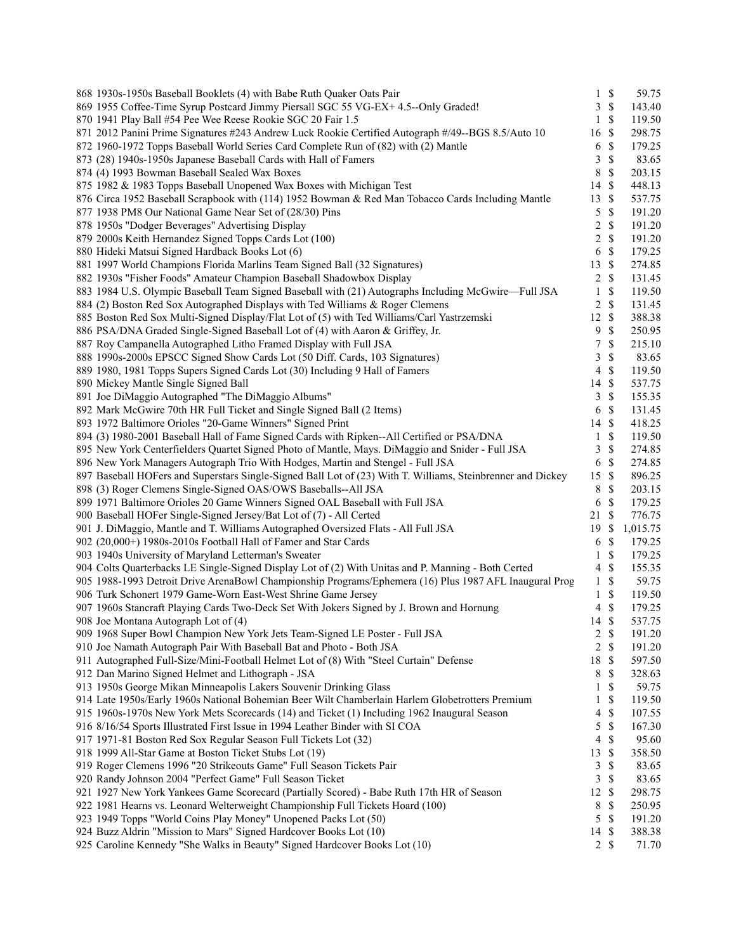| 868 1930s-1950s Baseball Booklets (4) with Babe Ruth Quaker Oats Pair                                       |                | $1 \text{ }$ \$ | 59.75           |
|-------------------------------------------------------------------------------------------------------------|----------------|-----------------|-----------------|
| 869 1955 Coffee-Time Syrup Postcard Jimmy Piersall SGC 55 VG-EX+ 4.5--Only Graded!                          |                | 3S              | 143.40          |
| 870 1941 Play Ball #54 Pee Wee Reese Rookie SGC 20 Fair 1.5                                                 | 1              | $\mathbb{S}$    | 119.50          |
| 871 2012 Panini Prime Signatures #243 Andrew Luck Rookie Certified Autograph #/49--BGS 8.5/Auto 10          | 16             | $\mathbb{S}$    | 298.75          |
| 872 1960-1972 Topps Baseball World Series Card Complete Run of (82) with (2) Mantle                         | 6              | \$              | 179.25          |
| 873 (28) 1940s-1950s Japanese Baseball Cards with Hall of Famers                                            | 3              | $\mathbb{S}$    | 83.65           |
| 874 (4) 1993 Bowman Baseball Sealed Wax Boxes                                                               | 8              | $\mathbb{S}$    | 203.15          |
| 875 1982 & 1983 Topps Baseball Unopened Wax Boxes with Michigan Test                                        | 14             | $\mathcal{S}$   | 448.13          |
| 876 Circa 1952 Baseball Scrapbook with (114) 1952 Bowman & Red Man Tobacco Cards Including Mantle           | 13             | $\mathbb{S}$    | 537.75          |
| 877 1938 PM8 Our National Game Near Set of (28/30) Pins                                                     | 5              | \$              | 191.20          |
| 878 1950s "Dodger Beverages" Advertising Display                                                            | 2              | \$              | 191.20          |
| 879 2000s Keith Hernandez Signed Topps Cards Lot (100)                                                      | $\overline{2}$ | $\mathcal{S}$   | 191.20          |
| 880 Hideki Matsui Signed Hardback Books Lot (6)                                                             | 6              | $\mathcal{S}$   | 179.25          |
| 881 1997 World Champions Florida Marlins Team Signed Ball (32 Signatures)                                   | 13             | $\mathcal{S}$   | 274.85          |
| 882 1930s "Fisher Foods" Amateur Champion Baseball Shadowbox Display                                        | $\overline{2}$ | $\mathcal{S}$   | 131.45          |
| 883 1984 U.S. Olympic Baseball Team Signed Baseball with (21) Autographs Including McGwire—Full JSA         | $\mathbf{1}$   | \$              | 119.50          |
| 884 (2) Boston Red Sox Autographed Displays with Ted Williams & Roger Clemens                               | 2              | $\mathcal{S}$   | 131.45          |
| 885 Boston Red Sox Multi-Signed Display/Flat Lot of (5) with Ted Williams/Carl Yastrzemski                  | 12             | $\mathcal{S}$   | 388.38          |
| 886 PSA/DNA Graded Single-Signed Baseball Lot of (4) with Aaron & Griffey, Jr.                              | 9              | $\mathbb{S}$    | 250.95          |
| 887 Roy Campanella Autographed Litho Framed Display with Full JSA                                           | 7              | $\mathcal{S}$   | 215.10          |
| 888 1990s-2000s EPSCC Signed Show Cards Lot (50 Diff. Cards, 103 Signatures)                                | 3              | $\mathbb{S}$    |                 |
| 889 1980, 1981 Topps Supers Signed Cards Lot (30) Including 9 Hall of Famers                                | $\overline{4}$ |                 | 83.65<br>119.50 |
| 890 Mickey Mantle Single Signed Ball                                                                        |                | \$              |                 |
|                                                                                                             | 14S            |                 | 537.75          |
| 891 Joe DiMaggio Autographed "The DiMaggio Albums"                                                          | 3              | $\mathbb{S}$    | 155.35          |
| 892 Mark McGwire 70th HR Full Ticket and Single Signed Ball (2 Items)                                       | 6              | $\mathcal{S}$   | 131.45          |
| 893 1972 Baltimore Orioles "20-Game Winners" Signed Print                                                   | 14 \$          |                 | 418.25          |
| 894 (3) 1980-2001 Baseball Hall of Fame Signed Cards with Ripken--All Certified or PSA/DNA                  | 1              | $\mathcal{S}$   | 119.50          |
| 895 New York Centerfielders Quartet Signed Photo of Mantle, Mays. DiMaggio and Snider - Full JSA            | 3              | $\mathbb{S}$    | 274.85          |
| 896 New York Managers Autograph Trio With Hodges, Martin and Stengel - Full JSA                             | 6              | $\mathcal{S}$   | 274.85          |
| 897 Baseball HOFers and Superstars Single-Signed Ball Lot of (23) With T. Williams, Steinbrenner and Dickey | 15             | $\mathbb{S}$    | 896.25          |
| 898 (3) Roger Clemens Single-Signed OAS/OWS Baseballs--All JSA                                              | 8              | $\mathcal{S}$   | 203.15          |
| 899 1971 Baltimore Orioles 20 Game Winners Signed OAL Baseball with Full JSA                                | 6              | $\mathcal{S}$   | 179.25          |
| 900 Baseball HOFer Single-Signed Jersey/Bat Lot of (7) - All Certed                                         | 21             | \$              | 776.75          |
| 901 J. DiMaggio, Mantle and T. Williams Autographed Oversized Flats - All Full JSA                          | 19             | <sup>\$</sup>   | 1,015.75        |
| 902 (20,000+) 1980s-2010s Football Hall of Famer and Star Cards                                             | 6              | \$              | 179.25          |
| 903 1940s University of Maryland Letterman's Sweater                                                        | $\mathbf{1}$   | $\mathbb S$     | 179.25          |
| 904 Colts Quarterbacks LE Single-Signed Display Lot of (2) With Unitas and P. Manning - Both Certed         | 4              | $\mathcal{S}$   | 155.35          |
| 905 1988-1993 Detroit Drive ArenaBowl Championship Programs/Ephemera (16) Plus 1987 AFL Inaugural Prog      | $\mathbf{1}$   | $\mathbb{S}$    | 59.75           |
| 906 Turk Schonert 1979 Game-Worn East-West Shrine Game Jersey                                               | 1              | $\mathbb{S}$    | 119.50          |
| 907 1960s Stancraft Playing Cards Two-Deck Set With Jokers Signed by J. Brown and Hornung                   | 4              | \$              | 179.25          |
| 908 Joe Montana Autograph Lot of (4)                                                                        | 14             | \$              | 537.75          |
| 909 1968 Super Bowl Champion New York Jets Team-Signed LE Poster - Full JSA                                 |                | $2 \sqrt{s}$    | 191.20          |
| 910 Joe Namath Autograph Pair With Baseball Bat and Photo - Both JSA                                        | $\overline{2}$ | $\mathbb S$     | 191.20          |
| 911 Autographed Full-Size/Mini-Football Helmet Lot of (8) With "Steel Curtain" Defense                      | 18             | \$              | 597.50          |
| 912 Dan Marino Signed Helmet and Lithograph - JSA                                                           | 8              | \$              | 328.63          |
| 913 1950s George Mikan Minneapolis Lakers Souvenir Drinking Glass                                           | 1              | \$              | 59.75           |
| 914 Late 1950s/Early 1960s National Bohemian Beer Wilt Chamberlain Harlem Globetrotters Premium             | 1              | \$              | 119.50          |
| 915 1960s-1970s New York Mets Scorecards (14) and Ticket (1) Including 1962 Inaugural Season                | 4              | \$              | 107.55          |
| 916 8/16/54 Sports Illustrated First Issue in 1994 Leather Binder with SI COA                               | 5              | \$              | 167.30          |
| 917 1971-81 Boston Red Sox Regular Season Full Tickets Lot (32)                                             | 4              | \$              | 95.60           |
| 918 1999 All-Star Game at Boston Ticket Stubs Lot (19)                                                      | 13             | \$              | 358.50          |
| 919 Roger Clemens 1996 "20 Strikeouts Game" Full Season Tickets Pair                                        | 3              | \$              | 83.65           |
| 920 Randy Johnson 2004 "Perfect Game" Full Season Ticket                                                    | 3              | $\mathbb{S}$    | 83.65           |
| 921 1927 New York Yankees Game Scorecard (Partially Scored) - Babe Ruth 17th HR of Season                   | 12             | \$              | 298.75          |
| 922 1981 Hearns vs. Leonard Welterweight Championship Full Tickets Hoard (100)                              | 8              | \$              | 250.95          |
| 923 1949 Topps "World Coins Play Money" Unopened Packs Lot (50)                                             | 5              | \$              | 191.20          |
| 924 Buzz Aldrin "Mission to Mars" Signed Hardcover Books Lot (10)                                           | 14             | $\mathbb{S}$    | 388.38          |
| 925 Caroline Kennedy "She Walks in Beauty" Signed Hardcover Books Lot (10)                                  |                | $2 \sqrt{s}$    | 71.70           |
|                                                                                                             |                |                 |                 |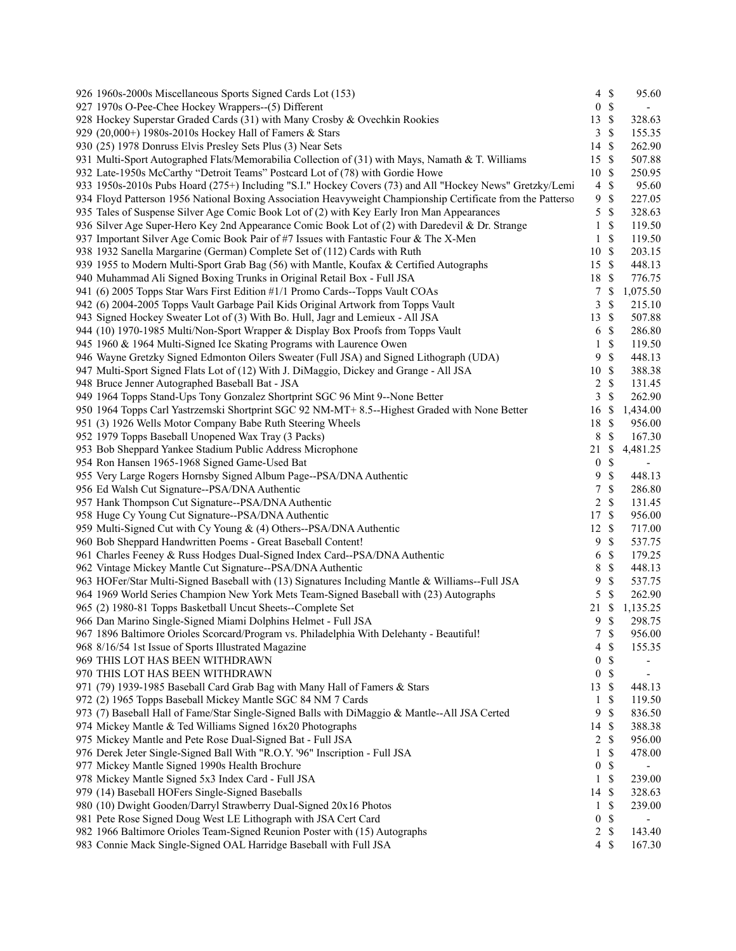| 926 1960s-2000s Miscellaneous Sports Signed Cards Lot (153)                                                 |                  | $4 \text{ }$ \$ | 95.60                    |
|-------------------------------------------------------------------------------------------------------------|------------------|-----------------|--------------------------|
| 927 1970s O-Pee-Chee Hockey Wrappers--(5) Different                                                         | $\boldsymbol{0}$ | $\mathbb S$     | $\overline{\phantom{a}}$ |
| 928 Hockey Superstar Graded Cards (31) with Many Crosby & Ovechkin Rookies                                  | 13               | \$              | 328.63                   |
| 929 (20,000+) 1980s-2010s Hockey Hall of Famers & Stars                                                     | 3                | \$              | 155.35                   |
| 930 (25) 1978 Donruss Elvis Presley Sets Plus (3) Near Sets                                                 | 14               | \$              | 262.90                   |
| 931 Multi-Sport Autographed Flats/Memorabilia Collection of (31) with Mays, Namath & T. Williams            | 15               | $\mathbb{S}$    | 507.88                   |
| 932 Late-1950s McCarthy "Detroit Teams" Postcard Lot of (78) with Gordie Howe                               | 10               | S               | 250.95                   |
| 933 1950s-2010s Pubs Hoard (275+) Including "S.I." Hockey Covers (73) and All "Hockey News" Gretzky/Lemi    | $\overline{4}$   | \$              | 95.60                    |
| 934 Floyd Patterson 1956 National Boxing Association Heavyweight Championship Certificate from the Patterso | 9                | \$              | 227.05                   |
| 935 Tales of Suspense Silver Age Comic Book Lot of (2) with Key Early Iron Man Appearances                  | 5                | \$              | 328.63                   |
| 936 Silver Age Super-Hero Key 2nd Appearance Comic Book Lot of (2) with Daredevil & Dr. Strange             | 1                | \$              | 119.50                   |
| 937 Important Silver Age Comic Book Pair of #7 Issues with Fantastic Four & The X-Men                       | 1                | \$              | 119.50                   |
| 938 1932 Sanella Margarine (German) Complete Set of (112) Cards with Ruth                                   | 10               | \$              | 203.15                   |
| 939 1955 to Modern Multi-Sport Grab Bag (56) with Mantle, Koufax & Certified Autographs                     | 15               | \$              | 448.13                   |
| 940 Muhammad Ali Signed Boxing Trunks in Original Retail Box - Full JSA                                     | 18               | \$              | 776.75                   |
| 941 (6) 2005 Topps Star Wars First Edition #1/1 Promo Cards--Topps Vault COAs                               | 7                | \$              | 1,075.50                 |
| 942 (6) 2004-2005 Topps Vault Garbage Pail Kids Original Artwork from Topps Vault                           | 3                | \$              | 215.10                   |
| 943 Signed Hockey Sweater Lot of (3) With Bo. Hull, Jagr and Lemieux - All JSA                              | 13               | \$              | 507.88                   |
|                                                                                                             |                  | \$              |                          |
| 944 (10) 1970-1985 Multi/Non-Sport Wrapper & Display Box Proofs from Topps Vault                            | 6                | \$              | 286.80                   |
| 945 1960 & 1964 Multi-Signed Ice Skating Programs with Laurence Owen                                        | 1                |                 | 119.50                   |
| 946 Wayne Gretzky Signed Edmonton Oilers Sweater (Full JSA) and Signed Lithograph (UDA)                     | 9                | \$              | 448.13                   |
| 947 Multi-Sport Signed Flats Lot of (12) With J. DiMaggio, Dickey and Grange - All JSA                      | 10               | \$              | 388.38                   |
| 948 Bruce Jenner Autographed Baseball Bat - JSA                                                             | 2                | \$              | 131.45                   |
| 949 1964 Topps Stand-Ups Tony Gonzalez Shortprint SGC 96 Mint 9--None Better                                | 3                | \$              | 262.90                   |
| 950 1964 Topps Carl Yastrzemski Shortprint SGC 92 NM-MT+ 8.5--Highest Graded with None Better               | 16               | \$              | 1,434.00                 |
| 951 (3) 1926 Wells Motor Company Babe Ruth Steering Wheels                                                  | 18               | \$              | 956.00                   |
| 952 1979 Topps Baseball Unopened Wax Tray (3 Packs)                                                         | 8                | \$              | 167.30                   |
| 953 Bob Sheppard Yankee Stadium Public Address Microphone                                                   | 21               | \$              | 4,481.25                 |
| 954 Ron Hansen 1965-1968 Signed Game-Used Bat                                                               | $\boldsymbol{0}$ | \$              | $\sim$                   |
| 955 Very Large Rogers Hornsby Signed Album Page--PSA/DNA Authentic                                          | 9                | $\mathbb{S}$    | 448.13                   |
| 956 Ed Walsh Cut Signature--PSA/DNA Authentic                                                               | 7                | \$              | 286.80                   |
| 957 Hank Thompson Cut Signature--PSA/DNA Authentic                                                          | 2                | \$              | 131.45                   |
| 958 Huge Cy Young Cut Signature--PSA/DNA Authentic                                                          | 17               | \$              | 956.00                   |
| 959 Multi-Signed Cut with Cy Young & (4) Others--PSA/DNA Authentic                                          | 12               | \$              | 717.00                   |
| 960 Bob Sheppard Handwritten Poems - Great Baseball Content!                                                | 9                | \$              | 537.75                   |
| 961 Charles Feeney & Russ Hodges Dual-Signed Index Card--PSA/DNA Authentic                                  | 6                | $\mathbb{S}$    | 179.25                   |
| 962 Vintage Mickey Mantle Cut Signature--PSA/DNA Authentic                                                  | 8                | $\mathbb{S}$    | 448.13                   |
| 963 HOFer/Star Multi-Signed Baseball with (13) Signatures Including Mantle & Williams--Full JSA             | 9                | $\mathbb{S}$    | 537.75                   |
| 964 1969 World Series Champion New York Mets Team-Signed Baseball with (23) Autographs                      | 5                | \$              | 262.90                   |
| 965 (2) 1980-81 Topps Basketball Uncut Sheets--Complete Set                                                 | 21               | \$              | 1,135.25                 |
| 966 Dan Marino Single-Signed Miami Dolphins Helmet - Full JSA                                               | 9                | \$              | 298.75                   |
| 967 1896 Baltimore Orioles Scorcard/Program vs. Philadelphia With Delehanty - Beautiful!                    | 7                | $\mathbb{S}$    | 956.00                   |
| 968 8/16/54 1st Issue of Sports Illustrated Magazine                                                        | 4                | \$              | 155.35                   |
| 969 THIS LOT HAS BEEN WITHDRAWN                                                                             | $\boldsymbol{0}$ | \$              |                          |
| 970 THIS LOT HAS BEEN WITHDRAWN                                                                             | $\boldsymbol{0}$ | \$              |                          |
| 971 (79) 1939-1985 Baseball Card Grab Bag with Many Hall of Famers & Stars                                  | 13               | \$              | 448.13                   |
| 972 (2) 1965 Topps Baseball Mickey Mantle SGC 84 NM 7 Cards                                                 | 1                | \$              | 119.50                   |
| 973 (7) Baseball Hall of Fame/Star Single-Signed Balls with DiMaggio & Mantle--All JSA Certed               | 9                | \$              | 836.50                   |
| 974 Mickey Mantle & Ted Williams Signed 16x20 Photographs                                                   | 14               | \$              | 388.38                   |
| 975 Mickey Mantle and Pete Rose Dual-Signed Bat - Full JSA                                                  | 2                | \$              | 956.00                   |
| 976 Derek Jeter Single-Signed Ball With "R.O.Y. '96" Inscription - Full JSA                                 | 1                | \$              | 478.00                   |
| 977 Mickey Mantle Signed 1990s Health Brochure                                                              | $\boldsymbol{0}$ | $\mathbb{S}$    |                          |
|                                                                                                             |                  |                 |                          |
| 978 Mickey Mantle Signed 5x3 Index Card - Full JSA                                                          | $\mathbf{1}$     | \$              | 239.00                   |
| 979 (14) Baseball HOFers Single-Signed Baseballs                                                            | 14               | \$              | 328.63                   |
| 980 (10) Dwight Gooden/Darryl Strawberry Dual-Signed 20x16 Photos                                           | $\mathbf{1}$     | \$              | 239.00                   |
| 981 Pete Rose Signed Doug West LE Lithograph with JSA Cert Card                                             | $\boldsymbol{0}$ | \$              | $\overline{\phantom{a}}$ |
| 982 1966 Baltimore Orioles Team-Signed Reunion Poster with (15) Autographs                                  | 2                | $\mathbb{S}$    | 143.40                   |
| 983 Connie Mack Single-Signed OAL Harridge Baseball with Full JSA                                           | $\overline{4}$   | \$              | 167.30                   |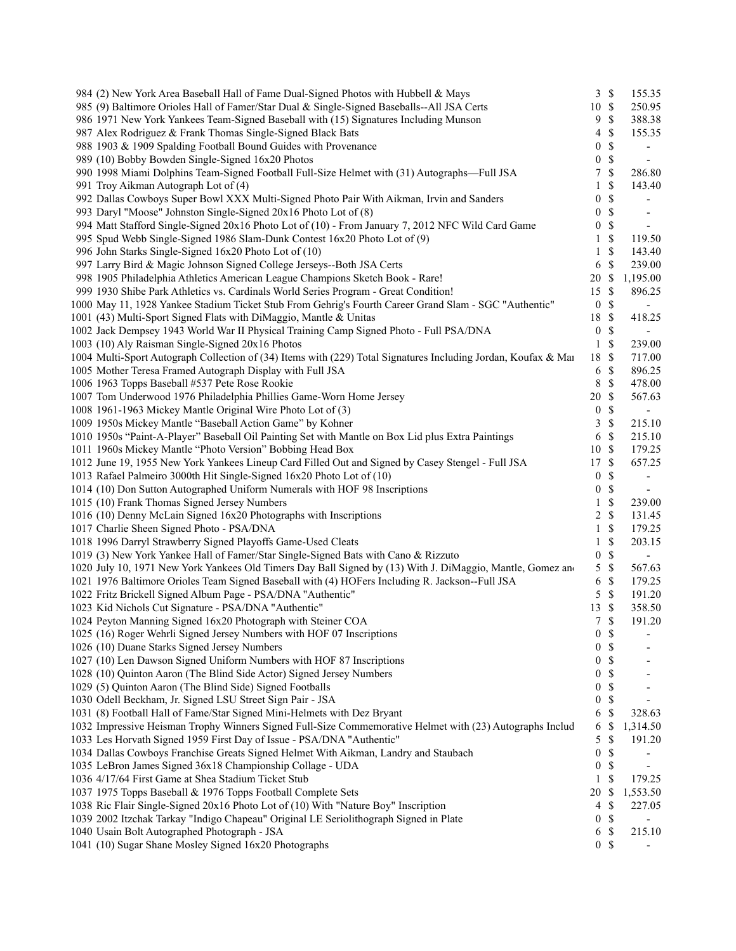| 984 (2) New York Area Baseball Hall of Fame Dual-Signed Photos with Hubbell & Mays                             |                  | 3S              | 155.35                      |  |
|----------------------------------------------------------------------------------------------------------------|------------------|-----------------|-----------------------------|--|
| 985 (9) Baltimore Orioles Hall of Famer/Star Dual & Single-Signed Baseballs--All JSA Certs                     | $10 \text{ }$ \$ |                 | 250.95                      |  |
| 986 1971 New York Yankees Team-Signed Baseball with (15) Signatures Including Munson                           |                  | 9S              | 388.38                      |  |
| 987 Alex Rodriguez & Frank Thomas Single-Signed Black Bats                                                     |                  | $4 \text{ }$ \$ | 155.35                      |  |
| 988 1903 & 1909 Spalding Football Bound Guides with Provenance                                                 |                  | 0 S             | $\overline{\phantom{a}}$    |  |
| 989 (10) Bobby Bowden Single-Signed 16x20 Photos                                                               | $\overline{0}$   | $\mathcal{S}$   | $\blacksquare$              |  |
| 990 1998 Miami Dolphins Team-Signed Football Full-Size Helmet with (31) Autographs-Full JSA                    |                  | 7S              | 286.80                      |  |
| 991 Troy Aikman Autograph Lot of (4)                                                                           | $\mathbf{1}$     | $\mathbb{S}$    | 143.40                      |  |
| 992 Dallas Cowboys Super Bowl XXX Multi-Signed Photo Pair With Aikman, Irvin and Sanders                       |                  | 0 S             | $\overline{\phantom{a}}$    |  |
| 993 Daryl "Moose" Johnston Single-Signed 20x16 Photo Lot of (8)                                                |                  | 0 S             | $\overline{\phantom{a}}$    |  |
| 994 Matt Stafford Single-Signed 20x16 Photo Lot of (10) - From January 7, 2012 NFC Wild Card Game              |                  | 0 S             | $\Box$                      |  |
| 995 Spud Webb Single-Signed 1986 Slam-Dunk Contest 16x20 Photo Lot of (9)                                      |                  | $1 \text{ }$ \$ | 119.50                      |  |
| 996 John Starks Single-Signed 16x20 Photo Lot of (10)                                                          |                  | $1 \text{ }$ \$ | 143.40                      |  |
| 997 Larry Bird & Magic Johnson Signed College Jerseys--Both JSA Certs                                          |                  | 6 \$            | 239.00                      |  |
| 998 1905 Philadelphia Athletics American League Champions Sketch Book - Rare!                                  | 20 \$            |                 | 1,195.00                    |  |
| 999 1930 Shibe Park Athletics vs. Cardinals World Series Program - Great Condition!                            | 15 \$            |                 | 896.25                      |  |
|                                                                                                                |                  | 0 S             |                             |  |
| 1000 May 11, 1928 Yankee Stadium Ticket Stub From Gehrig's Fourth Career Grand Slam - SGC "Authentic"          |                  |                 | $\blacksquare$              |  |
| 1001 (43) Multi-Sport Signed Flats with DiMaggio, Mantle & Unitas                                              | 18 \$            |                 | 418.25                      |  |
| 1002 Jack Dempsey 1943 World War II Physical Training Camp Signed Photo - Full PSA/DNA                         |                  | 0 S             | $\mathcal{L}_{\mathcal{A}}$ |  |
| 1003 (10) Aly Raisman Single-Signed 20x16 Photos                                                               | $\mathbf{1}$     | $\mathcal{S}$   | 239.00                      |  |
| 1004 Multi-Sport Autograph Collection of (34) Items with (229) Total Signatures Including Jordan, Koufax & Mai | 18 \$            |                 | 717.00                      |  |
| 1005 Mother Teresa Framed Autograph Display with Full JSA                                                      |                  | 6 \$            | 896.25                      |  |
| 1006 1963 Topps Baseball #537 Pete Rose Rookie                                                                 |                  | 8 \$            | 478.00                      |  |
| 1007 Tom Underwood 1976 Philadelphia Phillies Game-Worn Home Jersey                                            | 20 S             |                 | 567.63                      |  |
| 1008 1961-1963 Mickey Mantle Original Wire Photo Lot of (3)                                                    | $\bf{0}$         | $\mathcal{S}$   | $\mathcal{L}_{\mathcal{A}}$ |  |
| 1009 1950s Mickey Mantle "Baseball Action Game" by Kohner                                                      |                  | 3S              | 215.10                      |  |
| 1010 1950s "Paint-A-Player" Baseball Oil Painting Set with Mantle on Box Lid plus Extra Paintings              |                  | 6 \$            | 215.10                      |  |
| 1011 1960s Mickey Mantle "Photo Version" Bobbing Head Box                                                      | $10 \text{ }$ \$ |                 | 179.25                      |  |
| 1012 June 19, 1955 New York Yankees Lineup Card Filled Out and Signed by Casey Stengel - Full JSA              | 17 \$            |                 | 657.25                      |  |
| 1013 Rafael Palmeiro 3000th Hit Single-Signed 16x20 Photo Lot of (10)                                          | $\overline{0}$   | $\mathcal{S}$   | $\overline{\phantom{a}}$    |  |
| 1014 (10) Don Sutton Autographed Uniform Numerals with HOF 98 Inscriptions                                     | $\overline{0}$   | $\mathbb{S}$    | $\overline{\phantom{a}}$    |  |
| 1015 (10) Frank Thomas Signed Jersey Numbers                                                                   | $\mathbf{1}$     | $\mathbb{S}$    | 239.00                      |  |
| 1016 (10) Denny McLain Signed 16x20 Photographs with Inscriptions                                              |                  | 2 S             | 131.45                      |  |
| 1017 Charlie Sheen Signed Photo - PSA/DNA                                                                      |                  | $1 \sqrt{s}$    | 179.25                      |  |
| 1018 1996 Darryl Strawberry Signed Playoffs Game-Used Cleats                                                   | $\mathbf{1}$     | \$              | 203.15                      |  |
| 1019 (3) New York Yankee Hall of Famer/Star Single-Signed Bats with Cano & Rizzuto                             |                  | 0 <sup>5</sup>  | $\sim 10$                   |  |
| 1020 July 10, 1971 New York Yankees Old Timers Day Ball Signed by (13) With J. DiMaggio, Mantle, Gomez and     |                  | $5 \text{ }$ \$ | 567.63                      |  |
| 1021 1976 Baltimore Orioles Team Signed Baseball with (4) HOFers Including R. Jackson--Full JSA                | 6                | $\mathcal{S}$   | 179.25                      |  |
| 1022 Fritz Brickell Signed Album Page - PSA/DNA "Authentic"                                                    |                  | $5 \text{ }$ \$ | 191.20                      |  |
| 1023 Kid Nichols Cut Signature - PSA/DNA "Authentic"                                                           | 13 \$            |                 | 358.50                      |  |
| 1024 Peyton Manning Signed 16x20 Photograph with Steiner COA                                                   |                  | 7S              | 191.20                      |  |
| 1025 (16) Roger Wehrli Signed Jersey Numbers with HOF 07 Inscriptions                                          |                  | 0 S             |                             |  |
| 1026 (10) Duane Starks Signed Jersey Numbers                                                                   | 0                | \$              |                             |  |
| 1027 (10) Len Dawson Signed Uniform Numbers with HOF 87 Inscriptions                                           | 0                | \$              |                             |  |
|                                                                                                                |                  | \$              |                             |  |
| 1028 (10) Quinton Aaron (The Blind Side Actor) Signed Jersey Numbers                                           | $\boldsymbol{0}$ |                 |                             |  |
| 1029 (5) Quinton Aaron (The Blind Side) Signed Footballs                                                       | $\boldsymbol{0}$ | $\mathbb{S}$    |                             |  |
| 1030 Odell Beckham, Jr. Signed LSU Street Sign Pair - JSA                                                      | 0                | \$              |                             |  |
| 1031 (8) Football Hall of Fame/Star Signed Mini-Helmets with Dez Bryant                                        | 6                | $\mathbb{S}$    | 328.63                      |  |
| 1032 Impressive Heisman Trophy Winners Signed Full-Size Commemorative Helmet with (23) Autographs Includ       | 6                | \$              | 1,314.50                    |  |
| 1033 Les Horvath Signed 1959 First Day of Issue - PSA/DNA "Authentic"                                          | 5                | \$              | 191.20                      |  |
| 1034 Dallas Cowboys Franchise Greats Signed Helmet With Aikman, Landry and Staubach                            | $\boldsymbol{0}$ | \$              |                             |  |
| 1035 LeBron James Signed 36x18 Championship Collage - UDA                                                      | $\boldsymbol{0}$ | $\mathbb{S}$    | $\blacksquare$              |  |
| 1036 4/17/64 First Game at Shea Stadium Ticket Stub                                                            | 1                | \$              | 179.25                      |  |
| 1037 1975 Topps Baseball & 1976 Topps Football Complete Sets                                                   | 20               | $\mathcal{S}$   | 1,553.50                    |  |
| 1038 Ric Flair Single-Signed 20x16 Photo Lot of (10) With "Nature Boy" Inscription                             | 4                | \$              | 227.05                      |  |
| 1039 2002 Itzchak Tarkay "Indigo Chapeau" Original LE Seriolithograph Signed in Plate                          | $\boldsymbol{0}$ | \$              | $\overline{\phantom{a}}$    |  |
| 1040 Usain Bolt Autographed Photograph - JSA                                                                   | 6                | \$              | 215.10                      |  |
| 1041 (10) Sugar Shane Mosley Signed 16x20 Photographs                                                          |                  | 0 <sup>5</sup>  |                             |  |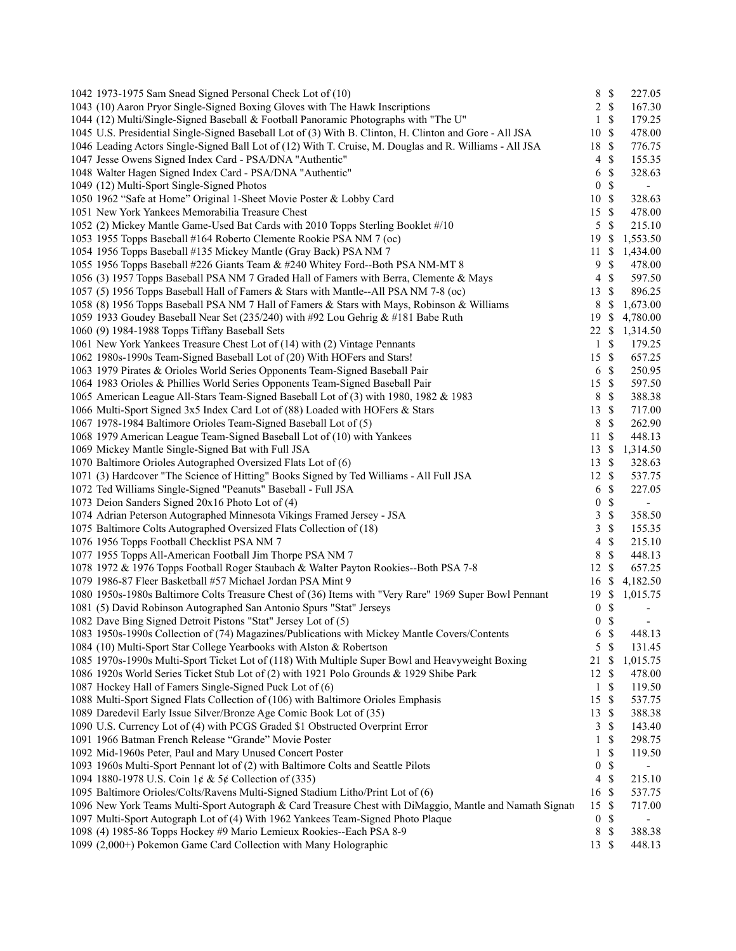| 1042 1973-1975 Sam Snead Signed Personal Check Lot of (10)                                               | $\,8\,$                  | $\mathbb{S}$  | 227.05                   |
|----------------------------------------------------------------------------------------------------------|--------------------------|---------------|--------------------------|
| 1043 (10) Aaron Pryor Single-Signed Boxing Gloves with The Hawk Inscriptions                             |                          | $2 \sqrt{s}$  | 167.30                   |
| 1044 (12) Multi/Single-Signed Baseball & Football Panoramic Photographs with "The U"                     | 1                        | $\mathbb{S}$  | 179.25                   |
| 1045 U.S. Presidential Single-Signed Baseball Lot of (3) With B. Clinton, H. Clinton and Gore - All JSA  | 10                       | $\mathbb{S}$  | 478.00                   |
| 1046 Leading Actors Single-Signed Ball Lot of (12) With T. Cruise, M. Douglas and R. Williams - All JSA  | 18                       | $\mathbb S$   | 776.75                   |
| 1047 Jesse Owens Signed Index Card - PSA/DNA "Authentic"                                                 | $\overline{4}$           | $\mathbb S$   | 155.35                   |
| 1048 Walter Hagen Signed Index Card - PSA/DNA "Authentic"                                                | 6                        | $\mathbb S$   | 328.63                   |
| 1049 (12) Multi-Sport Single-Signed Photos                                                               | $\boldsymbol{0}$         | \$            | $\overline{\phantom{a}}$ |
| 1050 1962 "Safe at Home" Original 1-Sheet Movie Poster & Lobby Card                                      | 10                       | $\mathcal{S}$ | 328.63                   |
| 1051 New York Yankees Memorabilia Treasure Chest                                                         | 15                       | $\mathbb{S}$  | 478.00                   |
| 1052 (2) Mickey Mantle Game-Used Bat Cards with 2010 Topps Sterling Booklet #/10                         | 5                        | $\mathcal{S}$ | 215.10                   |
| 1053 1955 Topps Baseball #164 Roberto Clemente Rookie PSA NM 7 (oc)                                      | 19                       | <sup>\$</sup> | 1,553.50                 |
| 1054 1956 Topps Baseball #135 Mickey Mantle (Gray Back) PSA NM 7                                         | 11                       | \$            | 1,434.00                 |
| 1055 1956 Topps Baseball #226 Giants Team & #240 Whitey Ford--Both PSA NM-MT 8                           | 9                        | \$            | 478.00                   |
| 1056 (3) 1957 Topps Baseball PSA NM 7 Graded Hall of Famers with Berra, Clemente & Mays                  | $\overline{\mathcal{A}}$ | $\mathbb{S}$  | 597.50                   |
| 1057 (5) 1956 Topps Baseball Hall of Famers & Stars with Mantle--All PSA NM 7-8 (oc)                     | 13                       | $\mathbb{S}$  | 896.25                   |
| 1058 (8) 1956 Topps Baseball PSA NM 7 Hall of Famers & Stars with Mays, Robinson & Williams              | 8                        | \$            | 1,673.00                 |
| 1059 1933 Goudey Baseball Near Set (235/240) with #92 Lou Gehrig & #181 Babe Ruth                        | 19                       | <sup>\$</sup> | 4,780.00                 |
| 1060 (9) 1984-1988 Topps Tiffany Baseball Sets                                                           | 22 \$                    |               | 1,314.50                 |
| 1061 New York Yankees Treasure Chest Lot of (14) with (2) Vintage Pennants                               | $\mathbf{1}$             | $\mathbb{S}$  | 179.25                   |
| 1062 1980s-1990s Team-Signed Baseball Lot of (20) With HOFers and Stars!                                 | 15 \$                    |               | 657.25                   |
| 1063 1979 Pirates & Orioles World Series Opponents Team-Signed Baseball Pair                             | 6                        | $\mathbb{S}$  | 250.95                   |
| 1064 1983 Orioles & Phillies World Series Opponents Team-Signed Baseball Pair                            | 15                       | $\mathcal{S}$ | 597.50                   |
| 1065 American League All-Stars Team-Signed Baseball Lot of (3) with 1980, 1982 & 1983                    | 8                        | $\mathbb{S}$  | 388.38                   |
| 1066 Multi-Sport Signed 3x5 Index Card Lot of (88) Loaded with HOFers & Stars                            | 13                       | $\mathbb{S}$  | 717.00                   |
| 1067 1978-1984 Baltimore Orioles Team-Signed Baseball Lot of (5)                                         | $\,8\,$                  | $\mathbb S$   | 262.90                   |
| 1068 1979 American League Team-Signed Baseball Lot of (10) with Yankees                                  | 11                       | $\mathbb{S}$  | 448.13                   |
| 1069 Mickey Mantle Single-Signed Bat with Full JSA                                                       | 13                       | \$            | 1,314.50                 |
| 1070 Baltimore Orioles Autographed Oversized Flats Lot of (6)                                            | 13                       | $\mathcal{S}$ | 328.63                   |
| 1071 (3) Hardcover "The Science of Hitting" Books Signed by Ted Williams - All Full JSA                  | 12                       | -\$           | 537.75                   |
| 1072 Ted Williams Single-Signed "Peanuts" Baseball - Full JSA                                            | 6                        | \$            | 227.05                   |
| 1073 Deion Sanders Signed 20x16 Photo Lot of (4)                                                         | $\boldsymbol{0}$         | $\mathbb{S}$  | $\blacksquare$           |
| 1074 Adrian Peterson Autographed Minnesota Vikings Framed Jersey - JSA                                   | 3                        | $\mathbb S$   | 358.50                   |
| 1075 Baltimore Colts Autographed Oversized Flats Collection of (18)                                      | 3                        | $\mathbb{S}$  | 155.35                   |
| 1076 1956 Topps Football Checklist PSA NM 7                                                              | 4                        | $\mathbb S$   | 215.10                   |
| 1077 1955 Topps All-American Football Jim Thorpe PSA NM 7                                                | 8                        | $\mathbb{S}$  | 448.13                   |
| 1078 1972 & 1976 Topps Football Roger Staubach & Walter Payton Rookies--Both PSA 7-8                     | 12                       | $\mathbb{S}$  | 657.25                   |
| 1079 1986-87 Fleer Basketball #57 Michael Jordan PSA Mint 9                                              | 16                       | \$            | 4,182.50                 |
| 1080 1950s-1980s Baltimore Colts Treasure Chest of (36) Items with "Very Rare" 1969 Super Bowl Pennant   | 19                       | \$            | 1,015.75                 |
| 1081 (5) David Robinson Autographed San Antonio Spurs "Stat" Jerseys                                     | $\boldsymbol{0}$         | \$            | $\overline{\phantom{a}}$ |
| 1082 Dave Bing Signed Detroit Pistons "Stat" Jersey Lot of (5)                                           | $\boldsymbol{0}$         | \$            |                          |
| 1083 1950s-1990s Collection of (74) Magazines/Publications with Mickey Mantle Covers/Contents            | 6                        | $\mathcal{S}$ | 448.13                   |
| 1084 (10) Multi-Sport Star College Yearbooks with Alston & Robertson                                     | 5                        | $\mathcal{S}$ | 131.45                   |
| 1085 1970s-1990s Multi-Sport Ticket Lot of (118) With Multiple Super Bowl and Heavyweight Boxing         | 21                       | \$            | 1,015.75                 |
| 1086 1920s World Series Ticket Stub Lot of (2) with 1921 Polo Grounds & 1929 Shibe Park                  | 12                       | $\mathbb{S}$  | 478.00                   |
| 1087 Hockey Hall of Famers Single-Signed Puck Lot of (6)                                                 | 1                        | \$            | 119.50                   |
| 1088 Multi-Sport Signed Flats Collection of (106) with Baltimore Orioles Emphasis                        | 15                       | \$            | 537.75                   |
| 1089 Daredevil Early Issue Silver/Bronze Age Comic Book Lot of (35)                                      | 13                       | \$            | 388.38                   |
| 1090 U.S. Currency Lot of (4) with PCGS Graded \$1 Obstructed Overprint Error                            | 3                        | \$            | 143.40                   |
| 1091 1966 Batman French Release "Grande" Movie Poster                                                    | 1                        | \$            | 298.75                   |
| 1092 Mid-1960s Peter, Paul and Mary Unused Concert Poster                                                | 1                        | \$            | 119.50                   |
| 1093 1960s Multi-Sport Pennant lot of (2) with Baltimore Colts and Seattle Pilots                        | $\boldsymbol{0}$         | \$            |                          |
| 1094 1880-1978 U.S. Coin 1¢ & 5¢ Collection of (335)                                                     | $\overline{4}$           | $\mathbb{S}$  | 215.10                   |
| 1095 Baltimore Orioles/Colts/Ravens Multi-Signed Stadium Litho/Print Lot of (6)                          | 16                       | $\mathcal{S}$ | 537.75                   |
| 1096 New York Teams Multi-Sport Autograph & Card Treasure Chest with DiMaggio, Mantle and Namath Signati | 15                       | $\mathbb{S}$  | 717.00                   |
| 1097 Multi-Sport Autograph Lot of (4) With 1962 Yankees Team-Signed Photo Plaque                         | $\boldsymbol{0}$         | \$            | $\overline{\phantom{a}}$ |
| 1098 (4) 1985-86 Topps Hockey #9 Mario Lemieux Rookies--Each PSA 8-9                                     | $\,8\,$                  | \$            | 388.38                   |
| 1099 (2,000+) Pokemon Game Card Collection with Many Holographic                                         | $13 \text{ }$ \$         |               | 448.13                   |
|                                                                                                          |                          |               |                          |